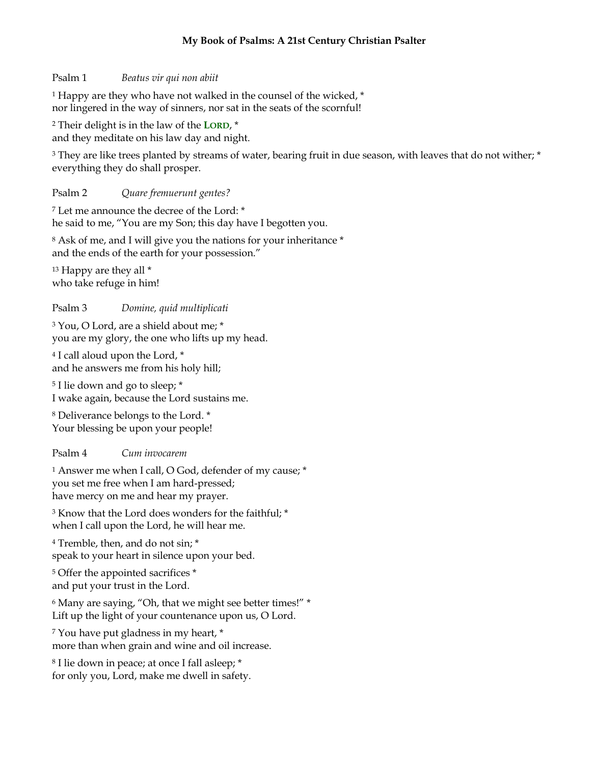### **My Book of Psalms: A 21st Century Christian Psalter**

Psalm 1 *Beatus vir qui non abiit*

<sup>1</sup> Happy are they who have not walked in the counsel of the wicked, \* nor lingered in the way of sinners, nor sat in the seats of the scornful!

<sup>2</sup> Their delight is in the law of the **LORD**, \*

and they meditate on his law day and night.

<sup>3</sup> They are like trees planted by streams of water, bearing fruit in due season, with leaves that do not wither; \* everything they do shall prosper.

#### Psalm 2 *Quare fremuerunt gentes?*

<sup>7</sup> Let me announce the decree of the Lord: \* he said to me, "You are my Son; this day have I begotten you.

<sup>8</sup> Ask of me, and I will give you the nations for your inheritance \* and the ends of the earth for your possession."

<sup>13</sup> Happy are they all  $*$ who take refuge in him!

### Psalm 3 *Domine, quid multiplicati*

<sup>3</sup> You, O Lord, are a shield about me; \* you are my glory, the one who lifts up my head.

<sup>4</sup> I call aloud upon the Lord, \* and he answers me from his holy hill;

<sup>5</sup> I lie down and go to sleep; \* I wake again, because the Lord sustains me.

<sup>8</sup> Deliverance belongs to the Lord. \* Your blessing be upon your people!

#### Psalm 4 *Cum invocarem*

<sup>1</sup> Answer me when I call, O God, defender of my cause; \* you set me free when I am hard-pressed; have mercy on me and hear my prayer.

<sup>3</sup> Know that the Lord does wonders for the faithful; \* when I call upon the Lord, he will hear me.

<sup>4</sup> Tremble, then, and do not sin; \* speak to your heart in silence upon your bed.

<sup>5</sup> Offer the appointed sacrifices \* and put your trust in the Lord.

<sup>6</sup> Many are saying, "Oh, that we might see better times!" \* Lift up the light of your countenance upon us, O Lord.

<sup>7</sup> You have put gladness in my heart, \* more than when grain and wine and oil increase.

<sup>8</sup> I lie down in peace; at once I fall asleep; \* for only you, Lord, make me dwell in safety.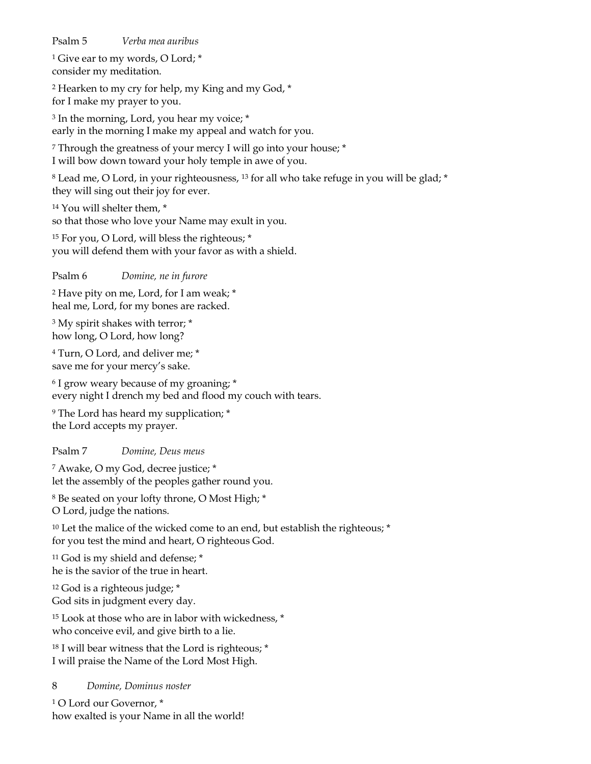#### Psalm 5 *Verba mea auribus*

<sup>1</sup> Give ear to my words, O Lord; \* consider my meditation.

<sup>2</sup> Hearken to my cry for help, my King and my God, \* for I make my prayer to you.

<sup>3</sup> In the morning, Lord, you hear my voice; \* early in the morning I make my appeal and watch for you.

<sup>7</sup> Through the greatness of your mercy I will go into your house; \* I will bow down toward your holy temple in awe of you.

 $8$  Lead me, O Lord, in your righteousness,  $13$  for all who take refuge in you will be glad;  $*$ they will sing out their joy for ever.

<sup>14</sup> You will shelter them, \* so that those who love your Name may exult in you.

<sup>15</sup> For you, O Lord, will bless the righteous; \* you will defend them with your favor as with a shield.

### Psalm 6 *Domine, ne in furore*

<sup>2</sup> Have pity on me, Lord, for I am weak; \* heal me, Lord, for my bones are racked.

<sup>3</sup> My spirit shakes with terror; \* how long, O Lord, how long?

<sup>4</sup> Turn, O Lord, and deliver me; \* save me for your mercy's sake.

<sup>6</sup> I grow weary because of my groaning; \* every night I drench my bed and flood my couch with tears.

<sup>9</sup> The Lord has heard my supplication; \* the Lord accepts my prayer.

# Psalm 7 *Domine, Deus meus*

<sup>7</sup> Awake, O my God, decree justice; \* let the assembly of the peoples gather round you.

<sup>8</sup> Be seated on your lofty throne, O Most High; \* O Lord, judge the nations.

<sup>10</sup> Let the malice of the wicked come to an end, but establish the righteous;  $*$ for you test the mind and heart, O righteous God.

<sup>11</sup> God is my shield and defense; \* he is the savior of the true in heart.

<sup>12</sup> God is a righteous judge; \* God sits in judgment every day.

<sup>15</sup> Look at those who are in labor with wickedness, \* who conceive evil, and give birth to a lie.

<sup>18</sup> I will bear witness that the Lord is righteous; \* I will praise the Name of the Lord Most High.

# 8 *Domine, Dominus noster*

<sup>1</sup> O Lord our Governor, \* how exalted is your Name in all the world!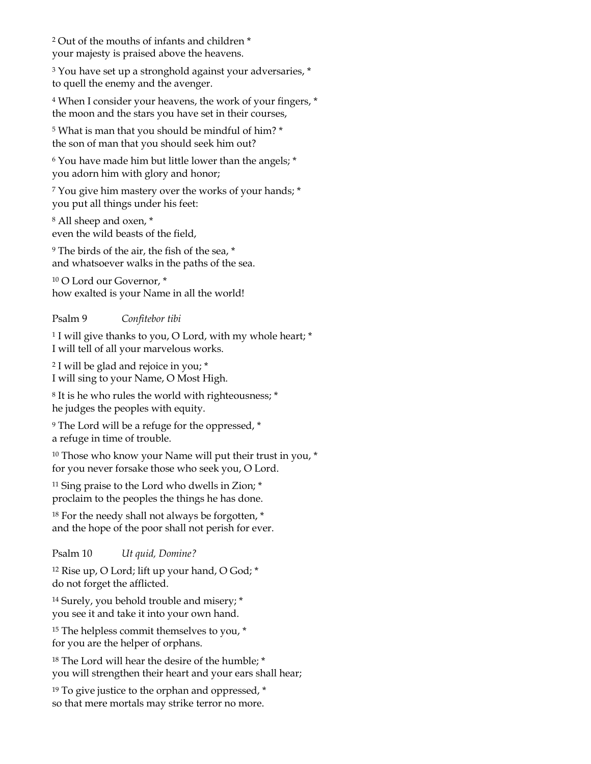<sup>2</sup> Out of the mouths of infants and children \* your majesty is praised above the heavens.

<sup>3</sup> You have set up a stronghold against your adversaries, \* to quell the enemy and the avenger.

<sup>4</sup> When I consider your heavens, the work of your fingers, \* the moon and the stars you have set in their courses,

<sup>5</sup> What is man that you should be mindful of him? \* the son of man that you should seek him out?

<sup>6</sup> You have made him but little lower than the angels; \* you adorn him with glory and honor;

<sup>7</sup> You give him mastery over the works of your hands; \* you put all things under his feet:

<sup>8</sup> All sheep and oxen, \* even the wild beasts of the field,

<sup>9</sup> The birds of the air, the fish of the sea, \* and whatsoever walks in the paths of the sea.

<sup>10</sup> O Lord our Governor, \* how exalted is your Name in all the world!

Psalm 9 *Confitebor tibi*

<sup>1</sup> I will give thanks to you, O Lord, with my whole heart; \* I will tell of all your marvelous works.

<sup>2</sup> I will be glad and rejoice in you; \* I will sing to your Name, O Most High.

<sup>8</sup> It is he who rules the world with righteousness; \* he judges the peoples with equity.

<sup>9</sup> The Lord will be a refuge for the oppressed, \* a refuge in time of trouble.

<sup>10</sup> Those who know your Name will put their trust in you, \* for you never forsake those who seek you, O Lord.

<sup>11</sup> Sing praise to the Lord who dwells in Zion;  $*$ proclaim to the peoples the things he has done.

<sup>18</sup> For the needy shall not always be forgotten, \* and the hope of the poor shall not perish for ever.

Psalm 10 *Ut quid, Domine?*

<sup>12</sup> Rise up, O Lord; lift up your hand, O God; \* do not forget the afflicted.

<sup>14</sup> Surely, you behold trouble and misery; \* you see it and take it into your own hand.

<sup>15</sup> The helpless commit themselves to you,  $*$ for you are the helper of orphans.

<sup>18</sup> The Lord will hear the desire of the humble; \* you will strengthen their heart and your ears shall hear;

<sup>19</sup> To give justice to the orphan and oppressed,  $*$ so that mere mortals may strike terror no more.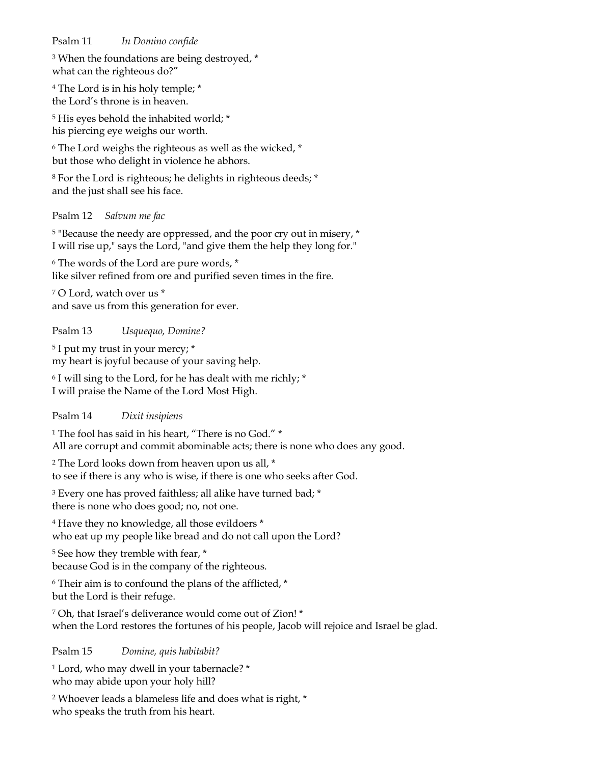# Psalm 11 *In Domino confide*

<sup>3</sup> When the foundations are being destroyed, \* what can the righteous do?"

<sup>4</sup> The Lord is in his holy temple; \* the Lord's throne is in heaven.

<sup>5</sup> His eyes behold the inhabited world; \* his piercing eye weighs our worth.

<sup>6</sup> The Lord weighs the righteous as well as the wicked, \* but those who delight in violence he abhors.

<sup>8</sup> For the Lord is righteous; he delights in righteous deeds; \* and the just shall see his face.

Psalm 12 *Salvum me fac*

<sup>5</sup> "Because the needy are oppressed, and the poor cry out in misery,  $*$ I will rise up," says the Lord, "and give them the help they long for."

<sup>6</sup> The words of the Lord are pure words, \* like silver refined from ore and purified seven times in the fire.

<sup>7</sup> O Lord, watch over us \* and save us from this generation for ever.

Psalm 13 *Usquequo, Domine?*

<sup>5</sup> I put my trust in your mercy; \* my heart is joyful because of your saving help.

 $6$  I will sing to the Lord, for he has dealt with me richly;  $*$ I will praise the Name of the Lord Most High.

# Psalm 14 *Dixit insipiens*

<sup>1</sup> The fool has said in his heart, "There is no God." \* All are corrupt and commit abominable acts; there is none who does any good.

<sup>2</sup> The Lord looks down from heaven upon us all, \* to see if there is any who is wise, if there is one who seeks after God.

<sup>3</sup> Every one has proved faithless; all alike have turned bad; \* there is none who does good; no, not one.

<sup>4</sup> Have they no knowledge, all those evildoers \* who eat up my people like bread and do not call upon the Lord?

<sup>5</sup> See how they tremble with fear, \* because God is in the company of the righteous.

<sup>6</sup> Their aim is to confound the plans of the afflicted, \* but the Lord is their refuge.

<sup>7</sup> Oh, that Israel's deliverance would come out of Zion! \* when the Lord restores the fortunes of his people, Jacob will rejoice and Israel be glad.

Psalm 15 *Domine, quis habitabit?*

<sup>1</sup> Lord, who may dwell in your tabernacle? \* who may abide upon your holy hill?

<sup>2</sup> Whoever leads a blameless life and does what is right, \* who speaks the truth from his heart.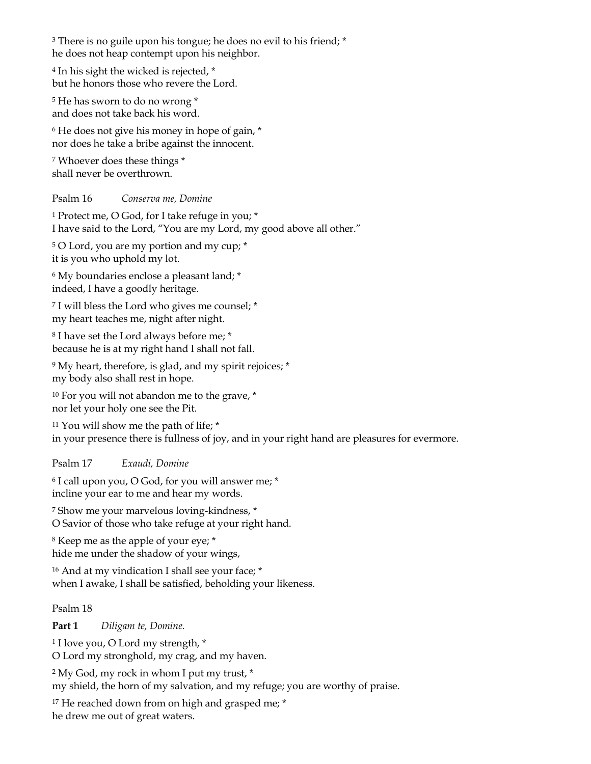<sup>3</sup> There is no guile upon his tongue; he does no evil to his friend; \* he does not heap contempt upon his neighbor.

<sup>4</sup> In his sight the wicked is rejected, \* but he honors those who revere the Lord.

<sup>5</sup> He has sworn to do no wrong \* and does not take back his word.

<sup>6</sup> He does not give his money in hope of gain, \* nor does he take a bribe against the innocent.

<sup>7</sup> Whoever does these things \* shall never be overthrown.

# Psalm 16 *Conserva me, Domine*

<sup>1</sup> Protect me, O God, for I take refuge in you; \* I have said to the Lord, "You are my Lord, my good above all other."

<sup>5</sup> O Lord, you are my portion and my cup; \* it is you who uphold my lot.

<sup>6</sup> My boundaries enclose a pleasant land; \* indeed, I have a goodly heritage.

<sup>7</sup> I will bless the Lord who gives me counsel; \* my heart teaches me, night after night.

<sup>8</sup> I have set the Lord always before me; \* because he is at my right hand I shall not fall.

<sup>9</sup> My heart, therefore, is glad, and my spirit rejoices; \* my body also shall rest in hope.

<sup>10</sup> For you will not abandon me to the grave, \* nor let your holy one see the Pit.

<sup>11</sup> You will show me the path of life;  $*$ in your presence there is fullness of joy, and in your right hand are pleasures for evermore.

# Psalm 17 *Exaudi, Domine*

<sup>6</sup> I call upon you, O God, for you will answer me; \* incline your ear to me and hear my words.

<sup>7</sup> Show me your marvelous loving-kindness, \* O Savior of those who take refuge at your right hand.

<sup>8</sup> Keep me as the apple of your eye; \* hide me under the shadow of your wings,

<sup>16</sup> And at my vindication I shall see your face; \* when I awake, I shall be satisfied, beholding your likeness.

# Psalm 18

**Part 1** *Diligam te, Domine.*

<sup>1</sup> I love you, O Lord my strength, \* O Lord my stronghold, my crag, and my haven.

<sup>2</sup> My God, my rock in whom I put my trust, \*

my shield, the horn of my salvation, and my refuge; you are worthy of praise.

<sup>17</sup> He reached down from on high and grasped me; \* he drew me out of great waters.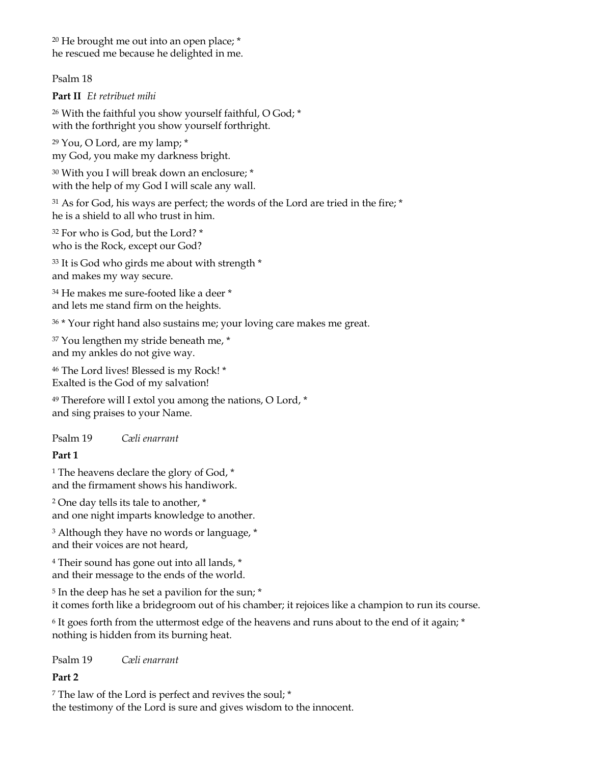<sup>20</sup> He brought me out into an open place; \* he rescued me because he delighted in me.

# Psalm 18

**Part II** *Et retribuet mihi*

<sup>26</sup> With the faithful you show yourself faithful, O God; \* with the forthright you show yourself forthright.

<sup>29</sup> You, O Lord, are my lamp; \* my God, you make my darkness bright.

<sup>30</sup> With you I will break down an enclosure; \* with the help of my God I will scale any wall.

<sup>31</sup> As for God, his ways are perfect; the words of the Lord are tried in the fire; \* he is a shield to all who trust in him.

<sup>32</sup> For who is God, but the Lord? \* who is the Rock, except our God?

<sup>33</sup> It is God who girds me about with strength \* and makes my way secure.

<sup>34</sup> He makes me sure-footed like a deer \* and lets me stand firm on the heights.

<sup>36</sup> \* Your right hand also sustains me; your loving care makes me great.

<sup>37</sup> You lengthen my stride beneath me, \* and my ankles do not give way.

<sup>46</sup> The Lord lives! Blessed is my Rock! \* Exalted is the God of my salvation!

<sup>49</sup> Therefore will I extol you among the nations, O Lord, \* and sing praises to your Name.

# Psalm 19 *Cæli enarrant*

# **Part 1**

<sup>1</sup> The heavens declare the glory of God, \* and the firmament shows his handiwork.

<sup>2</sup> One day tells its tale to another, \* and one night imparts knowledge to another.

<sup>3</sup> Although they have no words or language, \* and their voices are not heard,

<sup>4</sup> Their sound has gone out into all lands, \* and their message to the ends of the world.

<sup>5</sup> In the deep has he set a pavilion for the sun; \* it comes forth like a bridegroom out of his chamber; it rejoices like a champion to run its course.

 $6$  It goes forth from the uttermost edge of the heavens and runs about to the end of it again;  $*$ nothing is hidden from its burning heat.

Psalm 19 *Cæli enarrant*

# **Part 2**

<sup>7</sup> The law of the Lord is perfect and revives the soul; \* the testimony of the Lord is sure and gives wisdom to the innocent.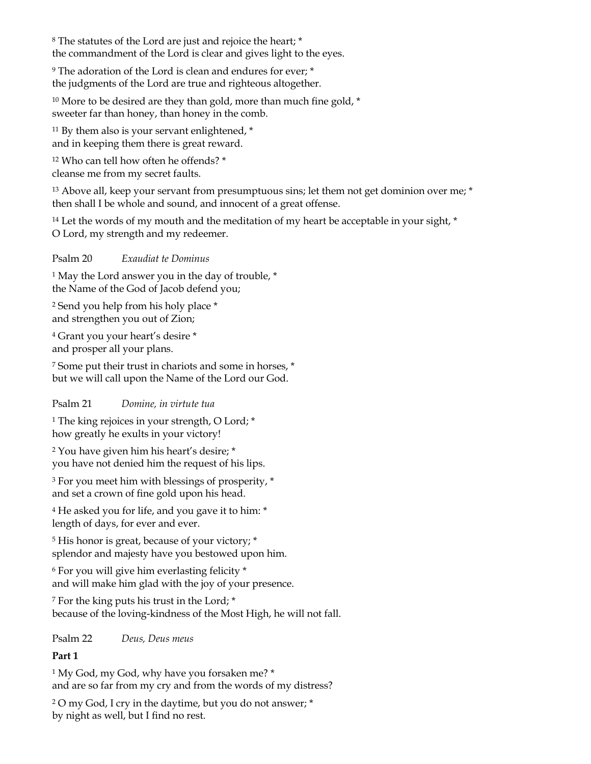<sup>8</sup> The statutes of the Lord are just and rejoice the heart; \* the commandment of the Lord is clear and gives light to the eyes.

<sup>9</sup> The adoration of the Lord is clean and endures for ever; \* the judgments of the Lord are true and righteous altogether.

 $10$  More to be desired are they than gold, more than much fine gold,  $*$ sweeter far than honey, than honey in the comb.

<sup>11</sup> By them also is your servant enlightened, \* and in keeping them there is great reward.

<sup>12</sup> Who can tell how often he offends? \* cleanse me from my secret faults.

<sup>13</sup> Above all, keep your servant from presumptuous sins; let them not get dominion over me; \* then shall I be whole and sound, and innocent of a great offense.

 $14$  Let the words of my mouth and the meditation of my heart be acceptable in your sight,  $*$ O Lord, my strength and my redeemer.

# Psalm 20 *Exaudiat te Dominus*

<sup>1</sup> May the Lord answer you in the day of trouble,  $*$ the Name of the God of Jacob defend you;

<sup>2</sup> Send you help from his holy place \* and strengthen you out of Zion;

<sup>4</sup> Grant you your heart's desire \* and prosper all your plans.

<sup>7</sup> Some put their trust in chariots and some in horses, \* but we will call upon the Name of the Lord our God.

Psalm 21 *Domine, in virtute tua*

<sup>1</sup> The king rejoices in your strength, O Lord; \* how greatly he exults in your victory!

<sup>2</sup> You have given him his heart's desire; \* you have not denied him the request of his lips.

<sup>3</sup> For you meet him with blessings of prosperity,  $*$ and set a crown of fine gold upon his head.

<sup>4</sup> He asked you for life, and you gave it to him: \* length of days, for ever and ever.

<sup>5</sup> His honor is great, because of your victory; \* splendor and majesty have you bestowed upon him.

<sup>6</sup> For you will give him everlasting felicity \* and will make him glad with the joy of your presence.

<sup>7</sup> For the king puts his trust in the Lord; \* because of the loving-kindness of the Most High, he will not fall.

Psalm 22 *Deus, Deus meus*

# **Part 1**

<sup>1</sup> My God, my God, why have you forsaken me? \* and are so far from my cry and from the words of my distress?

<sup>2</sup> O my God, I cry in the daytime, but you do not answer; \* by night as well, but I find no rest.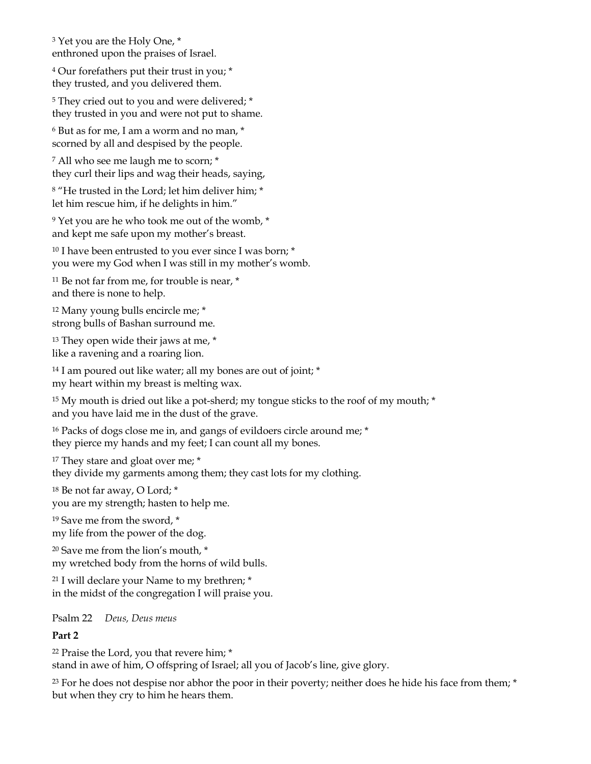<sup>3</sup> Yet you are the Holy One, \* enthroned upon the praises of Israel.

<sup>4</sup> Our forefathers put their trust in you; \* they trusted, and you delivered them.

<sup>5</sup> They cried out to you and were delivered; \* they trusted in you and were not put to shame.

<sup>6</sup> But as for me, I am a worm and no man, \* scorned by all and despised by the people.

<sup>7</sup> All who see me laugh me to scorn; \* they curl their lips and wag their heads, saying,

<sup>8</sup> "He trusted in the Lord; let him deliver him; \* let him rescue him, if he delights in him."

<sup>9</sup> Yet you are he who took me out of the womb,  $*$ and kept me safe upon my mother's breast.

<sup>10</sup> I have been entrusted to you ever since I was born; \* you were my God when I was still in my mother's womb.

<sup>11</sup> Be not far from me, for trouble is near,  $*$ and there is none to help.

<sup>12</sup> Many young bulls encircle me; \* strong bulls of Bashan surround me.

<sup>13</sup> They open wide their jaws at me, \* like a ravening and a roaring lion.

<sup>14</sup> I am poured out like water; all my bones are out of joint; \* my heart within my breast is melting wax.

<sup>15</sup> My mouth is dried out like a pot-sherd; my tongue sticks to the roof of my mouth; \* and you have laid me in the dust of the grave.

<sup>16</sup> Packs of dogs close me in, and gangs of evildoers circle around me; \* they pierce my hands and my feet; I can count all my bones.

<sup>17</sup> They stare and gloat over me; \* they divide my garments among them; they cast lots for my clothing.

<sup>18</sup> Be not far away, O Lord; \* you are my strength; hasten to help me.

<sup>19</sup> Save me from the sword, \* my life from the power of the dog.

<sup>20</sup> Save me from the lion's mouth, \* my wretched body from the horns of wild bulls.

<sup>21</sup> I will declare your Name to my brethren; \* in the midst of the congregation I will praise you.

Psalm 22 *Deus, Deus meus*

# **Part 2**

<sup>22</sup> Praise the Lord, you that revere him; \* stand in awe of him, O offspring of Israel; all you of Jacob's line, give glory.

 $23$  For he does not despise nor abhor the poor in their poverty; neither does he hide his face from them;  $*$ but when they cry to him he hears them.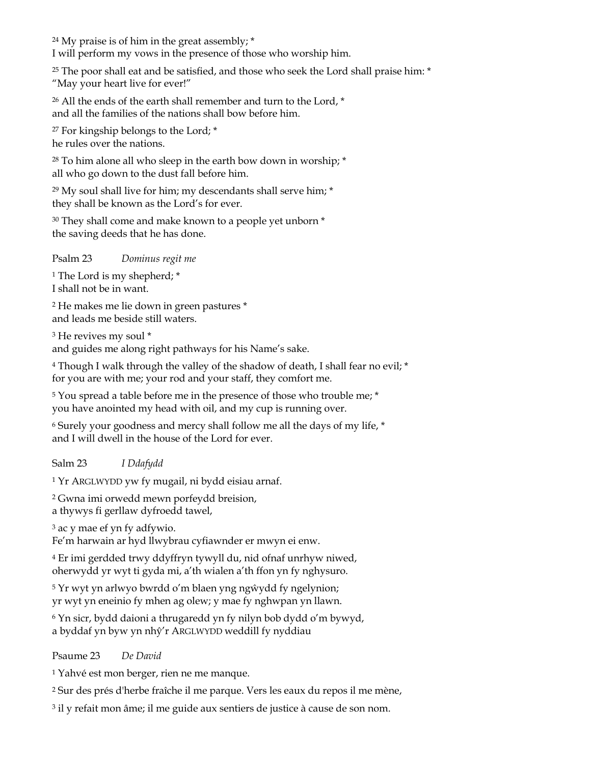<sup>24</sup> My praise is of him in the great assembly;  $*$ 

I will perform my vows in the presence of those who worship him.

 $25$  The poor shall eat and be satisfied, and those who seek the Lord shall praise him:  $*$ "May your heart live for ever!"

<sup>26</sup> All the ends of the earth shall remember and turn to the Lord, \* and all the families of the nations shall bow before him.

<sup>27</sup> For kingship belongs to the Lord; \* he rules over the nations.

<sup>28</sup> To him alone all who sleep in the earth bow down in worship; \* all who go down to the dust fall before him.

 $29$  My soul shall live for him; my descendants shall serve him;  $*$ they shall be known as the Lord's for ever.

<sup>30</sup> They shall come and make known to a people yet unborn \* the saving deeds that he has done.

Psalm 23 *Dominus regit me*

<sup>1</sup> The Lord is my shepherd; \* I shall not be in want.

<sup>2</sup> He makes me lie down in green pastures \* and leads me beside still waters.

<sup>3</sup> He revives my soul \* and guides me along right pathways for his Name's sake.

<sup>4</sup> Though I walk through the valley of the shadow of death, I shall fear no evil; \* for you are with me; your rod and your staff, they comfort me.

<sup>5</sup> You spread a table before me in the presence of those who trouble me; \* you have anointed my head with oil, and my cup is running over.

<sup>6</sup> Surely your goodness and mercy shall follow me all the days of my life, \* and I will dwell in the house of the Lord for ever.

Salm 23 *I Ddafydd*

<sup>1</sup> Yr ARGLWYDD yw fy mugail, ni bydd eisiau arnaf.

<sup>2</sup> Gwna imi orwedd mewn porfeydd breision, a thywys fi gerllaw dyfroedd tawel,

<sup>3</sup> ac y mae ef yn fy adfywio.

Fe'm harwain ar hyd llwybrau cyfiawnder er mwyn ei enw.

<sup>4</sup> Er imi gerdded trwy ddyffryn tywyll du, nid ofnaf unrhyw niwed, oherwydd yr wyt ti gyda mi, a'th wialen a'th ffon yn fy nghysuro.

<sup>5</sup> Yr wyt yn arlwyo bwrdd o'm blaen yng ngŵydd fy ngelynion; yr wyt yn eneinio fy mhen ag olew; y mae fy nghwpan yn llawn.

<sup>6</sup> Yn sicr, bydd daioni a thrugaredd yn fy nilyn bob dydd o'm bywyd, a byddaf yn byw yn nhŷ'r ARGLWYDD weddill fy nyddiau

# Psaume 23 *De David*

<sup>1</sup> Yahvé est mon berger, rien ne me manque.

<sup>2</sup> Sur des prés d'herbe fraîche il me parque. Vers les eaux du repos il me mène,

<sup>3</sup> il y refait mon âme; il me guide aux sentiers de justice à cause de son nom.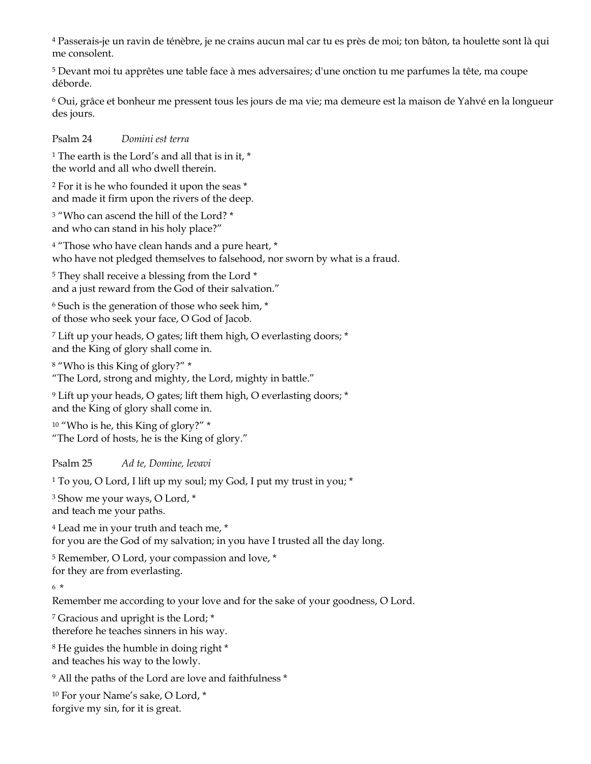<sup>4</sup> Passerais-je un ravin de ténèbre, je ne crains aucun mal car tu es près de moi; ton bâton, ta houlette sont là qui me consolent.

<sup>5</sup> Devant moi tu apprêtes une table face à mes adversaires; d'une onction tu me parfumes la tête, ma coupe déborde.

<sup>6</sup> Oui, grâce et bonheur me pressent tous les jours de ma vie; ma demeure est la maison de Yahvé en la longueur des jours.

Psalm 24 *Domini est terra*

<sup>1</sup> The earth is the Lord's and all that is in it,  $*$ the world and all who dwell therein.

<sup>2</sup> For it is he who founded it upon the seas \* and made it firm upon the rivers of the deep.

<sup>3</sup> "Who can ascend the hill of the Lord? \* and who can stand in his holy place?"

<sup>4</sup> "Those who have clean hands and a pure heart, \* who have not pledged themselves to falsehood, nor sworn by what is a fraud.

<sup>5</sup> They shall receive a blessing from the Lord  $*$ and a just reward from the God of their salvation."

<sup>6</sup> Such is the generation of those who seek him, \* of those who seek your face, O God of Jacob.

<sup>7</sup> Lift up your heads, O gates; lift them high, O everlasting doors; \* and the King of glory shall come in.

<sup>8</sup> "Who is this King of glory?" \*

"The Lord, strong and mighty, the Lord, mighty in battle."

<sup>9</sup> Lift up your heads, O gates; lift them high, O everlasting doors; \* and the King of glory shall come in.

<sup>10</sup> "Who is he, this King of glory?" \* "The Lord of hosts, he is the King of glory."

Psalm 25 *Ad te, Domine, levavi*

<sup>1</sup> To you, O Lord, I lift up my soul; my God, I put my trust in you; \*

<sup>3</sup> Show me your ways, O Lord, \* and teach me your paths.

<sup>4</sup> Lead me in your truth and teach me, \* for you are the God of my salvation; in you have I trusted all the day long.

<sup>5</sup> Remember, O Lord, your compassion and love, \*

for they are from everlasting.

<sup>6</sup>\*

Remember me according to your love and for the sake of your goodness, O Lord.

<sup>7</sup> Gracious and upright is the Lord; \*

therefore he teaches sinners in his way.

<sup>8</sup> He guides the humble in doing right \* and teaches his way to the lowly.

<sup>9</sup> All the paths of the Lord are love and faithfulness \*

<sup>10</sup> For your Name's sake, O Lord, \* forgive my sin, for it is great.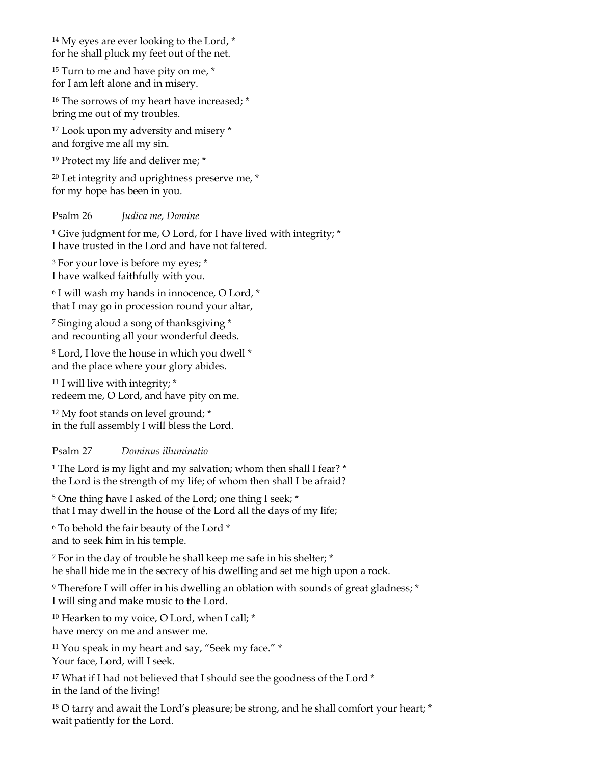<sup>14</sup> My eyes are ever looking to the Lord,  $*$ for he shall pluck my feet out of the net.

<sup>15</sup> Turn to me and have pity on me,  $*$ for I am left alone and in misery.

<sup>16</sup> The sorrows of my heart have increased; \* bring me out of my troubles.

<sup>17</sup> Look upon my adversity and misery \* and forgive me all my sin.

<sup>19</sup> Protect my life and deliver me; \*

<sup>20</sup> Let integrity and uprightness preserve me, \* for my hope has been in you.

# Psalm 26 *Judica me, Domine*

<sup>1</sup> Give judgment for me, O Lord, for I have lived with integrity; \* I have trusted in the Lord and have not faltered.

<sup>3</sup> For your love is before my eyes; \* I have walked faithfully with you.

<sup>6</sup> I will wash my hands in innocence, O Lord, \* that I may go in procession round your altar,

<sup>7</sup> Singing aloud a song of thanksgiving \* and recounting all your wonderful deeds.

<sup>8</sup> Lord, I love the house in which you dwell \* and the place where your glory abides.

<sup>11</sup> I will live with integrity; \* redeem me, O Lord, and have pity on me.

<sup>12</sup> My foot stands on level ground; \* in the full assembly I will bless the Lord.

# Psalm 27 *Dominus illuminatio*

<sup>1</sup> The Lord is my light and my salvation; whom then shall I fear? \* the Lord is the strength of my life; of whom then shall I be afraid?

<sup>5</sup> One thing have I asked of the Lord; one thing I seek; \* that I may dwell in the house of the Lord all the days of my life;

<sup>6</sup> To behold the fair beauty of the Lord \* and to seek him in his temple.

<sup>7</sup> For in the day of trouble he shall keep me safe in his shelter; \* he shall hide me in the secrecy of his dwelling and set me high upon a rock.

<sup>9</sup> Therefore I will offer in his dwelling an oblation with sounds of great gladness; \* I will sing and make music to the Lord.

<sup>10</sup> Hearken to my voice, O Lord, when I call; \* have mercy on me and answer me.

<sup>11</sup> You speak in my heart and say, "Seek my face." \* Your face, Lord, will I seek.

<sup>17</sup> What if I had not believed that I should see the goodness of the Lord \* in the land of the living!

<sup>18</sup> O tarry and await the Lord's pleasure; be strong, and he shall comfort your heart; \* wait patiently for the Lord.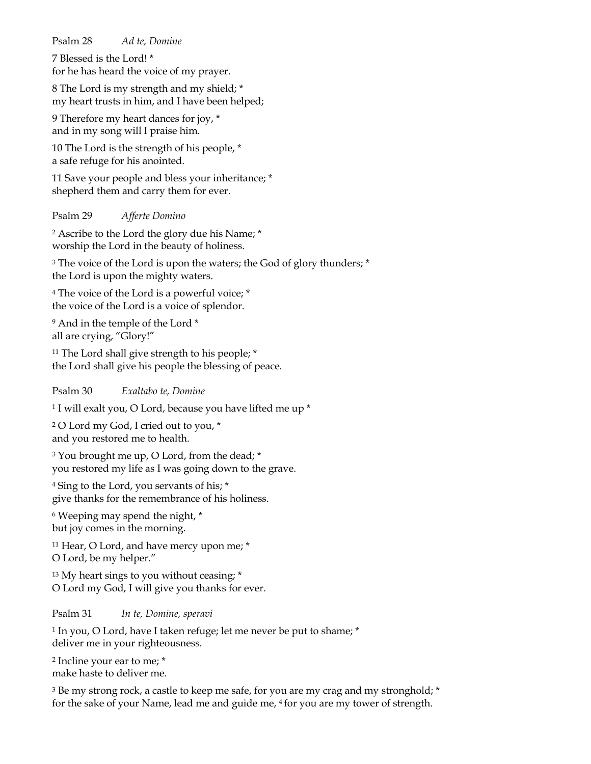Psalm 28 *Ad te, Domine*

7 Blessed is the Lord! \* for he has heard the voice of my prayer.

8 The Lord is my strength and my shield; \* my heart trusts in him, and I have been helped;

9 Therefore my heart dances for joy, \* and in my song will I praise him.

10 The Lord is the strength of his people, \* a safe refuge for his anointed.

11 Save your people and bless your inheritance; \* shepherd them and carry them for ever.

# Psalm 29 *Afferte Domino*

<sup>2</sup> Ascribe to the Lord the glory due his Name; \* worship the Lord in the beauty of holiness.

<sup>3</sup> The voice of the Lord is upon the waters; the God of glory thunders; \* the Lord is upon the mighty waters.

<sup>4</sup> The voice of the Lord is a powerful voice; \* the voice of the Lord is a voice of splendor.

<sup>9</sup> And in the temple of the Lord \* all are crying, "Glory!"

<sup>11</sup> The Lord shall give strength to his people;  $*$ the Lord shall give his people the blessing of peace.

Psalm 30 *Exaltabo te, Domine*

<sup>1</sup> I will exalt you, O Lord, because you have lifted me up \*

<sup>2</sup> O Lord my God, I cried out to you, \* and you restored me to health.

<sup>3</sup> You brought me up, O Lord, from the dead; \* you restored my life as I was going down to the grave.

<sup>4</sup> Sing to the Lord, you servants of his; \* give thanks for the remembrance of his holiness.

<sup>6</sup> Weeping may spend the night, \* but joy comes in the morning.

<sup>11</sup> Hear, O Lord, and have mercy upon me; \* O Lord, be my helper."

<sup>13</sup> My heart sings to you without ceasing; \* O Lord my God, I will give you thanks for ever.

# Psalm 31 *In te, Domine, speravi*

<sup>1</sup> In you, O Lord, have I taken refuge; let me never be put to shame; \* deliver me in your righteousness.

<sup>2</sup> Incline your ear to me; \* make haste to deliver me.

<sup>3</sup> Be my strong rock, a castle to keep me safe, for you are my crag and my stronghold; \* for the sake of your Name, lead me and guide me, 4 for you are my tower of strength.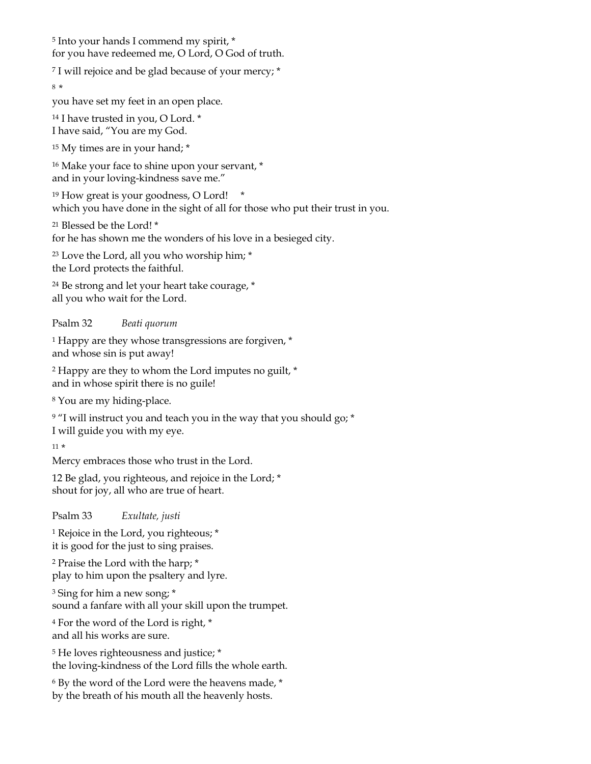<sup>5</sup> Into your hands I commend my spirit, \* for you have redeemed me, O Lord, O God of truth.

<sup>7</sup> I will rejoice and be glad because of your mercy; \*

<sup>8</sup>\*

you have set my feet in an open place.

<sup>14</sup> I have trusted in you, O Lord. \*

I have said, "You are my God.

<sup>15</sup> My times are in your hand; \*

<sup>16</sup> Make your face to shine upon your servant, \* and in your loving-kindness save me."

<sup>19</sup> How great is your goodness, O Lord! \* which you have done in the sight of all for those who put their trust in you.

<sup>21</sup> Blessed be the Lord! \* for he has shown me the wonders of his love in a besieged city.

<sup>23</sup> Love the Lord, all you who worship him; \* the Lord protects the faithful.

<sup>24</sup> Be strong and let your heart take courage, \* all you who wait for the Lord.

# Psalm 32 *Beati quorum*

<sup>1</sup> Happy are they whose transgressions are forgiven, \* and whose sin is put away!

<sup>2</sup> Happy are they to whom the Lord imputes no guilt, \* and in whose spirit there is no guile!

<sup>8</sup> You are my hiding-place.

<sup>9</sup> "I will instruct you and teach you in the way that you should go; \* I will guide you with my eye.

<sup>11</sup> \*

Mercy embraces those who trust in the Lord.

12 Be glad, you righteous, and rejoice in the Lord; \* shout for joy, all who are true of heart.

# Psalm 33 *Exultate, justi*

<sup>1</sup> Rejoice in the Lord, you righteous; \* it is good for the just to sing praises.

<sup>2</sup> Praise the Lord with the harp; \* play to him upon the psaltery and lyre.

<sup>3</sup> Sing for him a new song; \* sound a fanfare with all your skill upon the trumpet.

<sup>4</sup> For the word of the Lord is right, \* and all his works are sure.

<sup>5</sup> He loves righteousness and justice; \* the loving-kindness of the Lord fills the whole earth.

<sup>6</sup> By the word of the Lord were the heavens made, \* by the breath of his mouth all the heavenly hosts.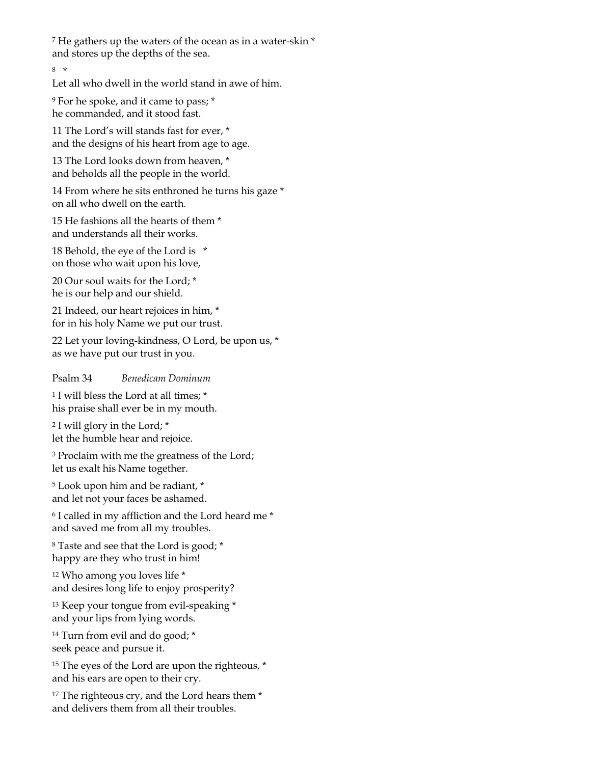<sup>7</sup> He gathers up the waters of the ocean as in a water-skin \* and stores up the depths of the sea.

<sup>8</sup> \*

Let all who dwell in the world stand in awe of him.

<sup>9</sup> For he spoke, and it came to pass; \* he commanded, and it stood fast.

11 The Lord's will stands fast for ever, \* and the designs of his heart from age to age.

13 The Lord looks down from heaven, \* and beholds all the people in the world.

14 From where he sits enthroned he turns his gaze \* on all who dwell on the earth.

15 He fashions all the hearts of them \* and understands all their works.

18 Behold, the eye of the Lord is \* on those who wait upon his love,

20 Our soul waits for the Lord; \* he is our help and our shield.

21 Indeed, our heart rejoices in him, \* for in his holy Name we put our trust.

22 Let your loving-kindness, O Lord, be upon us, \* as we have put our trust in you.

### Psalm 34 *Benedicam Dominum*

<sup>1</sup> I will bless the Lord at all times; \* his praise shall ever be in my mouth.

<sup>2</sup> I will glory in the Lord; \* let the humble hear and rejoice.

<sup>3</sup> Proclaim with me the greatness of the Lord; let us exalt his Name together.

<sup>5</sup> Look upon him and be radiant, \* and let not your faces be ashamed.

<sup>6</sup> I called in my affliction and the Lord heard me \* and saved me from all my troubles.

<sup>8</sup> Taste and see that the Lord is good; \* happy are they who trust in him!

<sup>12</sup> Who among you loves life \* and desires long life to enjoy prosperity?

<sup>13</sup> Keep your tongue from evil-speaking \* and your lips from lying words.

<sup>14</sup> Turn from evil and do good; \* seek peace and pursue it.

<sup>15</sup> The eyes of the Lord are upon the righteous,  $*$ and his ears are open to their cry.

<sup>17</sup> The righteous cry, and the Lord hears them \* and delivers them from all their troubles.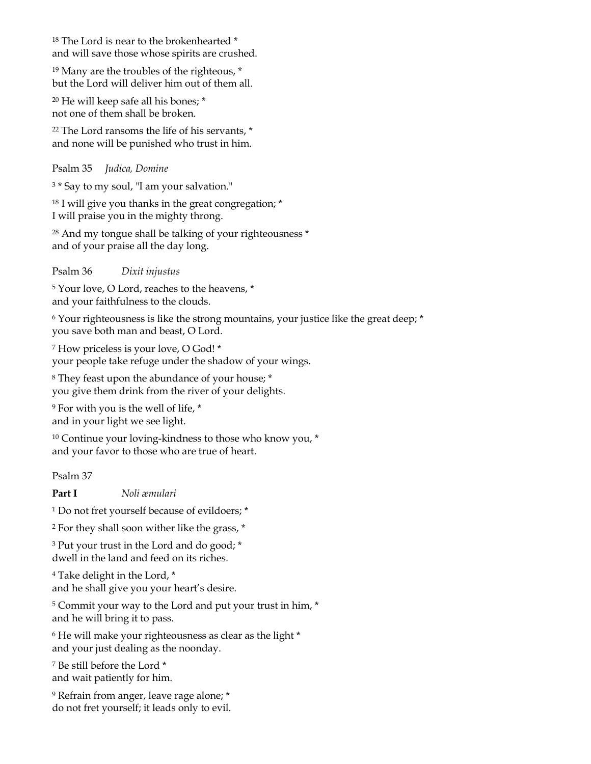<sup>18</sup> The Lord is near to the brokenhearted \* and will save those whose spirits are crushed.

<sup>19</sup> Many are the troubles of the righteous, \* but the Lord will deliver him out of them all.

<sup>20</sup> He will keep safe all his bones; \* not one of them shall be broken.

<sup>22</sup> The Lord ransoms the life of his servants, \* and none will be punished who trust in him.

Psalm 35 *Judica, Domine*

<sup>3</sup> \* Say to my soul, "I am your salvation."

<sup>18</sup> I will give you thanks in the great congregation; \* I will praise you in the mighty throng.

<sup>28</sup> And my tongue shall be talking of your righteousness \* and of your praise all the day long.

Psalm 36 *Dixit injustus*

<sup>5</sup> Your love, O Lord, reaches to the heavens, \* and your faithfulness to the clouds.

 $6$  Your righteousness is like the strong mountains, your justice like the great deep;  $*$ you save both man and beast, O Lord.

<sup>7</sup> How priceless is your love, O God! \* your people take refuge under the shadow of your wings.

<sup>8</sup> They feast upon the abundance of your house; \* you give them drink from the river of your delights.

<sup>9</sup> For with you is the well of life, \* and in your light we see light.

<sup>10</sup> Continue your loving-kindness to those who know you, \* and your favor to those who are true of heart.

#### Psalm 37

**Part I** *Noli æmulari*

<sup>1</sup> Do not fret yourself because of evildoers; \*

<sup>2</sup> For they shall soon wither like the grass, \*

<sup>3</sup> Put your trust in the Lord and do good; \* dwell in the land and feed on its riches.

<sup>4</sup> Take delight in the Lord, \* and he shall give you your heart's desire.

<sup>5</sup> Commit your way to the Lord and put your trust in him, \* and he will bring it to pass.

<sup>6</sup> He will make your righteousness as clear as the light \* and your just dealing as the noonday.

<sup>7</sup> Be still before the Lord \* and wait patiently for him.

<sup>9</sup> Refrain from anger, leave rage alone; \* do not fret yourself; it leads only to evil.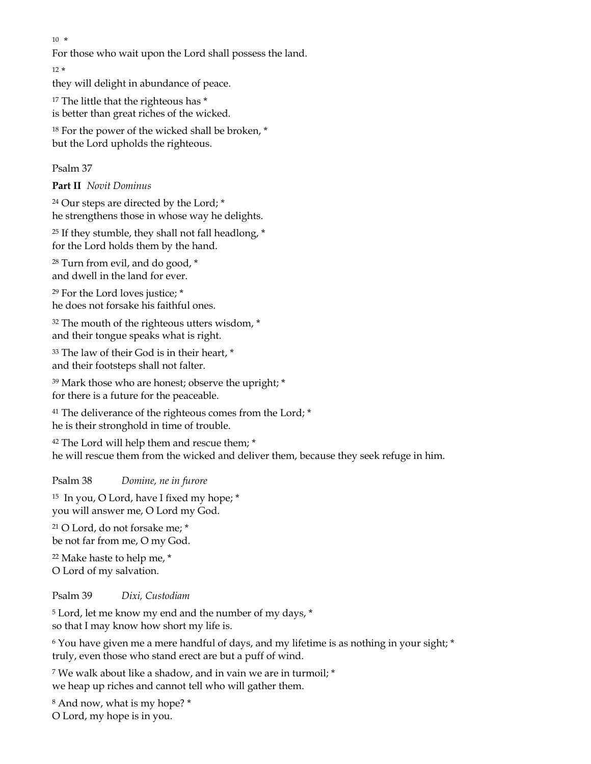$10 *$ 

For those who wait upon the Lord shall possess the land.

 $12 *$ 

they will delight in abundance of peace.

<sup>17</sup> The little that the righteous has \* is better than great riches of the wicked.

<sup>18</sup> For the power of the wicked shall be broken, \* but the Lord upholds the righteous.

Psalm 37

**Part II** *Novit Dominus*

<sup>24</sup> Our steps are directed by the Lord; \* he strengthens those in whose way he delights.

 $25$  If they stumble, they shall not fall headlong,  $*$ for the Lord holds them by the hand.

<sup>28</sup> Turn from evil, and do good, \* and dwell in the land for ever.

<sup>29</sup> For the Lord loves justice; \* he does not forsake his faithful ones.

<sup>32</sup> The mouth of the righteous utters wisdom, \* and their tongue speaks what is right.

<sup>33</sup> The law of their God is in their heart, \* and their footsteps shall not falter.

<sup>39</sup> Mark those who are honest; observe the upright; \* for there is a future for the peaceable.

<sup>41</sup> The deliverance of the righteous comes from the Lord; \* he is their stronghold in time of trouble.

<sup>42</sup> The Lord will help them and rescue them; \* he will rescue them from the wicked and deliver them, because they seek refuge in him.

Psalm 38 *Domine, ne in furore*

<sup>15</sup> In you, O Lord, have I fixed my hope; \* you will answer me, O Lord my God.

<sup>21</sup> O Lord, do not forsake me; \* be not far from me, O my God.

<sup>22</sup> Make haste to help me, \* O Lord of my salvation.

Psalm 39 *Dixi, Custodiam*

<sup>5</sup> Lord, let me know my end and the number of my days, \* so that I may know how short my life is.

 $6$  You have given me a mere handful of days, and my lifetime is as nothing in your sight;  $*$ truly, even those who stand erect are but a puff of wind.

<sup>7</sup> We walk about like a shadow, and in vain we are in turmoil; \* we heap up riches and cannot tell who will gather them.

<sup>8</sup> And now, what is my hope? \* O Lord, my hope is in you.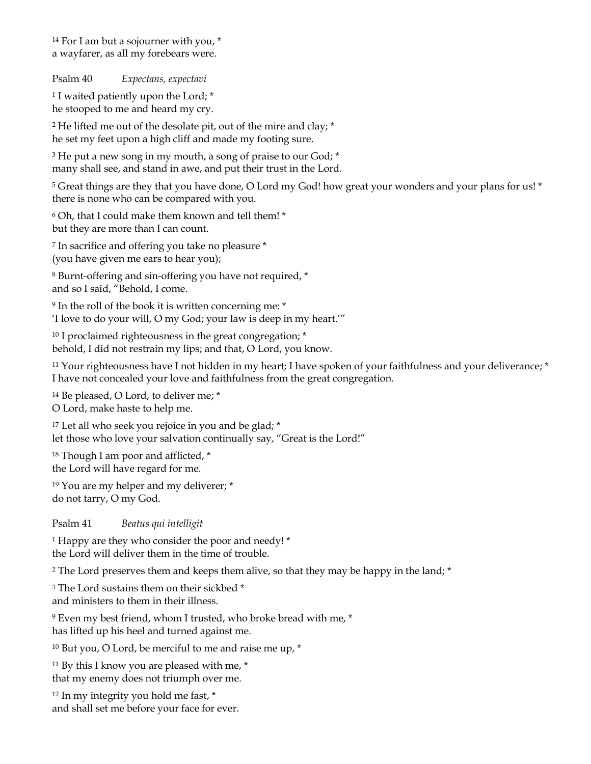<sup>14</sup> For I am but a sojourner with you, \* a wayfarer, as all my forebears were.

Psalm 40 *Expectans, expectavi*

<sup>1</sup> I waited patiently upon the Lord; \* he stooped to me and heard my cry.

<sup>2</sup> He lifted me out of the desolate pit, out of the mire and clay; \* he set my feet upon a high cliff and made my footing sure.

<sup>3</sup> He put a new song in my mouth, a song of praise to our God; \* many shall see, and stand in awe, and put their trust in the Lord.

<sup>5</sup> Great things are they that you have done, O Lord my God! how great your wonders and your plans for us! \* there is none who can be compared with you.

<sup>6</sup> Oh, that I could make them known and tell them! \* but they are more than I can count.

<sup>7</sup> In sacrifice and offering you take no pleasure \* (you have given me ears to hear you);

<sup>8</sup> Burnt-offering and sin-offering you have not required, \* and so I said, "Behold, I come.

<sup>9</sup> In the roll of the book it is written concerning me: \* 'I love to do your will, O my God; your law is deep in my heart.'"

<sup>10</sup> I proclaimed righteousness in the great congregation; \* behold, I did not restrain my lips; and that, O Lord, you know.

<sup>11</sup> Your righteousness have I not hidden in my heart; I have spoken of your faithfulness and your deliverance; \* I have not concealed your love and faithfulness from the great congregation.

<sup>14</sup> Be pleased, O Lord, to deliver me; \* O Lord, make haste to help me.

<sup>17</sup> Let all who seek you rejoice in you and be glad; \* let those who love your salvation continually say, "Great is the Lord!"

<sup>18</sup> Though I am poor and afflicted,  $*$ the Lord will have regard for me.

<sup>19</sup> You are my helper and my deliverer; \* do not tarry, O my God.

Psalm 41 *Beatus qui intelligit*

<sup>1</sup> Happy are they who consider the poor and needy! \* the Lord will deliver them in the time of trouble.

<sup>2</sup> The Lord preserves them and keeps them alive, so that they may be happy in the land;  $*$ 

<sup>3</sup> The Lord sustains them on their sickbed \* and ministers to them in their illness.

<sup>9</sup> Even my best friend, whom I trusted, who broke bread with me, \* has lifted up his heel and turned against me.

 $10$  But you, O Lord, be merciful to me and raise me up,  $*$ 

 $11$  By this I know you are pleased with me,  $*$ that my enemy does not triumph over me.

<sup>12</sup> In my integrity you hold me fast, \* and shall set me before your face for ever.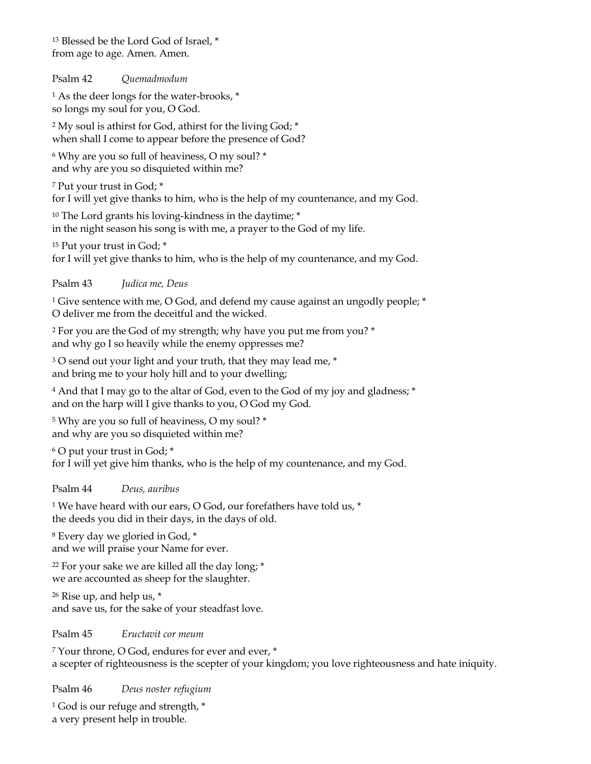<sup>13</sup> Blessed be the Lord God of Israel, \* from age to age. Amen. Amen.

Psalm 42 *Quemadmodum*

<sup>1</sup> As the deer longs for the water-brooks, \* so longs my soul for you, O God.

<sup>2</sup> My soul is athirst for God, athirst for the living God; \* when shall I come to appear before the presence of God?

<sup>6</sup> Why are you so full of heaviness, O my soul? \* and why are you so disquieted within me?

<sup>7</sup> Put your trust in God; \*

for I will yet give thanks to him, who is the help of my countenance, and my God.

<sup>10</sup> The Lord grants his loving-kindness in the daytime; \*

in the night season his song is with me, a prayer to the God of my life.

<sup>15</sup> Put your trust in God; \*

for I will yet give thanks to him, who is the help of my countenance, and my God.

Psalm 43 *Judica me, Deus*

<sup>1</sup> Give sentence with me, O God, and defend my cause against an ungodly people; \* O deliver me from the deceitful and the wicked.

<sup>2</sup> For you are the God of my strength; why have you put me from you? \* and why go I so heavily while the enemy oppresses me?

<sup>3</sup> O send out your light and your truth, that they may lead me, \* and bring me to your holy hill and to your dwelling;

<sup>4</sup> And that I may go to the altar of God, even to the God of my joy and gladness; \* and on the harp will I give thanks to you, O God my God.

<sup>5</sup> Why are you so full of heaviness, O my soul? \* and why are you so disquieted within me?

<sup>6</sup> O put your trust in God; \* for I will yet give him thanks, who is the help of my countenance, and my God.

Psalm 44 *Deus, auribus*

<sup>1</sup> We have heard with our ears, O God, our forefathers have told us, \* the deeds you did in their days, in the days of old.

<sup>8</sup> Every day we gloried in God, \* and we will praise your Name for ever.

 $22$  For your sake we are killed all the day long;  $*$ we are accounted as sheep for the slaughter.

<sup>26</sup> Rise up, and help us, \* and save us, for the sake of your steadfast love.

Psalm 45 *Eructavit cor meum*

<sup>7</sup> Your throne, O God, endures for ever and ever, \* a scepter of righteousness is the scepter of your kingdom; you love righteousness and hate iniquity.

Psalm 46 *Deus noster refugium*

<sup>1</sup> God is our refuge and strength, \* a very present help in trouble.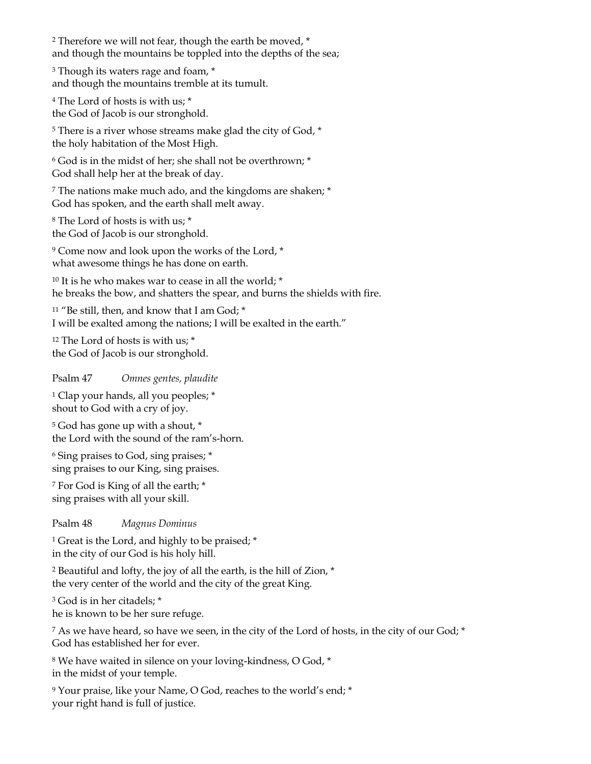<sup>2</sup> Therefore we will not fear, though the earth be moved, \* and though the mountains be toppled into the depths of the sea;

<sup>3</sup> Though its waters rage and foam,  $*$ and though the mountains tremble at its tumult.

<sup>4</sup> The Lord of hosts is with us; \* the God of Jacob is our stronghold.

<sup>5</sup> There is a river whose streams make glad the city of God,  $*$ the holy habitation of the Most High.

<sup>6</sup> God is in the midst of her; she shall not be overthrown; \* God shall help her at the break of day.

<sup>7</sup> The nations make much ado, and the kingdoms are shaken; \* God has spoken, and the earth shall melt away.

<sup>8</sup> The Lord of hosts is with us; \* the God of Jacob is our stronghold.

<sup>9</sup> Come now and look upon the works of the Lord, \* what awesome things he has done on earth.

<sup>10</sup> It is he who makes war to cease in all the world; \* he breaks the bow, and shatters the spear, and burns the shields with fire.

<sup>11</sup> "Be still, then, and know that I am God; \* I will be exalted among the nations; I will be exalted in the earth."

<sup>12</sup> The Lord of hosts is with us; \* the God of Jacob is our stronghold.

Psalm 47 *Omnes gentes, plaudite*

<sup>1</sup> Clap your hands, all you peoples; \* shout to God with a cry of joy.

<sup>5</sup> God has gone up with a shout, \* the Lord with the sound of the ram's-horn.

<sup>6</sup> Sing praises to God, sing praises; \* sing praises to our King, sing praises.

<sup>7</sup> For God is King of all the earth; \* sing praises with all your skill.

Psalm 48 *Magnus Dominus*

<sup>1</sup> Great is the Lord, and highly to be praised; \* in the city of our God is his holy hill.

<sup>2</sup> Beautiful and lofty, the joy of all the earth, is the hill of Zion, \* the very center of the world and the city of the great King.

<sup>3</sup> God is in her citadels; \*

he is known to be her sure refuge.

<sup>7</sup> As we have heard, so have we seen, in the city of the Lord of hosts, in the city of our God; \* God has established her for ever.

<sup>8</sup> We have waited in silence on your loving-kindness, O God, \* in the midst of your temple.

<sup>9</sup> Your praise, like your Name, O God, reaches to the world's end; \* your right hand is full of justice.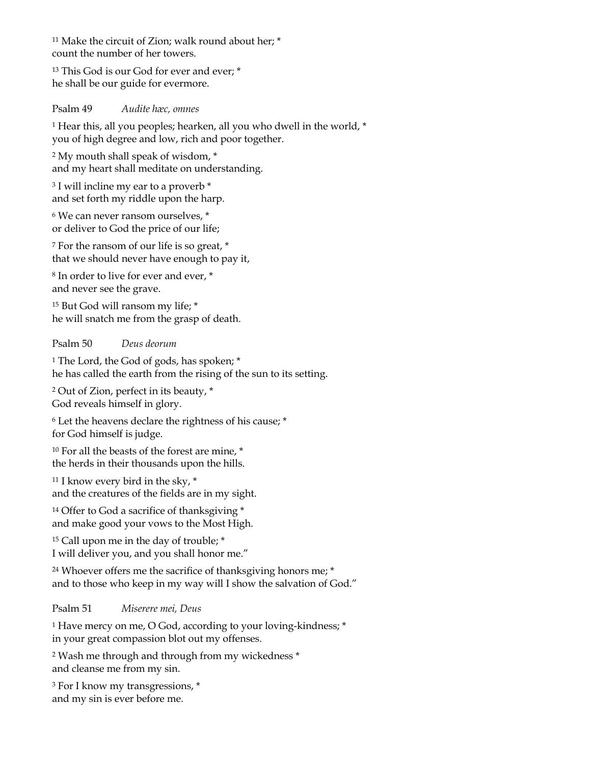<sup>11</sup> Make the circuit of Zion; walk round about her; \* count the number of her towers.

<sup>13</sup> This God is our God for ever and ever; \* he shall be our guide for evermore.

Psalm 49 *Audite hæc, omnes*

<sup>1</sup> Hear this, all you peoples; hearken, all you who dwell in the world, \* you of high degree and low, rich and poor together.

<sup>2</sup> My mouth shall speak of wisdom, \* and my heart shall meditate on understanding.

<sup>3</sup> I will incline my ear to a proverb  $*$ and set forth my riddle upon the harp.

<sup>6</sup> We can never ransom ourselves, \* or deliver to God the price of our life;

<sup>7</sup> For the ransom of our life is so great, \* that we should never have enough to pay it,

<sup>8</sup> In order to live for ever and ever, \* and never see the grave.

<sup>15</sup> But God will ransom my life; \* he will snatch me from the grasp of death.

Psalm 50 *Deus deorum*

<sup>1</sup> The Lord, the God of gods, has spoken; \* he has called the earth from the rising of the sun to its setting.

<sup>2</sup> Out of Zion, perfect in its beauty, \* God reveals himself in glory.

<sup>6</sup> Let the heavens declare the rightness of his cause; \* for God himself is judge.

<sup>10</sup> For all the beasts of the forest are mine,  $*$ the herds in their thousands upon the hills.

<sup>11</sup> I know every bird in the sky,  $*$ and the creatures of the fields are in my sight.

<sup>14</sup> Offer to God a sacrifice of thanksgiving \* and make good your vows to the Most High.

<sup>15</sup> Call upon me in the day of trouble; \* I will deliver you, and you shall honor me."

<sup>24</sup> Whoever offers me the sacrifice of thanksgiving honors me; \* and to those who keep in my way will I show the salvation of God."

# Psalm 51 *Miserere mei, Deus*

<sup>1</sup> Have mercy on me, O God, according to your loving-kindness; \* in your great compassion blot out my offenses.

<sup>2</sup> Wash me through and through from my wickedness \* and cleanse me from my sin.

<sup>3</sup> For I know my transgressions, \* and my sin is ever before me.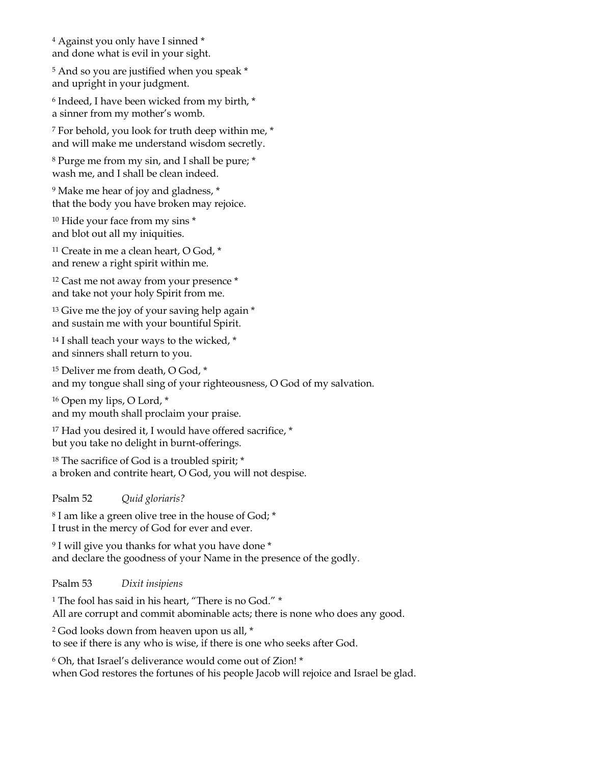<sup>4</sup> Against you only have I sinned \* and done what is evil in your sight.

<sup>5</sup> And so you are justified when you speak \* and upright in your judgment.

<sup>6</sup> Indeed, I have been wicked from my birth, \* a sinner from my mother's womb.

<sup>7</sup> For behold, you look for truth deep within me, \* and will make me understand wisdom secretly.

<sup>8</sup> Purge me from my sin, and I shall be pure; \* wash me, and I shall be clean indeed.

<sup>9</sup> Make me hear of joy and gladness, \* that the body you have broken may rejoice.

<sup>10</sup> Hide your face from my sins \* and blot out all my iniquities.

<sup>11</sup> Create in me a clean heart, O God, \* and renew a right spirit within me.

<sup>12</sup> Cast me not away from your presence \* and take not your holy Spirit from me.

<sup>13</sup> Give me the joy of your saving help again \* and sustain me with your bountiful Spirit.

<sup>14</sup> I shall teach your ways to the wicked, \* and sinners shall return to you.

<sup>15</sup> Deliver me from death, O God, \* and my tongue shall sing of your righteousness, O God of my salvation.

<sup>16</sup> Open my lips, O Lord, \* and my mouth shall proclaim your praise.

<sup>17</sup> Had you desired it, I would have offered sacrifice, \* but you take no delight in burnt-offerings.

<sup>18</sup> The sacrifice of God is a troubled spirit; \* a broken and contrite heart, O God, you will not despise.

Psalm 52 *Quid gloriaris?*

<sup>8</sup> I am like a green olive tree in the house of God; \* I trust in the mercy of God for ever and ever.

<sup>9</sup> I will give you thanks for what you have done \* and declare the goodness of your Name in the presence of the godly.

Psalm 53 *Dixit insipiens*

<sup>1</sup> The fool has said in his heart, "There is no God." \* All are corrupt and commit abominable acts; there is none who does any good.

<sup>2</sup> God looks down from heaven upon us all, \* to see if there is any who is wise, if there is one who seeks after God.

<sup>6</sup> Oh, that Israel's deliverance would come out of Zion! \* when God restores the fortunes of his people Jacob will rejoice and Israel be glad.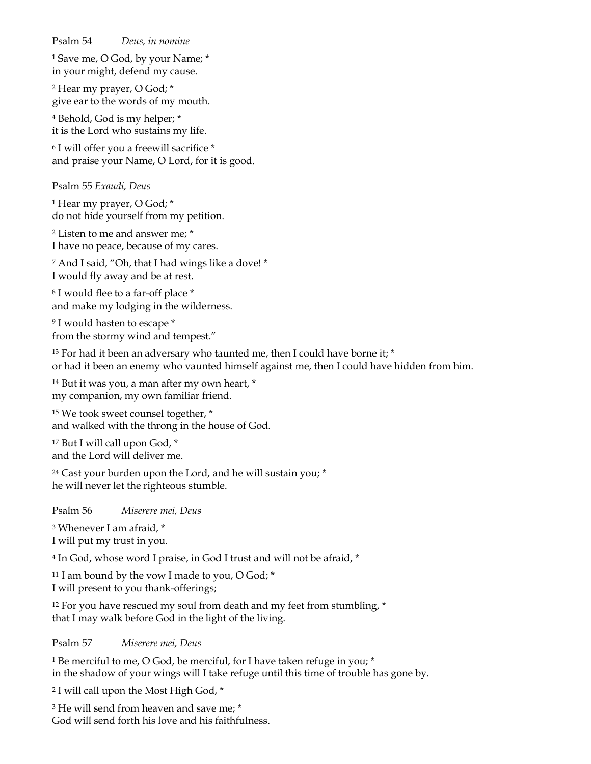Psalm 54 *Deus, in nomine*

<sup>1</sup> Save me, O God, by your Name; \* in your might, defend my cause.

<sup>2</sup> Hear my prayer, O God; \* give ear to the words of my mouth.

<sup>4</sup> Behold, God is my helper; \* it is the Lord who sustains my life.

<sup>6</sup> I will offer you a freewill sacrifice \* and praise your Name, O Lord, for it is good.

Psalm 55 *Exaudi, Deus*

<sup>1</sup> Hear my prayer, O God; \* do not hide yourself from my petition.

<sup>2</sup> Listen to me and answer me; \* I have no peace, because of my cares.

<sup>7</sup> And I said, "Oh, that I had wings like a dove! \* I would fly away and be at rest.

<sup>8</sup> I would flee to a far-off place \* and make my lodging in the wilderness.

<sup>9</sup> I would hasten to escape \* from the stormy wind and tempest."

<sup>13</sup> For had it been an adversary who taunted me, then I could have borne it; \* or had it been an enemy who vaunted himself against me, then I could have hidden from him.

<sup>14</sup> But it was you, a man after my own heart,  $*$ my companion, my own familiar friend.

<sup>15</sup> We took sweet counsel together, \* and walked with the throng in the house of God.

<sup>17</sup> But I will call upon God,  $*$ and the Lord will deliver me.

<sup>24</sup> Cast your burden upon the Lord, and he will sustain you;  $*$ he will never let the righteous stumble.

Psalm 56 *Miserere mei, Deus*

<sup>3</sup> Whenever I am afraid, \* I will put my trust in you.

<sup>4</sup> In God, whose word I praise, in God I trust and will not be afraid, \*

<sup>11</sup> I am bound by the vow I made to you, O God;  $*$ I will present to you thank-offerings;

<sup>12</sup> For you have rescued my soul from death and my feet from stumbling,  $*$ that I may walk before God in the light of the living.

Psalm 57 *Miserere mei, Deus*

<sup>1</sup> Be merciful to me, O God, be merciful, for I have taken refuge in you; \* in the shadow of your wings will I take refuge until this time of trouble has gone by.

<sup>2</sup> I will call upon the Most High God, \*

<sup>3</sup> He will send from heaven and save me; \* God will send forth his love and his faithfulness.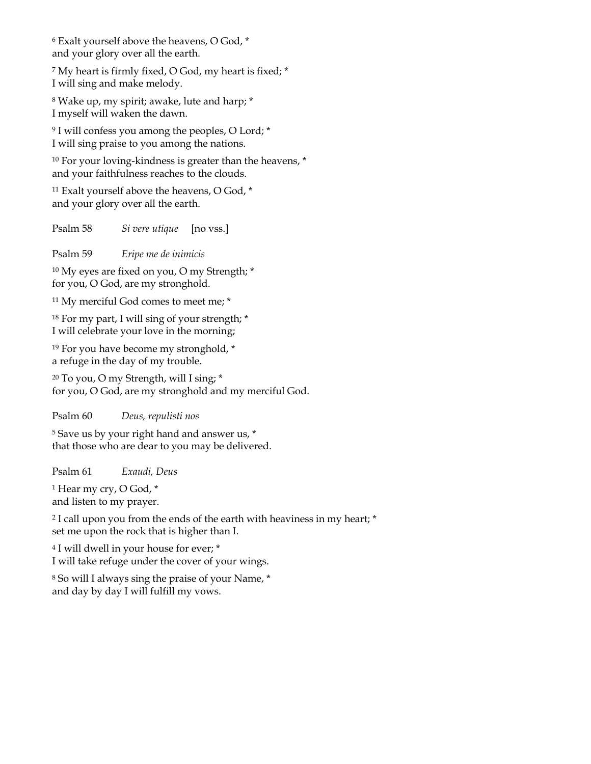<sup>6</sup> Exalt yourself above the heavens, O God, \* and your glory over all the earth.

<sup>7</sup> My heart is firmly fixed, O God, my heart is fixed; \* I will sing and make melody.

<sup>8</sup> Wake up, my spirit; awake, lute and harp; \* I myself will waken the dawn.

<sup>9</sup> I will confess you among the peoples, O Lord; \* I will sing praise to you among the nations.

<sup>10</sup> For your loving-kindness is greater than the heavens, \* and your faithfulness reaches to the clouds.

<sup>11</sup> Exalt yourself above the heavens, O God, \* and your glory over all the earth.

Psalm 58 *Si vere utique* [no vss.]

Psalm 59 *Eripe me de inimicis*

<sup>10</sup> My eyes are fixed on you, O my Strength; \* for you, O God, are my stronghold.

<sup>11</sup> My merciful God comes to meet me; \*

<sup>18</sup> For my part, I will sing of your strength; \* I will celebrate your love in the morning;

<sup>19</sup> For you have become my stronghold, \* a refuge in the day of my trouble.

<sup>20</sup> To you, O my Strength, will I sing; \* for you, O God, are my stronghold and my merciful God.

Psalm 60 *Deus, repulisti nos*

<sup>5</sup> Save us by your right hand and answer us,  $*$ that those who are dear to you may be delivered.

Psalm 61 *Exaudi, Deus*

<sup>1</sup> Hear my cry, O God, \* and listen to my prayer.

<sup>2</sup> I call upon you from the ends of the earth with heaviness in my heart; \* set me upon the rock that is higher than I.

<sup>4</sup> I will dwell in your house for ever; \* I will take refuge under the cover of your wings.

<sup>8</sup> So will I always sing the praise of your Name, \* and day by day I will fulfill my vows.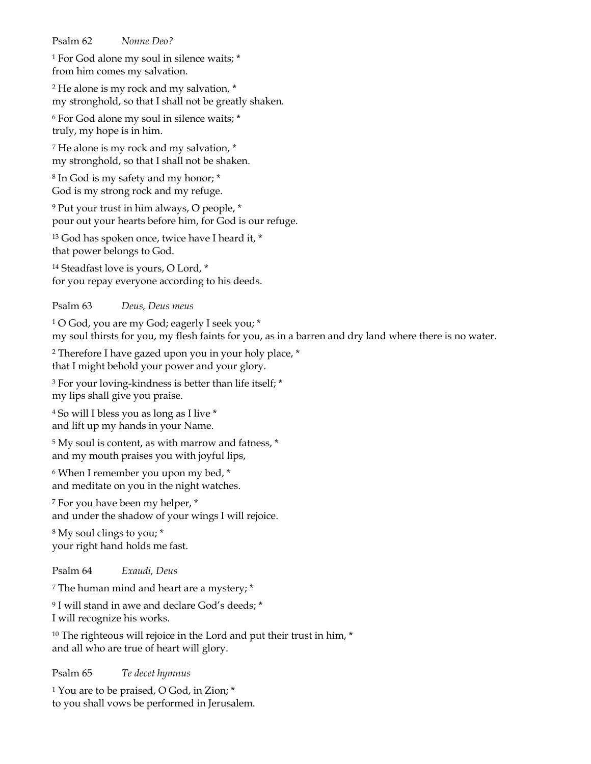Psalm 62 *Nonne Deo?*

<sup>1</sup> For God alone my soul in silence waits; \* from him comes my salvation.

<sup>2</sup> He alone is my rock and my salvation, \* my stronghold, so that I shall not be greatly shaken.

<sup>6</sup> For God alone my soul in silence waits; \* truly, my hope is in him.

<sup>7</sup> He alone is my rock and my salvation, \* my stronghold, so that I shall not be shaken.

<sup>8</sup> In God is my safety and my honor; \* God is my strong rock and my refuge.

<sup>9</sup> Put your trust in him always, O people, \* pour out your hearts before him, for God is our refuge.

<sup>13</sup> God has spoken once, twice have I heard it, \* that power belongs to God.

<sup>14</sup> Steadfast love is yours, O Lord, \* for you repay everyone according to his deeds.

Psalm 63 *Deus, Deus meus*

<sup>1</sup> O God, you are my God; eagerly I seek you; \* my soul thirsts for you, my flesh faints for you, as in a barren and dry land where there is no water.

<sup>2</sup> Therefore I have gazed upon you in your holy place, \* that I might behold your power and your glory.

<sup>3</sup> For your loving-kindness is better than life itself; \* my lips shall give you praise.

<sup>4</sup> So will I bless you as long as I live \* and lift up my hands in your Name.

<sup>5</sup> My soul is content, as with marrow and fatness, \* and my mouth praises you with joyful lips,

<sup>6</sup> When I remember you upon my bed, \* and meditate on you in the night watches.

<sup>7</sup> For you have been my helper, \* and under the shadow of your wings I will rejoice.

<sup>8</sup> My soul clings to you; \* your right hand holds me fast.

Psalm 64 *Exaudi, Deus*

<sup>7</sup> The human mind and heart are a mystery; \*

<sup>9</sup> I will stand in awe and declare God's deeds; \* I will recognize his works.

<sup>10</sup> The righteous will rejoice in the Lord and put their trust in him, \* and all who are true of heart will glory.

Psalm 65 *Te decet hymnus*

<sup>1</sup> You are to be praised, O God, in Zion; \* to you shall vows be performed in Jerusalem.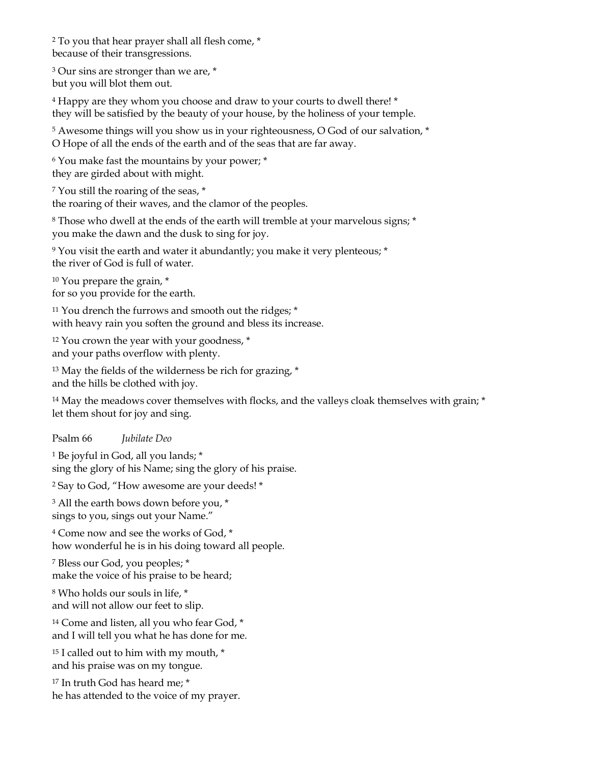<sup>2</sup> To you that hear prayer shall all flesh come, \* because of their transgressions.

<sup>3</sup> Our sins are stronger than we are, \* but you will blot them out.

<sup>4</sup> Happy are they whom you choose and draw to your courts to dwell there! \* they will be satisfied by the beauty of your house, by the holiness of your temple.

<sup>5</sup> Awesome things will you show us in your righteousness, O God of our salvation, \* O Hope of all the ends of the earth and of the seas that are far away.

<sup>6</sup> You make fast the mountains by your power; \* they are girded about with might.

<sup>7</sup> You still the roaring of the seas, \* the roaring of their waves, and the clamor of the peoples.

<sup>8</sup> Those who dwell at the ends of the earth will tremble at your marvelous signs; \* you make the dawn and the dusk to sing for joy.

<sup>9</sup> You visit the earth and water it abundantly; you make it very plenteous; \* the river of God is full of water.

<sup>10</sup> You prepare the grain, \* for so you provide for the earth.

<sup>11</sup> You drench the furrows and smooth out the ridges; \* with heavy rain you soften the ground and bless its increase.

<sup>12</sup> You crown the year with your goodness, \* and your paths overflow with plenty.

<sup>13</sup> May the fields of the wilderness be rich for grazing, \* and the hills be clothed with joy.

 $14$  May the meadows cover themselves with flocks, and the valleys cloak themselves with grain;  $*$ let them shout for joy and sing.

Psalm 66 *Jubilate Deo*

<sup>1</sup> Be joyful in God, all you lands; \* sing the glory of his Name; sing the glory of his praise.

<sup>2</sup> Say to God, "How awesome are your deeds! \*

<sup>3</sup> All the earth bows down before you, \* sings to you, sings out your Name."

<sup>4</sup> Come now and see the works of God, \* how wonderful he is in his doing toward all people.

<sup>7</sup> Bless our God, you peoples; \* make the voice of his praise to be heard;

<sup>8</sup> Who holds our souls in life, \* and will not allow our feet to slip.

<sup>14</sup> Come and listen, all you who fear God, \* and I will tell you what he has done for me.

<sup>15</sup> I called out to him with my mouth,  $*$ and his praise was on my tongue.

<sup>17</sup> In truth God has heard me; \* he has attended to the voice of my prayer.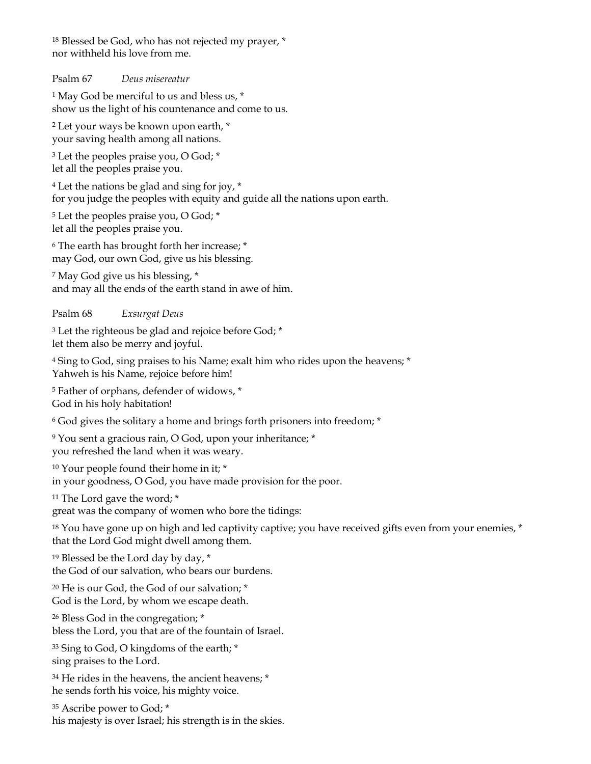<sup>18</sup> Blessed be God, who has not rejected my prayer, \* nor withheld his love from me.

Psalm 67 *Deus misereatur*

<sup>1</sup> May God be merciful to us and bless us, \* show us the light of his countenance and come to us.

<sup>2</sup> Let your ways be known upon earth, \* your saving health among all nations.

<sup>3</sup> Let the peoples praise you, O God; \* let all the peoples praise you.

<sup>4</sup> Let the nations be glad and sing for joy, \* for you judge the peoples with equity and guide all the nations upon earth.

<sup>5</sup> Let the peoples praise you, O God; \* let all the peoples praise you.

<sup>6</sup> The earth has brought forth her increase; \* may God, our own God, give us his blessing.

<sup>7</sup> May God give us his blessing, \* and may all the ends of the earth stand in awe of him.

Psalm 68 *Exsurgat Deus*

<sup>3</sup> Let the righteous be glad and rejoice before God; \* let them also be merry and joyful.

<sup>4</sup> Sing to God, sing praises to his Name; exalt him who rides upon the heavens; \* Yahweh is his Name, rejoice before him!

<sup>5</sup> Father of orphans, defender of widows, \* God in his holy habitation!

<sup>6</sup> God gives the solitary a home and brings forth prisoners into freedom; \*

<sup>9</sup> You sent a gracious rain, O God, upon your inheritance; \* you refreshed the land when it was weary.

<sup>10</sup> Your people found their home in it; \* in your goodness, O God, you have made provision for the poor.

<sup>11</sup> The Lord gave the word; \*

great was the company of women who bore the tidings:

<sup>18</sup> You have gone up on high and led captivity captive; you have received gifts even from your enemies, \* that the Lord God might dwell among them.

<sup>19</sup> Blessed be the Lord day by day, \* the God of our salvation, who bears our burdens.

<sup>20</sup> He is our God, the God of our salvation; \* God is the Lord, by whom we escape death.

<sup>26</sup> Bless God in the congregation; \* bless the Lord, you that are of the fountain of Israel.

<sup>33</sup> Sing to God, O kingdoms of the earth; \* sing praises to the Lord.

<sup>34</sup> He rides in the heavens, the ancient heavens; \* he sends forth his voice, his mighty voice.

<sup>35</sup> Ascribe power to God; \* his majesty is over Israel; his strength is in the skies.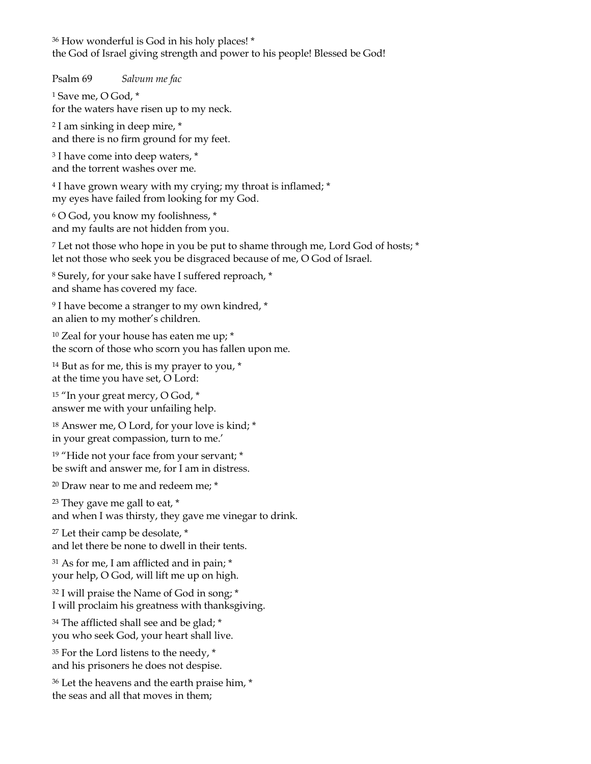<sup>36</sup> How wonderful is God in his holy places! \* the God of Israel giving strength and power to his people! Blessed be God!

Psalm 69 *Salvum me fac*

<sup>1</sup> Save me, O God, \* for the waters have risen up to my neck.

<sup>2</sup> I am sinking in deep mire, \* and there is no firm ground for my feet.

<sup>3</sup> I have come into deep waters, \* and the torrent washes over me.

<sup>4</sup> I have grown weary with my crying; my throat is inflamed; \* my eyes have failed from looking for my God.

<sup>6</sup> O God, you know my foolishness, \* and my faults are not hidden from you.

<sup>7</sup> Let not those who hope in you be put to shame through me, Lord God of hosts; \* let not those who seek you be disgraced because of me, O God of Israel.

<sup>8</sup> Surely, for your sake have I suffered reproach, \* and shame has covered my face.

<sup>9</sup> I have become a stranger to my own kindred, \* an alien to my mother's children.

<sup>10</sup> Zeal for your house has eaten me up; \* the scorn of those who scorn you has fallen upon me.

 $14$  But as for me, this is my prayer to you,  $*$ at the time you have set, O Lord:

<sup>15</sup> "In your great mercy, O God, \* answer me with your unfailing help.

<sup>18</sup> Answer me, O Lord, for your love is kind; \* in your great compassion, turn to me.'

<sup>19</sup> "Hide not your face from your servant; \* be swift and answer me, for I am in distress.

<sup>20</sup> Draw near to me and redeem me; \*

<sup>23</sup> They gave me gall to eat,  $*$ and when I was thirsty, they gave me vinegar to drink.

<sup>27</sup> Let their camp be desolate, \* and let there be none to dwell in their tents.

<sup>31</sup> As for me, I am afflicted and in pain; \* your help, O God, will lift me up on high.

<sup>32</sup> I will praise the Name of God in song; \* I will proclaim his greatness with thanksgiving.

<sup>34</sup> The afflicted shall see and be glad; \* you who seek God, your heart shall live.

<sup>35</sup> For the Lord listens to the needy,  $*$ and his prisoners he does not despise.

<sup>36</sup> Let the heavens and the earth praise him, \* the seas and all that moves in them;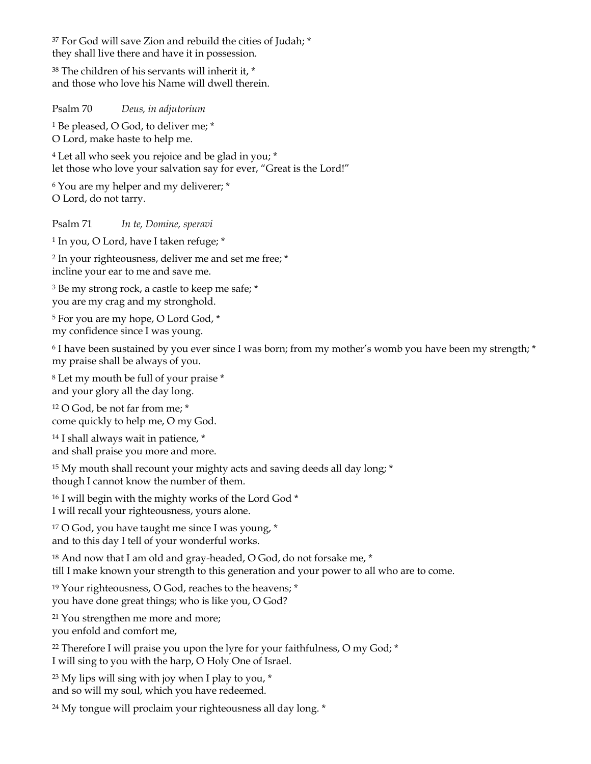<sup>37</sup> For God will save Zion and rebuild the cities of Judah; \* they shall live there and have it in possession.

<sup>38</sup> The children of his servants will inherit it, \* and those who love his Name will dwell therein.

Psalm 70 *Deus, in adjutorium*

<sup>1</sup> Be pleased, O God, to deliver me; \* O Lord, make haste to help me.

<sup>4</sup> Let all who seek you rejoice and be glad in you; \* let those who love your salvation say for ever, "Great is the Lord!"

<sup>6</sup> You are my helper and my deliverer; \* O Lord, do not tarry.

Psalm 71 *In te, Domine, speravi*

<sup>1</sup> In you, O Lord, have I taken refuge; \*

<sup>2</sup> In your righteousness, deliver me and set me free; \* incline your ear to me and save me.

<sup>3</sup> Be my strong rock, a castle to keep me safe; \* you are my crag and my stronghold.

<sup>5</sup> For you are my hope, O Lord God, \* my confidence since I was young.

<sup>6</sup> I have been sustained by you ever since I was born; from my mother's womb you have been my strength; \* my praise shall be always of you.

<sup>8</sup> Let my mouth be full of your praise \* and your glory all the day long.

<sup>12</sup> O God, be not far from me; \* come quickly to help me, O my God.

<sup>14</sup> I shall always wait in patience, \* and shall praise you more and more.

<sup>15</sup> My mouth shall recount your mighty acts and saving deeds all day long; \* though I cannot know the number of them.

<sup>16</sup> I will begin with the mighty works of the Lord God \* I will recall your righteousness, yours alone.

<sup>17</sup> O God, you have taught me since I was young, \* and to this day I tell of your wonderful works.

<sup>18</sup> And now that I am old and gray-headed, O God, do not forsake me, \* till I make known your strength to this generation and your power to all who are to come.

<sup>19</sup> Your righteousness, O God, reaches to the heavens; \* you have done great things; who is like you, O God?

<sup>21</sup> You strengthen me more and more; you enfold and comfort me,

<sup>22</sup> Therefore I will praise you upon the lyre for your faithfulness, O my God;  $*$ I will sing to you with the harp, O Holy One of Israel.

<sup>23</sup> My lips will sing with joy when I play to you,  $*$ and so will my soul, which you have redeemed.

<sup>24</sup> My tongue will proclaim your righteousness all day long. \*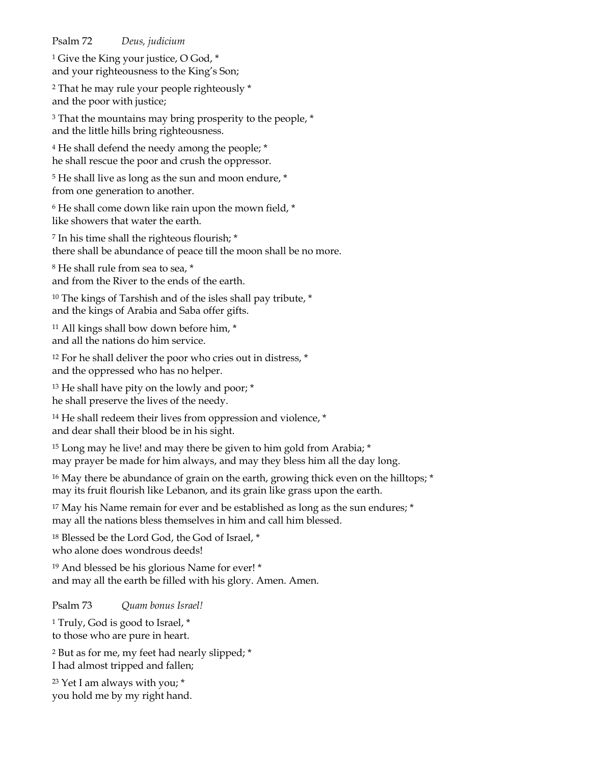Psalm 72 *Deus, judicium*

<sup>1</sup> Give the King your justice, O God, \* and your righteousness to the King's Son;

<sup>2</sup> That he may rule your people righteously \* and the poor with justice;

<sup>3</sup> That the mountains may bring prosperity to the people,  $*$ and the little hills bring righteousness.

<sup>4</sup> He shall defend the needy among the people; \* he shall rescue the poor and crush the oppressor.

<sup>5</sup> He shall live as long as the sun and moon endure, \* from one generation to another.

<sup>6</sup> He shall come down like rain upon the mown field, \* like showers that water the earth.

<sup>7</sup> In his time shall the righteous flourish; \* there shall be abundance of peace till the moon shall be no more.

<sup>8</sup> He shall rule from sea to sea, \* and from the River to the ends of the earth.

<sup>10</sup> The kings of Tarshish and of the isles shall pay tribute, \* and the kings of Arabia and Saba offer gifts.

<sup>11</sup> All kings shall bow down before him, \* and all the nations do him service.

<sup>12</sup> For he shall deliver the poor who cries out in distress, \* and the oppressed who has no helper.

<sup>13</sup> He shall have pity on the lowly and poor; \* he shall preserve the lives of the needy.

<sup>14</sup> He shall redeem their lives from oppression and violence, \* and dear shall their blood be in his sight.

<sup>15</sup> Long may he live! and may there be given to him gold from Arabia; \* may prayer be made for him always, and may they bless him all the day long.

<sup>16</sup> May there be abundance of grain on the earth, growing thick even on the hilltops;  $*$ may its fruit flourish like Lebanon, and its grain like grass upon the earth.

<sup>17</sup> May his Name remain for ever and be established as long as the sun endures; \* may all the nations bless themselves in him and call him blessed.

<sup>18</sup> Blessed be the Lord God, the God of Israel, \* who alone does wondrous deeds!

<sup>19</sup> And blessed be his glorious Name for ever! \* and may all the earth be filled with his glory. Amen. Amen.

Psalm 73 *Quam bonus Israel!*

<sup>1</sup> Truly, God is good to Israel, \* to those who are pure in heart.

<sup>2</sup> But as for me, my feet had nearly slipped; \* I had almost tripped and fallen;

<sup>23</sup> Yet I am always with you; \* you hold me by my right hand.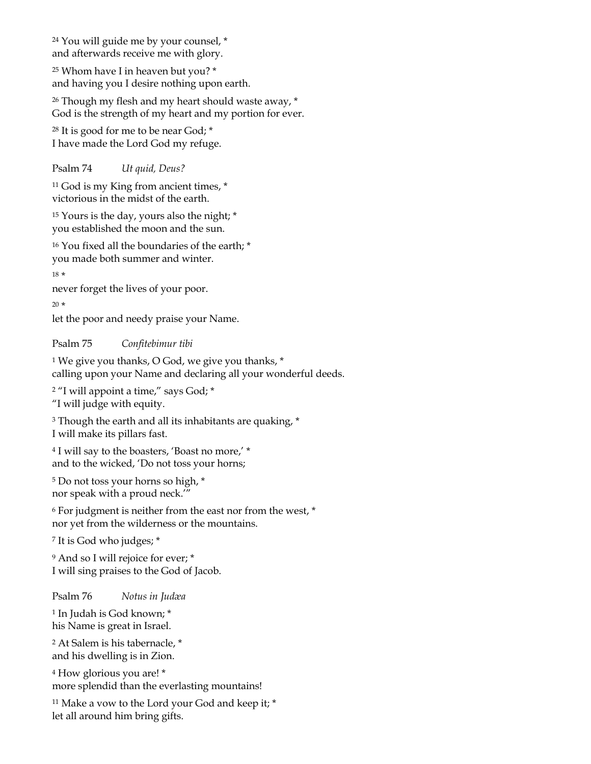<sup>24</sup> You will guide me by your counsel, \* and afterwards receive me with glory.

<sup>25</sup> Whom have I in heaven but you? \* and having you I desire nothing upon earth.

<sup>26</sup> Though my flesh and my heart should waste away, \* God is the strength of my heart and my portion for ever.

<sup>28</sup> It is good for me to be near God; \* I have made the Lord God my refuge.

# Psalm 74 *Ut quid, Deus?*

<sup>11</sup> God is my King from ancient times,  $*$ victorious in the midst of the earth.

<sup>15</sup> Yours is the day, yours also the night; \* you established the moon and the sun.

<sup>16</sup> You fixed all the boundaries of the earth; \* you made both summer and winter.

<sup>18</sup> \*

never forget the lives of your poor.

<sup>20</sup> \*

let the poor and needy praise your Name.

# Psalm 75 *Confitebimur tibi*

<sup>1</sup> We give you thanks, O God, we give you thanks,  $*$ calling upon your Name and declaring all your wonderful deeds.

<sup>2</sup> "I will appoint a time," says God; \* "I will judge with equity.

<sup>3</sup> Though the earth and all its inhabitants are quaking, \* I will make its pillars fast.

<sup>4</sup> I will say to the boasters, 'Boast no more,' \* and to the wicked, 'Do not toss your horns;

<sup>5</sup> Do not toss your horns so high, \* nor speak with a proud neck.'"

<sup>6</sup> For judgment is neither from the east nor from the west, \* nor yet from the wilderness or the mountains.

<sup>7</sup> It is God who judges; \*

<sup>9</sup> And so I will rejoice for ever; \* I will sing praises to the God of Jacob.

#### Psalm 76 *Notus in Judæa*

<sup>1</sup> In Judah is God known; \* his Name is great in Israel.

<sup>2</sup> At Salem is his tabernacle, \* and his dwelling is in Zion.

<sup>4</sup> How glorious you are! \* more splendid than the everlasting mountains!

<sup>11</sup> Make a vow to the Lord your God and keep it; \* let all around him bring gifts.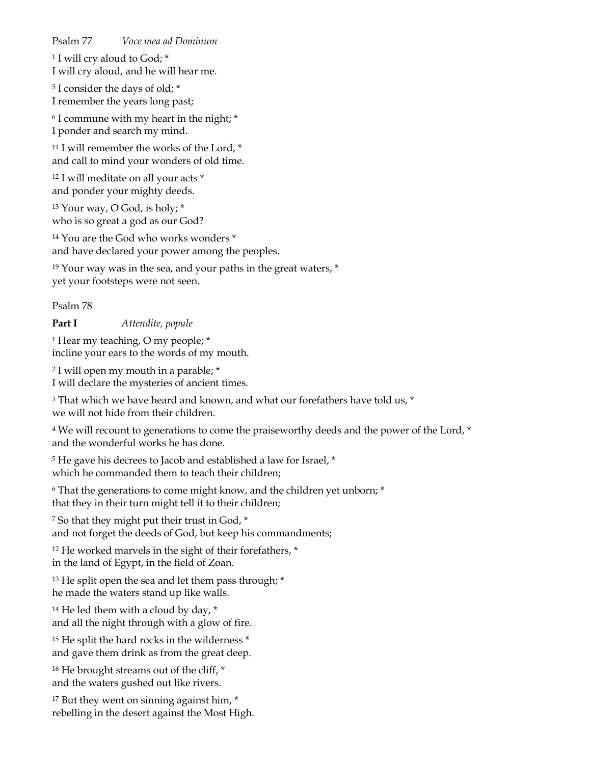### Psalm 77 *Voce mea ad Dominum*

<sup>1</sup> I will cry aloud to God; \* I will cry aloud, and he will hear me.

<sup>5</sup> I consider the days of old; \* I remember the years long past;

 $6$  I commune with my heart in the night;  $*$ I ponder and search my mind.

<sup>11</sup> I will remember the works of the Lord,  $*$ and call to mind your wonders of old time.

<sup>12</sup> I will meditate on all your acts \* and ponder your mighty deeds.

<sup>13</sup> Your way, O God, is holy; \* who is so great a god as our God?

<sup>14</sup> You are the God who works wonders \* and have declared your power among the peoples.

 $19$  Your way was in the sea, and your paths in the great waters,  $*$ yet your footsteps were not seen.

Psalm 78

### **Part I** *Attendite, popule*

<sup>1</sup> Hear my teaching, O my people; \* incline your ears to the words of my mouth.

<sup>2</sup> I will open my mouth in a parable; \* I will declare the mysteries of ancient times.

<sup>3</sup> That which we have heard and known, and what our forefathers have told us, \* we will not hide from their children.

<sup>4</sup> We will recount to generations to come the praiseworthy deeds and the power of the Lord, \* and the wonderful works he has done.

<sup>5</sup> He gave his decrees to Jacob and established a law for Israel, \* which he commanded them to teach their children;

<sup>6</sup> That the generations to come might know, and the children yet unborn; \* that they in their turn might tell it to their children;

<sup>7</sup> So that they might put their trust in God, \* and not forget the deeds of God, but keep his commandments;

<sup>12</sup> He worked marvels in the sight of their forefathers, \* in the land of Egypt, in the field of Zoan.

<sup>13</sup> He split open the sea and let them pass through; \* he made the waters stand up like walls.

 $14$  He led them with a cloud by day,  $*$ and all the night through with a glow of fire.

<sup>15</sup> He split the hard rocks in the wilderness \* and gave them drink as from the great deep.

<sup>16</sup> He brought streams out of the cliff, \* and the waters gushed out like rivers.

<sup>17</sup> But they went on sinning against him, \* rebelling in the desert against the Most High.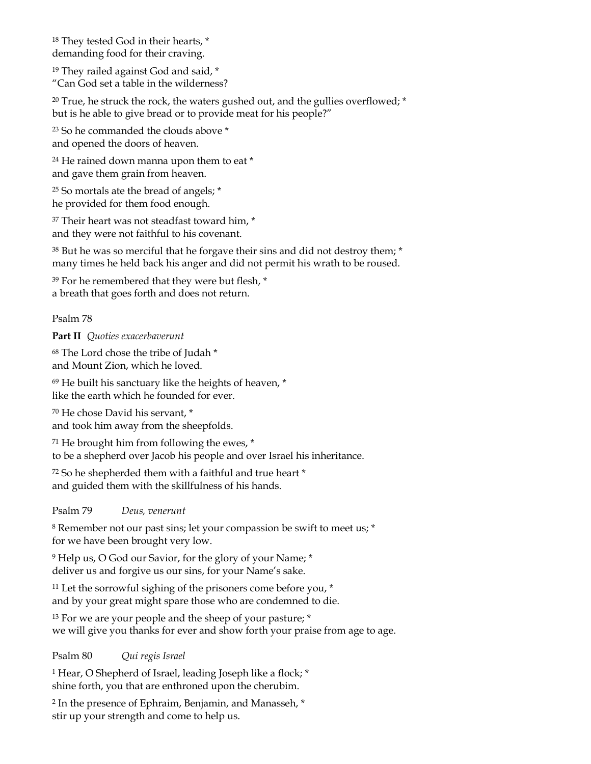<sup>18</sup> They tested God in their hearts, \* demanding food for their craving.

<sup>19</sup> They railed against God and said, \* "Can God set a table in the wilderness?

 $20$  True, he struck the rock, the waters gushed out, and the gullies overflowed;  $*$ but is he able to give bread or to provide meat for his people?"

<sup>23</sup> So he commanded the clouds above \* and opened the doors of heaven.

<sup>24</sup> He rained down manna upon them to eat \* and gave them grain from heaven.

<sup>25</sup> So mortals ate the bread of angels; \* he provided for them food enough.

<sup>37</sup> Their heart was not steadfast toward him, \* and they were not faithful to his covenant.

<sup>38</sup> But he was so merciful that he forgave their sins and did not destroy them; \* many times he held back his anger and did not permit his wrath to be roused.

<sup>39</sup> For he remembered that they were but flesh, \* a breath that goes forth and does not return.

Psalm 78

**Part II** *Quoties exacerbaverunt*

<sup>68</sup> The Lord chose the tribe of Judah \* and Mount Zion, which he loved.

<sup>69</sup> He built his sanctuary like the heights of heaven, \* like the earth which he founded for ever.

<sup>70</sup> He chose David his servant, \* and took him away from the sheepfolds.

<sup>71</sup> He brought him from following the ewes, \* to be a shepherd over Jacob his people and over Israel his inheritance.

<sup>72</sup> So he shepherded them with a faithful and true heart \* and guided them with the skillfulness of his hands.

Psalm 79 *Deus, venerunt*

<sup>8</sup> Remember not our past sins; let your compassion be swift to meet us; \* for we have been brought very low.

<sup>9</sup> Help us, O God our Savior, for the glory of your Name; \* deliver us and forgive us our sins, for your Name's sake.

 $11$  Let the sorrowful sighing of the prisoners come before you,  $*$ and by your great might spare those who are condemned to die.

<sup>13</sup> For we are your people and the sheep of your pasture; \* we will give you thanks for ever and show forth your praise from age to age.

Psalm 80 *Qui regis Israel*

<sup>1</sup> Hear, O Shepherd of Israel, leading Joseph like a flock; \* shine forth, you that are enthroned upon the cherubim.

<sup>2</sup> In the presence of Ephraim, Benjamin, and Manasseh, \* stir up your strength and come to help us.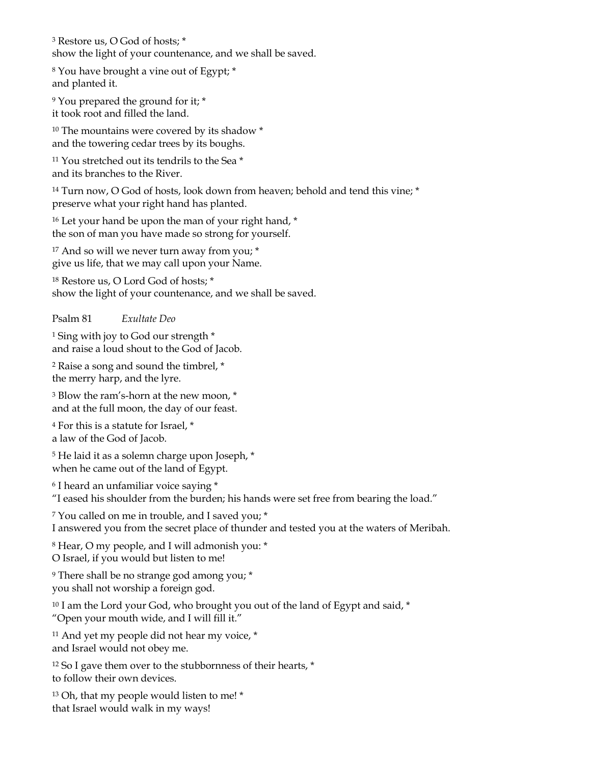<sup>3</sup> Restore us, O God of hosts; \* show the light of your countenance, and we shall be saved.

<sup>8</sup> You have brought a vine out of Egypt; \* and planted it.

<sup>9</sup> You prepared the ground for it; \* it took root and filled the land.

<sup>10</sup> The mountains were covered by its shadow \* and the towering cedar trees by its boughs.

<sup>11</sup> You stretched out its tendrils to the Sea \* and its branches to the River.

<sup>14</sup> Turn now, O God of hosts, look down from heaven; behold and tend this vine; \* preserve what your right hand has planted.

<sup>16</sup> Let your hand be upon the man of your right hand, \* the son of man you have made so strong for yourself.

<sup>17</sup> And so will we never turn away from you; \* give us life, that we may call upon your Name.

<sup>18</sup> Restore us, O Lord God of hosts; \* show the light of your countenance, and we shall be saved.

Psalm 81 *Exultate Deo*

<sup>1</sup> Sing with joy to God our strength \* and raise a loud shout to the God of Jacob.

<sup>2</sup> Raise a song and sound the timbrel, \* the merry harp, and the lyre.

<sup>3</sup> Blow the ram's-horn at the new moon, \* and at the full moon, the day of our feast.

<sup>4</sup> For this is a statute for Israel, \* a law of the God of Jacob.

<sup>5</sup> He laid it as a solemn charge upon Joseph,  $*$ when he came out of the land of Egypt.

<sup>6</sup> I heard an unfamiliar voice saying \*

"I eased his shoulder from the burden; his hands were set free from bearing the load."

<sup>7</sup> You called on me in trouble, and I saved you; \* I answered you from the secret place of thunder and tested you at the waters of Meribah.

<sup>8</sup> Hear, O my people, and I will admonish you: \* O Israel, if you would but listen to me!

<sup>9</sup> There shall be no strange god among you; \* you shall not worship a foreign god.

 $10$  I am the Lord your God, who brought you out of the land of Egypt and said,  $*$ "Open your mouth wide, and I will fill it."

<sup>11</sup> And yet my people did not hear my voice, \* and Israel would not obey me.

<sup>12</sup> So I gave them over to the stubbornness of their hearts, \* to follow their own devices.

<sup>13</sup> Oh, that my people would listen to me! \* that Israel would walk in my ways!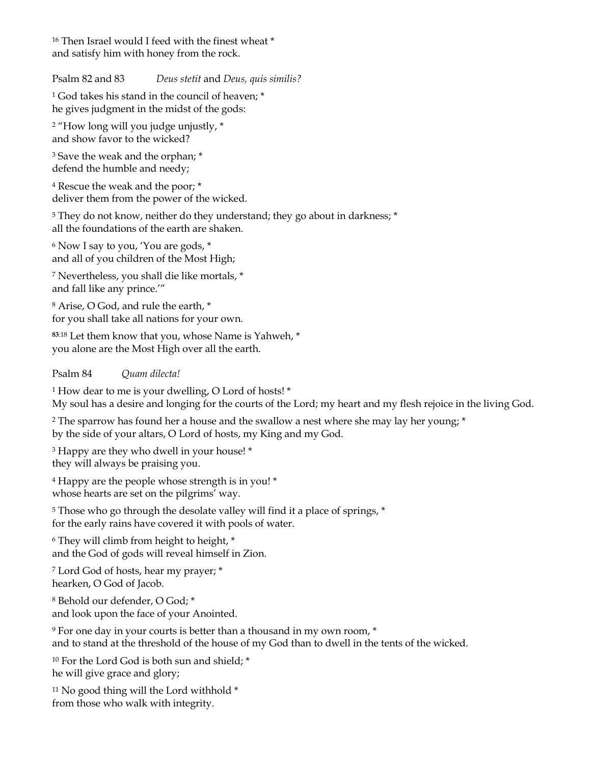<sup>16</sup> Then Israel would I feed with the finest wheat \* and satisfy him with honey from the rock.

Psalm 82 and 83 *Deus stetit* and *Deus, quis similis?*

<sup>1</sup> God takes his stand in the council of heaven; \* he gives judgment in the midst of the gods:

<sup>2</sup> "How long will you judge unjustly, \* and show favor to the wicked?

<sup>3</sup> Save the weak and the orphan; \* defend the humble and needy;

<sup>4</sup> Rescue the weak and the poor; \* deliver them from the power of the wicked.

<sup>5</sup> They do not know, neither do they understand; they go about in darkness; \* all the foundations of the earth are shaken.

<sup>6</sup> Now I say to you, 'You are gods, \* and all of you children of the Most High;

<sup>7</sup> Nevertheless, you shall die like mortals, \* and fall like any prince.'"

<sup>8</sup> Arise, O God, and rule the earth, \* for you shall take all nations for your own.

**<sup>83</sup>**:18 Let them know that you, whose Name is Yahweh, \* you alone are the Most High over all the earth.

# Psalm 84 *Quam dilecta!*

<sup>1</sup> How dear to me is your dwelling, O Lord of hosts! \* My soul has a desire and longing for the courts of the Lord; my heart and my flesh rejoice in the living God.

<sup>2</sup> The sparrow has found her a house and the swallow a nest where she may lay her young; \* by the side of your altars, O Lord of hosts, my King and my God.

<sup>3</sup> Happy are they who dwell in your house! \* they will always be praising you.

<sup>4</sup> Happy are the people whose strength is in you! \* whose hearts are set on the pilgrims' way.

<sup>5</sup> Those who go through the desolate valley will find it a place of springs, \* for the early rains have covered it with pools of water.

<sup>6</sup> They will climb from height to height, \* and the God of gods will reveal himself in Zion.

<sup>7</sup> Lord God of hosts, hear my prayer; \* hearken, O God of Jacob.

<sup>8</sup> Behold our defender, O God; \* and look upon the face of your Anointed.

<sup>9</sup> For one day in your courts is better than a thousand in my own room, \* and to stand at the threshold of the house of my God than to dwell in the tents of the wicked.

<sup>10</sup> For the Lord God is both sun and shield; \* he will give grace and glory;

 $11$  No good thing will the Lord withhold  $*$ from those who walk with integrity.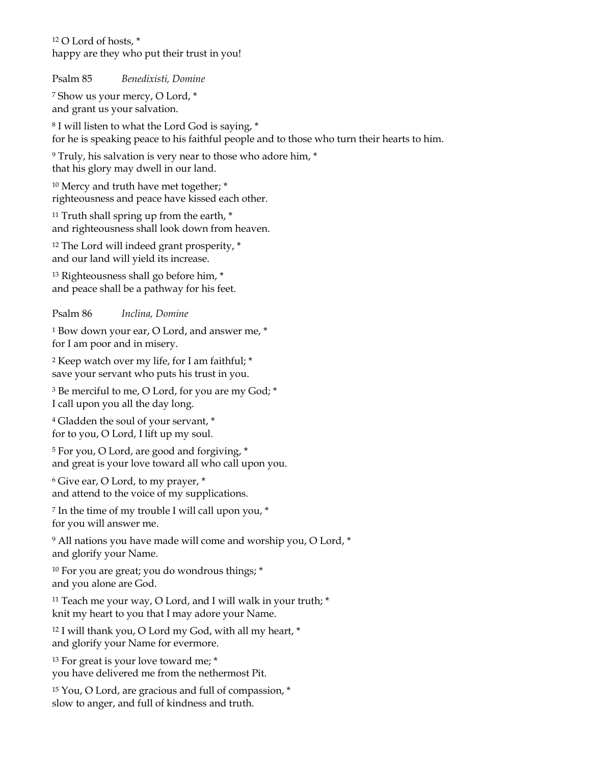<sup>12</sup> O Lord of hosts, \* happy are they who put their trust in you!

Psalm 85 *Benedixisti, Domine*

<sup>7</sup> Show us your mercy, O Lord, \* and grant us your salvation.

<sup>8</sup> I will listen to what the Lord God is saying, \* for he is speaking peace to his faithful people and to those who turn their hearts to him.

<sup>9</sup> Truly, his salvation is very near to those who adore him, \* that his glory may dwell in our land.

<sup>10</sup> Mercy and truth have met together; \* righteousness and peace have kissed each other.

<sup>11</sup> Truth shall spring up from the earth,  $*$ and righteousness shall look down from heaven.

<sup>12</sup> The Lord will indeed grant prosperity, \* and our land will yield its increase.

<sup>13</sup> Righteousness shall go before him, \* and peace shall be a pathway for his feet.

Psalm 86 *Inclina, Domine*

<sup>1</sup> Bow down your ear, O Lord, and answer me, \* for I am poor and in misery.

<sup>2</sup> Keep watch over my life, for I am faithful; \* save your servant who puts his trust in you.

<sup>3</sup> Be merciful to me, O Lord, for you are my God; \* I call upon you all the day long.

<sup>4</sup> Gladden the soul of your servant, \* for to you, O Lord, I lift up my soul.

<sup>5</sup> For you, O Lord, are good and forgiving, \* and great is your love toward all who call upon you.

 $6$  Give ear, O Lord, to my prayer,  $*$ and attend to the voice of my supplications.

<sup>7</sup> In the time of my trouble I will call upon you, \* for you will answer me.

<sup>9</sup> All nations you have made will come and worship you, O Lord, \* and glorify your Name.

<sup>10</sup> For you are great; you do wondrous things; \* and you alone are God.

<sup>11</sup> Teach me your way, O Lord, and I will walk in your truth;  $*$ knit my heart to you that I may adore your Name.

<sup>12</sup> I will thank you, O Lord my God, with all my heart, \* and glorify your Name for evermore.

<sup>13</sup> For great is your love toward me; \* you have delivered me from the nethermost Pit.

<sup>15</sup> You, O Lord, are gracious and full of compassion, \* slow to anger, and full of kindness and truth.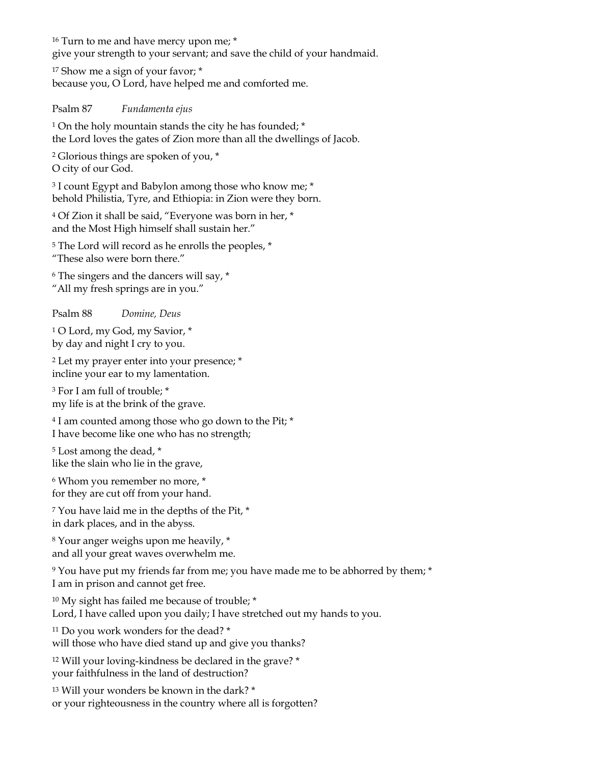<sup>16</sup> Turn to me and have mercy upon me; \*

give your strength to your servant; and save the child of your handmaid.

<sup>17</sup> Show me a sign of your favor; \* because you, O Lord, have helped me and comforted me.

# Psalm 87 *Fundamenta ejus*

<sup>1</sup> On the holy mountain stands the city he has founded; \* the Lord loves the gates of Zion more than all the dwellings of Jacob.

<sup>2</sup> Glorious things are spoken of you, \* O city of our God.

<sup>3</sup> I count Egypt and Babylon among those who know me; \* behold Philistia, Tyre, and Ethiopia: in Zion were they born.

<sup>4</sup> Of Zion it shall be said, "Everyone was born in her, \* and the Most High himself shall sustain her."

<sup>5</sup> The Lord will record as he enrolls the peoples, \*

"These also were born there."

<sup>6</sup> The singers and the dancers will say, \* "All my fresh springs are in you."

Psalm 88 *Domine, Deus*

<sup>1</sup> O Lord, my God, my Savior, \* by day and night I cry to you.

<sup>2</sup> Let my prayer enter into your presence; \* incline your ear to my lamentation.

<sup>3</sup> For I am full of trouble; \* my life is at the brink of the grave.

<sup>4</sup> I am counted among those who go down to the Pit; \* I have become like one who has no strength;

<sup>5</sup> Lost among the dead, \* like the slain who lie in the grave,

<sup>6</sup> Whom you remember no more, \* for they are cut off from your hand.

<sup>7</sup> You have laid me in the depths of the Pit, \* in dark places, and in the abyss.

<sup>8</sup> Your anger weighs upon me heavily, \* and all your great waves overwhelm me.

<sup>9</sup> You have put my friends far from me; you have made me to be abhorred by them; \* I am in prison and cannot get free.

<sup>10</sup> My sight has failed me because of trouble; \* Lord, I have called upon you daily; I have stretched out my hands to you.

<sup>11</sup> Do you work wonders for the dead? \*

will those who have died stand up and give you thanks?

<sup>12</sup> Will your loving-kindness be declared in the grave? \* your faithfulness in the land of destruction?

<sup>13</sup> Will your wonders be known in the dark? \* or your righteousness in the country where all is forgotten?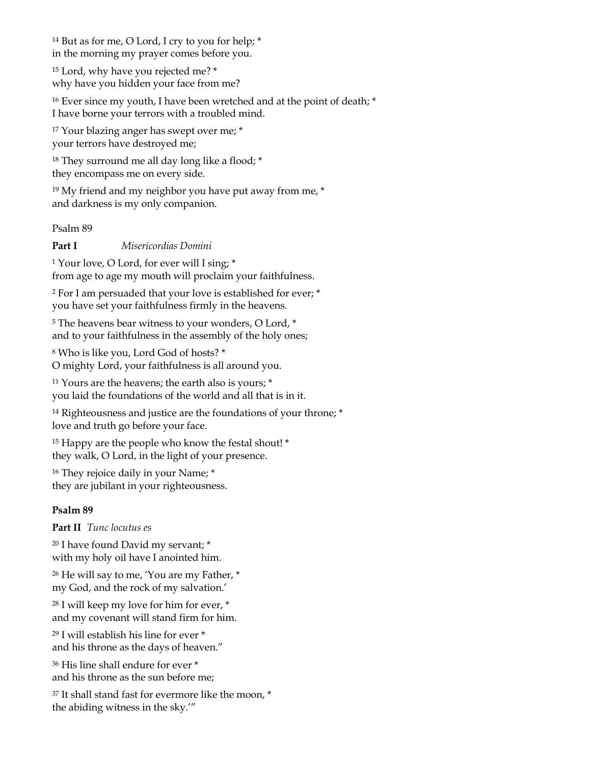<sup>14</sup> But as for me, O Lord, I cry to you for help;  $*$ in the morning my prayer comes before you.

<sup>15</sup> Lord, why have you rejected me? \* why have you hidden your face from me?

<sup>16</sup> Ever since my youth, I have been wretched and at the point of death; \* I have borne your terrors with a troubled mind.

<sup>17</sup> Your blazing anger has swept over me; \* your terrors have destroyed me;

<sup>18</sup> They surround me all day long like a flood; \* they encompass me on every side.

 $19$  My friend and my neighbor you have put away from me,  $*$ and darkness is my only companion.

Psalm 89

**Part I** *Misericordias Domini*

<sup>1</sup> Your love, O Lord, for ever will I sing; \* from age to age my mouth will proclaim your faithfulness.

<sup>2</sup> For I am persuaded that your love is established for ever; \* you have set your faithfulness firmly in the heavens.

<sup>5</sup> The heavens bear witness to your wonders, O Lord, \* and to your faithfulness in the assembly of the holy ones;

<sup>8</sup> Who is like you, Lord God of hosts? \* O mighty Lord, your faithfulness is all around you.

<sup>11</sup> Yours are the heavens; the earth also is yours; \* you laid the foundations of the world and all that is in it.

<sup>14</sup> Righteousness and justice are the foundations of your throne; \* love and truth go before your face.

<sup>15</sup> Happy are the people who know the festal shout! \* they walk, O Lord, in the light of your presence.

<sup>16</sup> They rejoice daily in your Name; \* they are jubilant in your righteousness.

# **Psalm 89**

**Part II** *Tunc locutus es*

<sup>20</sup> I have found David my servant; \* with my holy oil have I anointed him.

<sup>26</sup> He will say to me, 'You are my Father,  $*$ my God, and the rock of my salvation.'

<sup>28</sup> I will keep my love for him for ever, \* and my covenant will stand firm for him.

<sup>29</sup> I will establish his line for ever \* and his throne as the days of heaven."

<sup>36</sup> His line shall endure for ever \* and his throne as the sun before me;

<sup>37</sup> It shall stand fast for evermore like the moon, \* the abiding witness in the sky.'"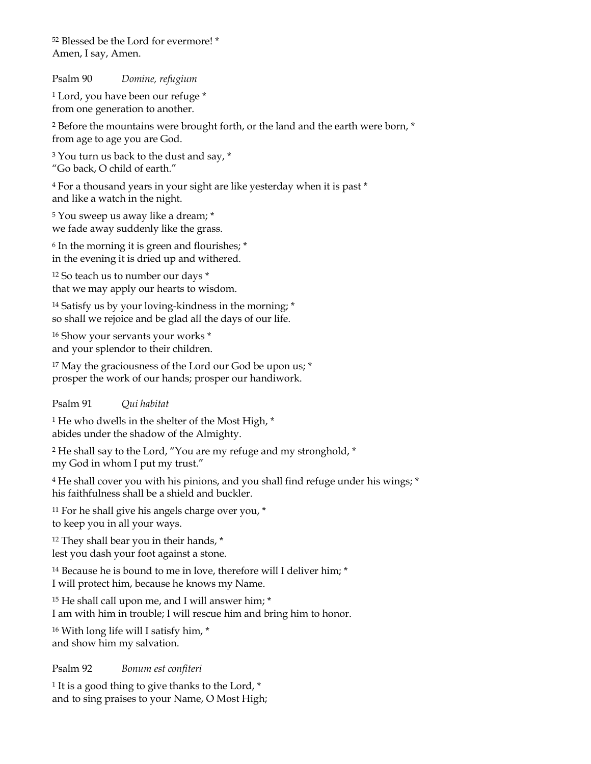<sup>52</sup> Blessed be the Lord for evermore! \* Amen, I say, Amen.

Psalm 90 *Domine, refugium*

<sup>1</sup> Lord, you have been our refuge \* from one generation to another.

<sup>2</sup> Before the mountains were brought forth, or the land and the earth were born, \* from age to age you are God.

<sup>3</sup> You turn us back to the dust and say, \* "Go back, O child of earth."

<sup>4</sup> For a thousand years in your sight are like yesterday when it is past \* and like a watch in the night.

<sup>5</sup> You sweep us away like a dream; \* we fade away suddenly like the grass.

<sup>6</sup> In the morning it is green and flourishes; \* in the evening it is dried up and withered.

<sup>12</sup> So teach us to number our days \* that we may apply our hearts to wisdom.

<sup>14</sup> Satisfy us by your loving-kindness in the morning; \* so shall we rejoice and be glad all the days of our life.

<sup>16</sup> Show your servants your works \* and your splendor to their children.

<sup>17</sup> May the graciousness of the Lord our God be upon us; \* prosper the work of our hands; prosper our handiwork.

# Psalm 91 *Qui habitat*

<sup>1</sup> He who dwells in the shelter of the Most High,  $*$ abides under the shadow of the Almighty.

<sup>2</sup> He shall say to the Lord, "You are my refuge and my stronghold, \* my God in whom I put my trust."

<sup>4</sup> He shall cover you with his pinions, and you shall find refuge under his wings; \* his faithfulness shall be a shield and buckler.

<sup>11</sup> For he shall give his angels charge over you, \* to keep you in all your ways.

<sup>12</sup> They shall bear you in their hands,  $*$ lest you dash your foot against a stone.

<sup>14</sup> Because he is bound to me in love, therefore will I deliver him; \* I will protect him, because he knows my Name.

<sup>15</sup> He shall call upon me, and I will answer him; \* I am with him in trouble; I will rescue him and bring him to honor.

<sup>16</sup> With long life will I satisfy him, \* and show him my salvation.

Psalm 92 *Bonum est confiteri*

<sup>1</sup> It is a good thing to give thanks to the Lord, \* and to sing praises to your Name, O Most High;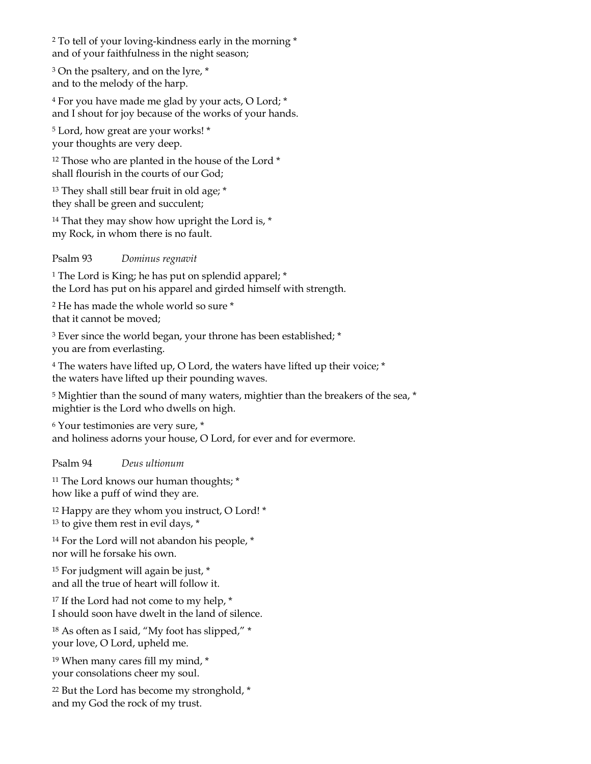<sup>2</sup> To tell of your loving-kindness early in the morning \* and of your faithfulness in the night season;

<sup>3</sup> On the psaltery, and on the lyre, \* and to the melody of the harp.

<sup>4</sup> For you have made me glad by your acts, O Lord; \* and I shout for joy because of the works of your hands.

<sup>5</sup> Lord, how great are your works! \* your thoughts are very deep.

<sup>12</sup> Those who are planted in the house of the Lord \* shall flourish in the courts of our God;

<sup>13</sup> They shall still bear fruit in old age; \* they shall be green and succulent;

<sup>14</sup> That they may show how upright the Lord is,  $*$ my Rock, in whom there is no fault.

Psalm 93 *Dominus regnavit*

<sup>1</sup> The Lord is King; he has put on splendid apparel; \* the Lord has put on his apparel and girded himself with strength.

<sup>2</sup> He has made the whole world so sure \* that it cannot be moved;

<sup>3</sup> Ever since the world began, your throne has been established; \* you are from everlasting.

<sup>4</sup> The waters have lifted up, O Lord, the waters have lifted up their voice; \* the waters have lifted up their pounding waves.

<sup>5</sup> Mightier than the sound of many waters, mightier than the breakers of the sea, \* mightier is the Lord who dwells on high.

<sup>6</sup> Your testimonies are very sure, \* and holiness adorns your house, O Lord, for ever and for evermore.

Psalm 94 *Deus ultionum*

<sup>11</sup> The Lord knows our human thoughts; \* how like a puff of wind they are.

<sup>12</sup> Happy are they whom you instruct, O Lord! \* <sup>13</sup> to give them rest in evil days,  $*$ 

<sup>14</sup> For the Lord will not abandon his people,  $*$ nor will he forsake his own.

<sup>15</sup> For judgment will again be just, \* and all the true of heart will follow it.

<sup>17</sup> If the Lord had not come to my help,  $*$ I should soon have dwelt in the land of silence.

<sup>18</sup> As often as I said, "My foot has slipped," \* your love, O Lord, upheld me.

<sup>19</sup> When many cares fill my mind, \* your consolations cheer my soul.

 $22$  But the Lord has become my stronghold,  $*$ and my God the rock of my trust.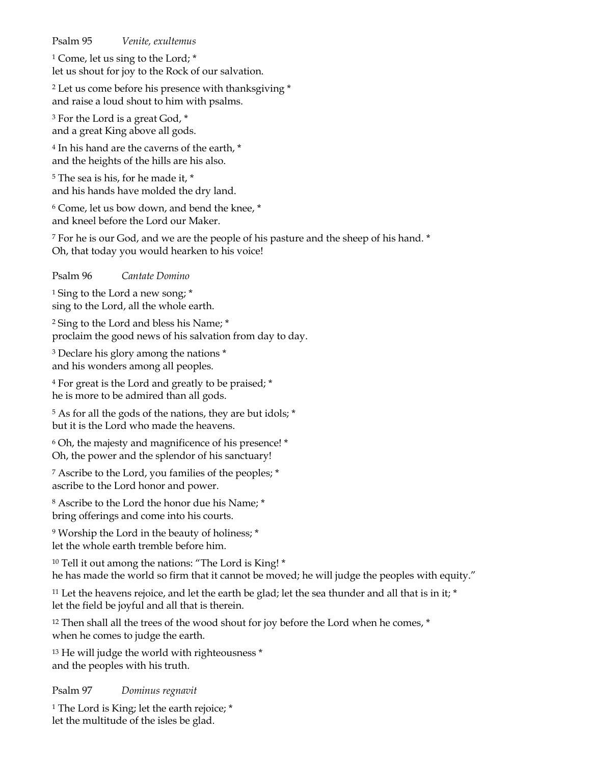Psalm 95 *Venite, exultemus*

<sup>1</sup> Come, let us sing to the Lord; \* let us shout for joy to the Rock of our salvation.

<sup>2</sup> Let us come before his presence with thanksgiving \* and raise a loud shout to him with psalms.

<sup>3</sup> For the Lord is a great God,  $*$ and a great King above all gods.

<sup>4</sup> In his hand are the caverns of the earth, \* and the heights of the hills are his also.

<sup>5</sup> The sea is his, for he made it, \* and his hands have molded the dry land.

<sup>6</sup> Come, let us bow down, and bend the knee, \* and kneel before the Lord our Maker.

<sup>7</sup> For he is our God, and we are the people of his pasture and the sheep of his hand. \* Oh, that today you would hearken to his voice!

Psalm 96 *Cantate Domino*

<sup>1</sup> Sing to the Lord a new song; \* sing to the Lord, all the whole earth.

<sup>2</sup> Sing to the Lord and bless his Name; \* proclaim the good news of his salvation from day to day.

<sup>3</sup> Declare his glory among the nations \* and his wonders among all peoples.

<sup>4</sup> For great is the Lord and greatly to be praised; \* he is more to be admired than all gods.

<sup>5</sup> As for all the gods of the nations, they are but idols; \* but it is the Lord who made the heavens.

<sup>6</sup> Oh, the majesty and magnificence of his presence! \* Oh, the power and the splendor of his sanctuary!

<sup>7</sup> Ascribe to the Lord, you families of the peoples; \* ascribe to the Lord honor and power.

<sup>8</sup> Ascribe to the Lord the honor due his Name; \* bring offerings and come into his courts.

<sup>9</sup> Worship the Lord in the beauty of holiness; \* let the whole earth tremble before him.

<sup>10</sup> Tell it out among the nations: "The Lord is King! \* he has made the world so firm that it cannot be moved; he will judge the peoples with equity."

 $11$  Let the heavens rejoice, and let the earth be glad; let the sea thunder and all that is in it;  $*$ let the field be joyful and all that is therein.

<sup>12</sup> Then shall all the trees of the wood shout for joy before the Lord when he comes,  $*$ when he comes to judge the earth.

<sup>13</sup> He will judge the world with righteousness \* and the peoples with his truth.

Psalm 97 *Dominus regnavit*

<sup>1</sup> The Lord is King; let the earth rejoice; \* let the multitude of the isles be glad.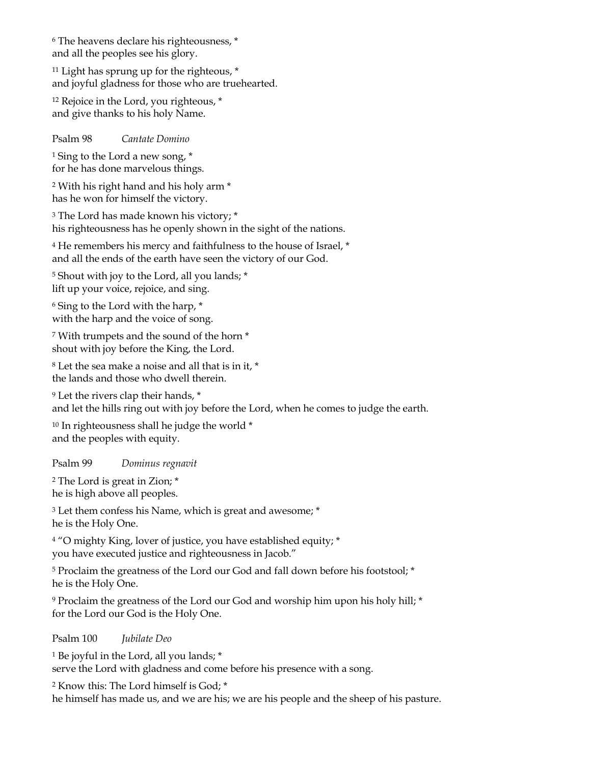<sup>6</sup> The heavens declare his righteousness, \* and all the peoples see his glory.

<sup>11</sup> Light has sprung up for the righteous,  $*$ and joyful gladness for those who are truehearted.

<sup>12</sup> Rejoice in the Lord, you righteous, \* and give thanks to his holy Name.

Psalm 98 *Cantate Domino*

<sup>1</sup> Sing to the Lord a new song,  $*$ for he has done marvelous things.

<sup>2</sup> With his right hand and his holy arm \* has he won for himself the victory.

<sup>3</sup> The Lord has made known his victory; \* his righteousness has he openly shown in the sight of the nations.

<sup>4</sup> He remembers his mercy and faithfulness to the house of Israel, \* and all the ends of the earth have seen the victory of our God.

<sup>5</sup> Shout with joy to the Lord, all you lands; \* lift up your voice, rejoice, and sing.

<sup>6</sup> Sing to the Lord with the harp, \* with the harp and the voice of song.

<sup>7</sup> With trumpets and the sound of the horn \* shout with joy before the King, the Lord.

<sup>8</sup> Let the sea make a noise and all that is in it, \* the lands and those who dwell therein.

<sup>9</sup> Let the rivers clap their hands, \* and let the hills ring out with joy before the Lord, when he comes to judge the earth.

<sup>10</sup> In righteousness shall he judge the world \* and the peoples with equity.

Psalm 99 *Dominus regnavit*

<sup>2</sup> The Lord is great in Zion; \* he is high above all peoples.

<sup>3</sup> Let them confess his Name, which is great and awesome; \* he is the Holy One.

<sup>4</sup> "O mighty King, lover of justice, you have established equity; \* you have executed justice and righteousness in Jacob."

<sup>5</sup> Proclaim the greatness of the Lord our God and fall down before his footstool; \* he is the Holy One.

<sup>9</sup> Proclaim the greatness of the Lord our God and worship him upon his holy hill; \* for the Lord our God is the Holy One.

Psalm 100 *Jubilate Deo*

<sup>1</sup> Be joyful in the Lord, all you lands; \* serve the Lord with gladness and come before his presence with a song.

<sup>2</sup> Know this: The Lord himself is God; \*

he himself has made us, and we are his; we are his people and the sheep of his pasture.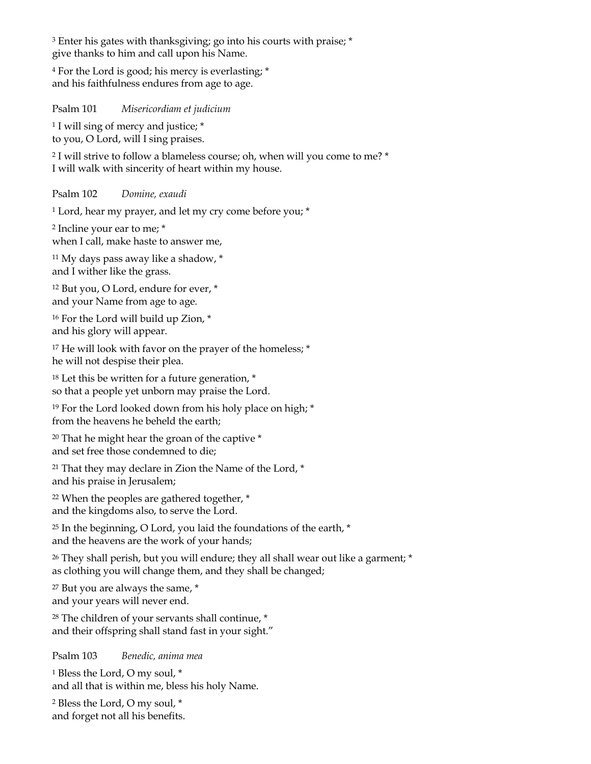<sup>3</sup> Enter his gates with thanksgiving; go into his courts with praise; \* give thanks to him and call upon his Name.

<sup>4</sup> For the Lord is good; his mercy is everlasting; \* and his faithfulness endures from age to age.

Psalm 101 *Misericordiam et judicium*

<sup>1</sup> I will sing of mercy and justice; \* to you, O Lord, will I sing praises.

<sup>2</sup> I will strive to follow a blameless course; oh, when will you come to me? \* I will walk with sincerity of heart within my house.

Psalm 102 *Domine, exaudi*

<sup>1</sup> Lord, hear my prayer, and let my cry come before you; \*

<sup>2</sup> Incline your ear to me; \* when I call, make haste to answer me,

<sup>11</sup> My days pass away like a shadow, \* and I wither like the grass.

<sup>12</sup> But you, O Lord, endure for ever, \* and your Name from age to age.

<sup>16</sup> For the Lord will build up Zion, \* and his glory will appear.

<sup>17</sup> He will look with favor on the prayer of the homeless; \* he will not despise their plea.

<sup>18</sup> Let this be written for a future generation,  $*$ so that a people yet unborn may praise the Lord.

<sup>19</sup> For the Lord looked down from his holy place on high; \* from the heavens he beheld the earth;

<sup>20</sup> That he might hear the groan of the captive \* and set free those condemned to die;

<sup>21</sup> That they may declare in Zion the Name of the Lord,  $*$ and his praise in Jerusalem;

<sup>22</sup> When the peoples are gathered together, \* and the kingdoms also, to serve the Lord.

 $25$  In the beginning, O Lord, you laid the foundations of the earth,  $*$ and the heavens are the work of your hands;

<sup>26</sup> They shall perish, but you will endure; they all shall wear out like a garment; \* as clothing you will change them, and they shall be changed;

<sup>27</sup> But you are always the same, \* and your years will never end.

<sup>28</sup> The children of your servants shall continue, \* and their offspring shall stand fast in your sight."

Psalm 103 *Benedic, anima mea*

<sup>1</sup> Bless the Lord, O my soul, \* and all that is within me, bless his holy Name.

<sup>2</sup> Bless the Lord, O my soul, \* and forget not all his benefits.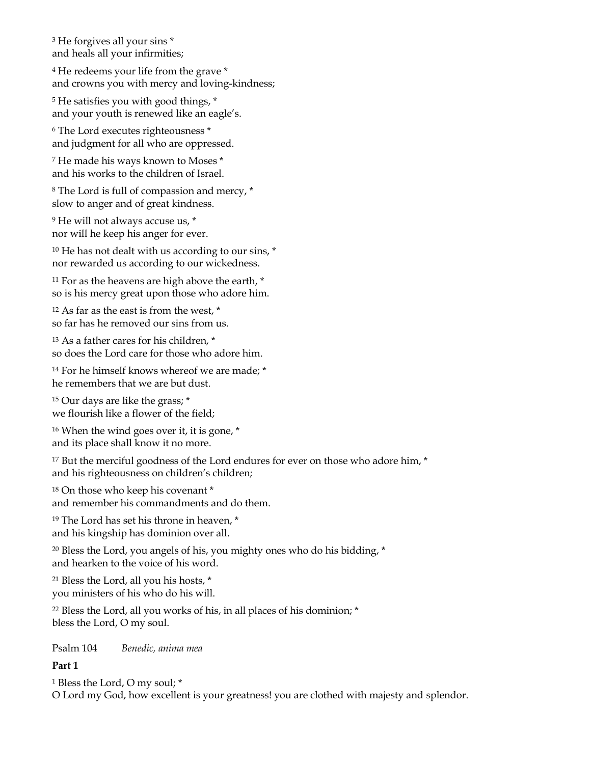<sup>3</sup> He forgives all your sins \* and heals all your infirmities;

<sup>4</sup> He redeems your life from the grave \* and crowns you with mercy and loving-kindness;

<sup>5</sup> He satisfies you with good things, \* and your youth is renewed like an eagle's.

<sup>6</sup> The Lord executes righteousness \* and judgment for all who are oppressed.

<sup>7</sup> He made his ways known to Moses \* and his works to the children of Israel.

<sup>8</sup> The Lord is full of compassion and mercy, \* slow to anger and of great kindness.

<sup>9</sup> He will not always accuse us, \* nor will he keep his anger for ever.

<sup>10</sup> He has not dealt with us according to our sins, \* nor rewarded us according to our wickedness.

<sup>11</sup> For as the heavens are high above the earth,  $*$ so is his mercy great upon those who adore him.

 $12$  As far as the east is from the west,  $*$ so far has he removed our sins from us.

<sup>13</sup> As a father cares for his children, \* so does the Lord care for those who adore him.

<sup>14</sup> For he himself knows whereof we are made; \* he remembers that we are but dust.

<sup>15</sup> Our days are like the grass; \* we flourish like a flower of the field;

<sup>16</sup> When the wind goes over it, it is gone, \* and its place shall know it no more.

<sup>17</sup> But the merciful goodness of the Lord endures for ever on those who adore him, \* and his righteousness on children's children;

<sup>18</sup> On those who keep his covenant \* and remember his commandments and do them.

<sup>19</sup> The Lord has set his throne in heaven, \* and his kingship has dominion over all.

<sup>20</sup> Bless the Lord, you angels of his, you mighty ones who do his bidding, \* and hearken to the voice of his word.

<sup>21</sup> Bless the Lord, all you his hosts, \* you ministers of his who do his will.

<sup>22</sup> Bless the Lord, all you works of his, in all places of his dominion; \* bless the Lord, O my soul.

Psalm 104 *Benedic, anima mea*

# **Part 1**

<sup>1</sup> Bless the Lord, O my soul; \* O Lord my God, how excellent is your greatness! you are clothed with majesty and splendor.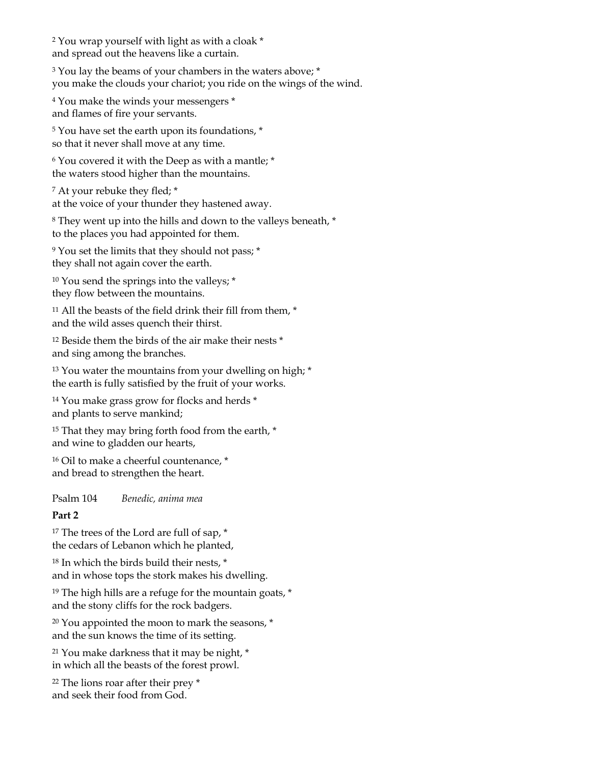<sup>2</sup> You wrap yourself with light as with a cloak \* and spread out the heavens like a curtain.

<sup>3</sup> You lay the beams of your chambers in the waters above; \* you make the clouds your chariot; you ride on the wings of the wind.

<sup>4</sup> You make the winds your messengers \* and flames of fire your servants.

<sup>5</sup> You have set the earth upon its foundations, \* so that it never shall move at any time.

<sup>6</sup> You covered it with the Deep as with a mantle; \* the waters stood higher than the mountains.

<sup>7</sup> At your rebuke they fled; \* at the voice of your thunder they hastened away.

<sup>8</sup> They went up into the hills and down to the valleys beneath, \* to the places you had appointed for them.

<sup>9</sup> You set the limits that they should not pass; \* they shall not again cover the earth.

<sup>10</sup> You send the springs into the valleys; \* they flow between the mountains.

<sup>11</sup> All the beasts of the field drink their fill from them,  $*$ and the wild asses quench their thirst.

<sup>12</sup> Beside them the birds of the air make their nests \* and sing among the branches.

<sup>13</sup> You water the mountains from your dwelling on high; \* the earth is fully satisfied by the fruit of your works.

<sup>14</sup> You make grass grow for flocks and herds \* and plants to serve mankind;

<sup>15</sup> That they may bring forth food from the earth,  $*$ and wine to gladden our hearts,

<sup>16</sup> Oil to make a cheerful countenance,  $*$ and bread to strengthen the heart.

Psalm 104 *Benedic, anima mea*

# **Part 2**

<sup>17</sup> The trees of the Lord are full of sap,  $*$ the cedars of Lebanon which he planted,

<sup>18</sup> In which the birds build their nests, \* and in whose tops the stork makes his dwelling.

 $19$  The high hills are a refuge for the mountain goats,  $*$ and the stony cliffs for the rock badgers.

<sup>20</sup> You appointed the moon to mark the seasons, \* and the sun knows the time of its setting.

<sup>21</sup> You make darkness that it may be night, \* in which all the beasts of the forest prowl.

<sup>22</sup> The lions roar after their prey \* and seek their food from God.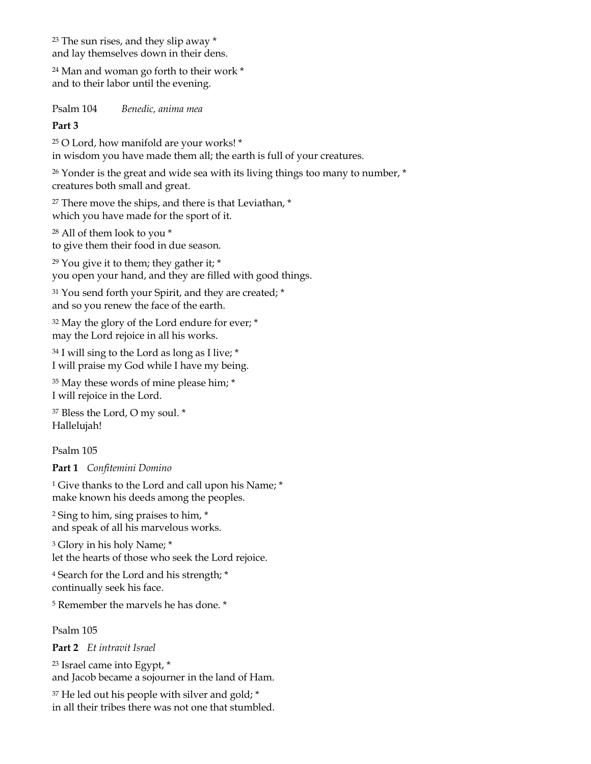$23$  The sun rises, and they slip away  $*$ and lay themselves down in their dens.

<sup>24</sup> Man and woman go forth to their work \* and to their labor until the evening.

Psalm 104 *Benedic, anima mea*

# **Part 3**

<sup>25</sup> O Lord, how manifold are your works! \* in wisdom you have made them all; the earth is full of your creatures.

<sup>26</sup> Yonder is the great and wide sea with its living things too many to number, \* creatures both small and great.

<sup>27</sup> There move the ships, and there is that Leviathan, \* which you have made for the sport of it.

<sup>28</sup> All of them look to you \* to give them their food in due season.

 $29$  You give it to them; they gather it;  $*$ you open your hand, and they are filled with good things.

<sup>31</sup> You send forth your Spirit, and they are created; \* and so you renew the face of the earth.

<sup>32</sup> May the glory of the Lord endure for ever; \* may the Lord rejoice in all his works.

<sup>34</sup> I will sing to the Lord as long as I live; \* I will praise my God while I have my being.

<sup>35</sup> May these words of mine please him; \* I will rejoice in the Lord.

<sup>37</sup> Bless the Lord, O my soul. \* Hallelujah!

Psalm 105

**Part 1** *Confitemini Domino*

<sup>1</sup> Give thanks to the Lord and call upon his Name; \* make known his deeds among the peoples.

<sup>2</sup> Sing to him, sing praises to him, \* and speak of all his marvelous works.

<sup>3</sup> Glory in his holy Name; \* let the hearts of those who seek the Lord rejoice.

<sup>4</sup> Search for the Lord and his strength; \* continually seek his face.

<sup>5</sup> Remember the marvels he has done. \*

Psalm 105

**Part 2** *Et intravit Israel*

<sup>23</sup> Israel came into Egypt, \* and Jacob became a sojourner in the land of Ham.

<sup>37</sup> He led out his people with silver and gold; \* in all their tribes there was not one that stumbled.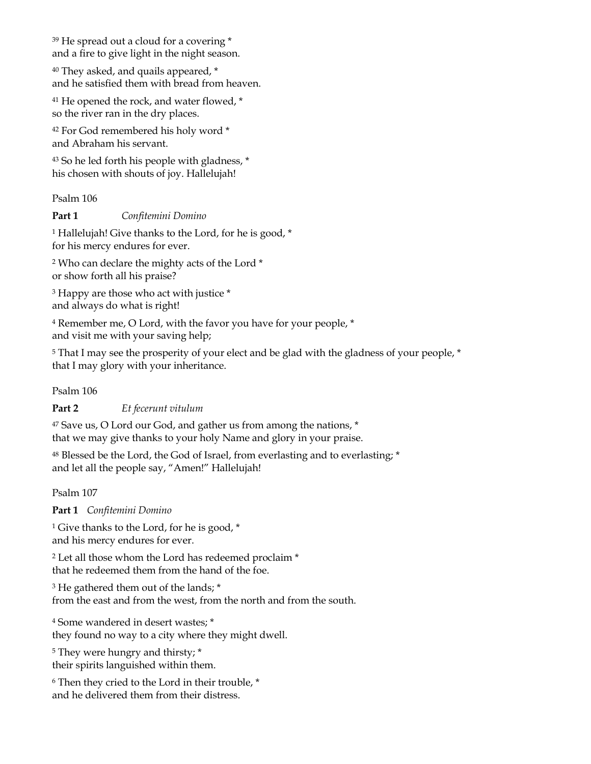<sup>39</sup> He spread out a cloud for a covering \* and a fire to give light in the night season.

<sup>40</sup> They asked, and quails appeared, \* and he satisfied them with bread from heaven.

<sup>41</sup> He opened the rock, and water flowed, \* so the river ran in the dry places.

<sup>42</sup> For God remembered his holy word \* and Abraham his servant.

<sup>43</sup> So he led forth his people with gladness, \* his chosen with shouts of joy. Hallelujah!

Psalm 106

**Part 1** *Confitemini Domino*

<sup>1</sup> Hallelujah! Give thanks to the Lord, for he is good, \* for his mercy endures for ever.

<sup>2</sup> Who can declare the mighty acts of the Lord \* or show forth all his praise?

<sup>3</sup> Happy are those who act with justice \* and always do what is right!

<sup>4</sup> Remember me, O Lord, with the favor you have for your people, \* and visit me with your saving help;

<sup>5</sup> That I may see the prosperity of your elect and be glad with the gladness of your people, \* that I may glory with your inheritance.

Psalm 106

**Part 2** *Et fecerunt vitulum*

<sup>47</sup> Save us, O Lord our God, and gather us from among the nations, \* that we may give thanks to your holy Name and glory in your praise.

<sup>48</sup> Blessed be the Lord, the God of Israel, from everlasting and to everlasting; \* and let all the people say, "Amen!" Hallelujah!

Psalm 107

**Part 1** *Confitemini Domino*

<sup>1</sup> Give thanks to the Lord, for he is good, \* and his mercy endures for ever.

<sup>2</sup> Let all those whom the Lord has redeemed proclaim \* that he redeemed them from the hand of the foe.

<sup>3</sup> He gathered them out of the lands; \* from the east and from the west, from the north and from the south.

<sup>4</sup> Some wandered in desert wastes; \* they found no way to a city where they might dwell.

<sup>5</sup> They were hungry and thirsty; \* their spirits languished within them.

<sup>6</sup> Then they cried to the Lord in their trouble, \* and he delivered them from their distress.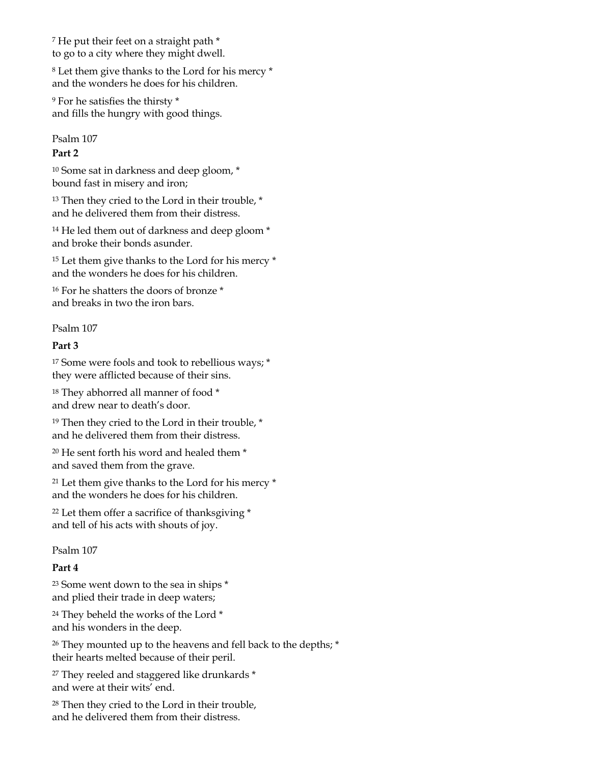<sup>7</sup> He put their feet on a straight path \* to go to a city where they might dwell.

<sup>8</sup> Let them give thanks to the Lord for his mercy \* and the wonders he does for his children.

<sup>9</sup> For he satisfies the thirsty \* and fills the hungry with good things.

Psalm 107

# **Part 2**

<sup>10</sup> Some sat in darkness and deep gloom, \* bound fast in misery and iron;

<sup>13</sup> Then they cried to the Lord in their trouble,  $*$ and he delivered them from their distress.

<sup>14</sup> He led them out of darkness and deep gloom \* and broke their bonds asunder.

<sup>15</sup> Let them give thanks to the Lord for his mercy \* and the wonders he does for his children.

<sup>16</sup> For he shatters the doors of bronze \* and breaks in two the iron bars.

# Psalm 107

# **Part 3**

<sup>17</sup> Some were fools and took to rebellious ways; \* they were afflicted because of their sins.

<sup>18</sup> They abhorred all manner of food \* and drew near to death's door.

<sup>19</sup> Then they cried to the Lord in their trouble,  $*$ and he delivered them from their distress.

<sup>20</sup> He sent forth his word and healed them \* and saved them from the grave.

<sup>21</sup> Let them give thanks to the Lord for his mercy \* and the wonders he does for his children.

<sup>22</sup> Let them offer a sacrifice of thanksgiving \* and tell of his acts with shouts of joy.

# Psalm 107

# **Part 4**

<sup>23</sup> Some went down to the sea in ships \* and plied their trade in deep waters;

<sup>24</sup> They beheld the works of the Lord \* and his wonders in the deep.

<sup>26</sup> They mounted up to the heavens and fell back to the depths; \* their hearts melted because of their peril.

<sup>27</sup> They reeled and staggered like drunkards \* and were at their wits' end.

<sup>28</sup> Then they cried to the Lord in their trouble, and he delivered them from their distress.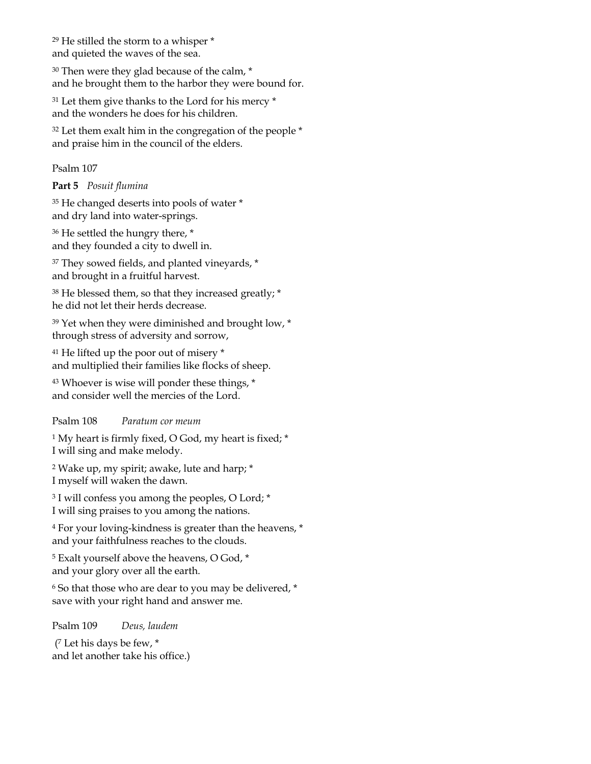<sup>29</sup> He stilled the storm to a whisper \* and quieted the waves of the sea.

<sup>30</sup> Then were they glad because of the calm, \* and he brought them to the harbor they were bound for.

 $31$  Let them give thanks to the Lord for his mercy  $*$ and the wonders he does for his children.

<sup>32</sup> Let them exalt him in the congregation of the people \* and praise him in the council of the elders.

# Psalm 107

# **Part 5** *Posuit flumina*

<sup>35</sup> He changed deserts into pools of water \* and dry land into water-springs.

<sup>36</sup> He settled the hungry there, \* and they founded a city to dwell in.

<sup>37</sup> They sowed fields, and planted vineyards, \* and brought in a fruitful harvest.

<sup>38</sup> He blessed them, so that they increased greatly; \* he did not let their herds decrease.

 $39$  Yet when they were diminished and brought low,  $*$ through stress of adversity and sorrow,

<sup>41</sup> He lifted up the poor out of misery \* and multiplied their families like flocks of sheep.

<sup>43</sup> Whoever is wise will ponder these things, \* and consider well the mercies of the Lord.

# Psalm 108 *Paratum cor meum*

<sup>1</sup> My heart is firmly fixed, O God, my heart is fixed; \* I will sing and make melody.

<sup>2</sup> Wake up, my spirit; awake, lute and harp; \* I myself will waken the dawn.

<sup>3</sup> I will confess you among the peoples, O Lord; \* I will sing praises to you among the nations.

<sup>4</sup> For your loving-kindness is greater than the heavens, \* and your faithfulness reaches to the clouds.

<sup>5</sup> Exalt yourself above the heavens, O God, \* and your glory over all the earth.

<sup>6</sup> So that those who are dear to you may be delivered, \* save with your right hand and answer me.

Psalm 109 *Deus, laudem*

( <sup>7</sup> Let his days be few, \* and let another take his office.)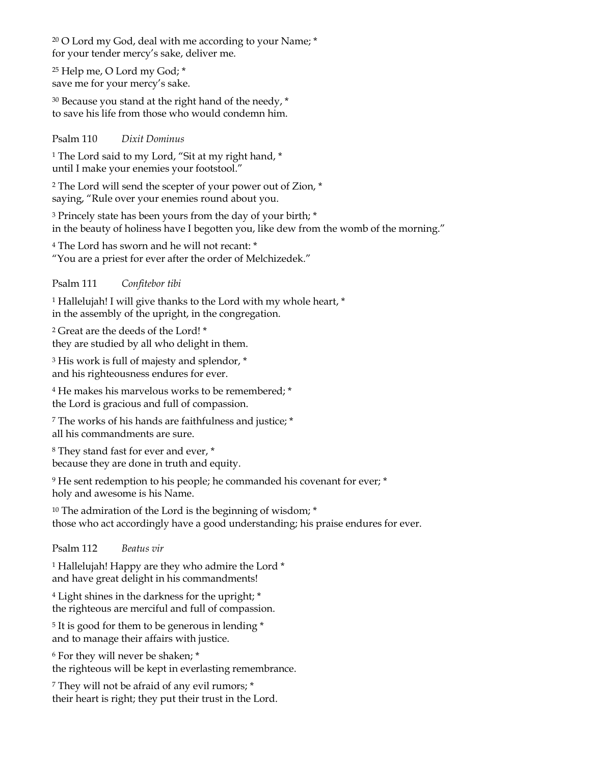<sup>20</sup> O Lord my God, deal with me according to your Name; \* for your tender mercy's sake, deliver me.

<sup>25</sup> Help me, O Lord my God; \* save me for your mercy's sake.

 $30$  Because you stand at the right hand of the needy,  $*$ to save his life from those who would condemn him.

# Psalm 110 *Dixit Dominus*

<sup>1</sup> The Lord said to my Lord, "Sit at my right hand, \* until I make your enemies your footstool."

<sup>2</sup> The Lord will send the scepter of your power out of Zion, \* saying, "Rule over your enemies round about you.

<sup>3</sup> Princely state has been yours from the day of your birth; \* in the beauty of holiness have I begotten you, like dew from the womb of the morning."

<sup>4</sup> The Lord has sworn and he will not recant: \* "You are a priest for ever after the order of Melchizedek."

# Psalm 111 *Confitebor tibi*

<sup>1</sup> Hallelujah! I will give thanks to the Lord with my whole heart, \* in the assembly of the upright, in the congregation.

<sup>2</sup> Great are the deeds of the Lord! \* they are studied by all who delight in them.

<sup>3</sup> His work is full of majesty and splendor, \* and his righteousness endures for ever.

<sup>4</sup> He makes his marvelous works to be remembered; \* the Lord is gracious and full of compassion.

<sup>7</sup> The works of his hands are faithfulness and justice; \* all his commandments are sure.

<sup>8</sup> They stand fast for ever and ever, \* because they are done in truth and equity.

<sup>9</sup> He sent redemption to his people; he commanded his covenant for ever; \* holy and awesome is his Name.

 $10$  The admiration of the Lord is the beginning of wisdom;  $*$ those who act accordingly have a good understanding; his praise endures for ever.

Psalm 112 *Beatus vir*

<sup>1</sup> Hallelujah! Happy are they who admire the Lord \* and have great delight in his commandments!

<sup>4</sup> Light shines in the darkness for the upright; \* the righteous are merciful and full of compassion.

<sup>5</sup> It is good for them to be generous in lending \* and to manage their affairs with justice.

<sup>6</sup> For they will never be shaken; \* the righteous will be kept in everlasting remembrance.

<sup>7</sup> They will not be afraid of any evil rumors; \* their heart is right; they put their trust in the Lord.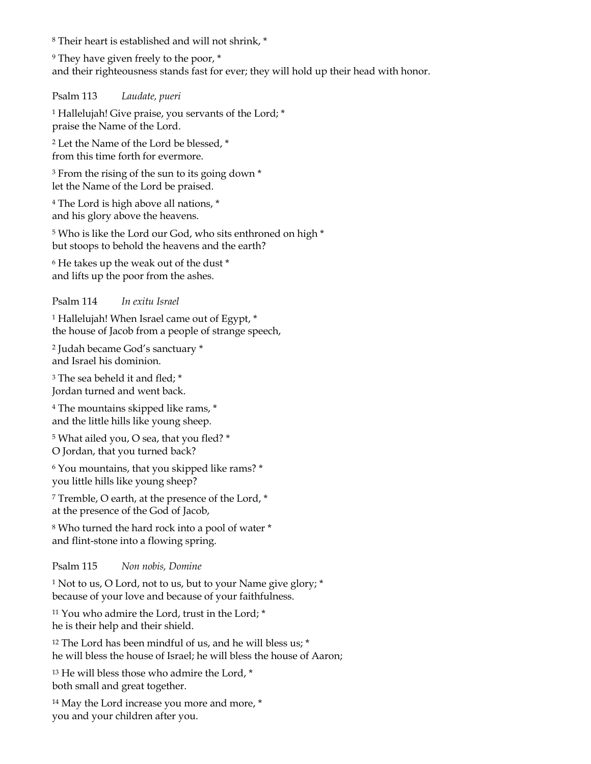<sup>8</sup> Their heart is established and will not shrink, \*

<sup>9</sup> They have given freely to the poor, \* and their righteousness stands fast for ever; they will hold up their head with honor.

Psalm 113 *Laudate, pueri*

<sup>1</sup> Hallelujah! Give praise, you servants of the Lord; \* praise the Name of the Lord.

<sup>2</sup> Let the Name of the Lord be blessed, \* from this time forth for evermore.

<sup>3</sup> From the rising of the sun to its going down \* let the Name of the Lord be praised.

<sup>4</sup> The Lord is high above all nations, \* and his glory above the heavens.

<sup>5</sup> Who is like the Lord our God, who sits enthroned on high \* but stoops to behold the heavens and the earth?

<sup>6</sup> He takes up the weak out of the dust \* and lifts up the poor from the ashes.

Psalm 114 *In exitu Israel*

<sup>1</sup> Hallelujah! When Israel came out of Egypt, \* the house of Jacob from a people of strange speech,

<sup>2</sup> Judah became God's sanctuary \* and Israel his dominion.

<sup>3</sup> The sea beheld it and fled; \* Jordan turned and went back.

<sup>4</sup> The mountains skipped like rams, \* and the little hills like young sheep.

<sup>5</sup> What ailed you, O sea, that you fled? \* O Jordan, that you turned back?

<sup>6</sup> You mountains, that you skipped like rams? \* you little hills like young sheep?

<sup>7</sup> Tremble, O earth, at the presence of the Lord, \* at the presence of the God of Jacob,

<sup>8</sup> Who turned the hard rock into a pool of water \* and flint-stone into a flowing spring.

Psalm 115 *Non nobis, Domine*

<sup>1</sup> Not to us, O Lord, not to us, but to your Name give glory; \* because of your love and because of your faithfulness.

<sup>11</sup> You who admire the Lord, trust in the Lord; \* he is their help and their shield.

<sup>12</sup> The Lord has been mindful of us, and he will bless us; \* he will bless the house of Israel; he will bless the house of Aaron;

<sup>13</sup> He will bless those who admire the Lord,  $*$ both small and great together.

<sup>14</sup> May the Lord increase you more and more,  $*$ you and your children after you.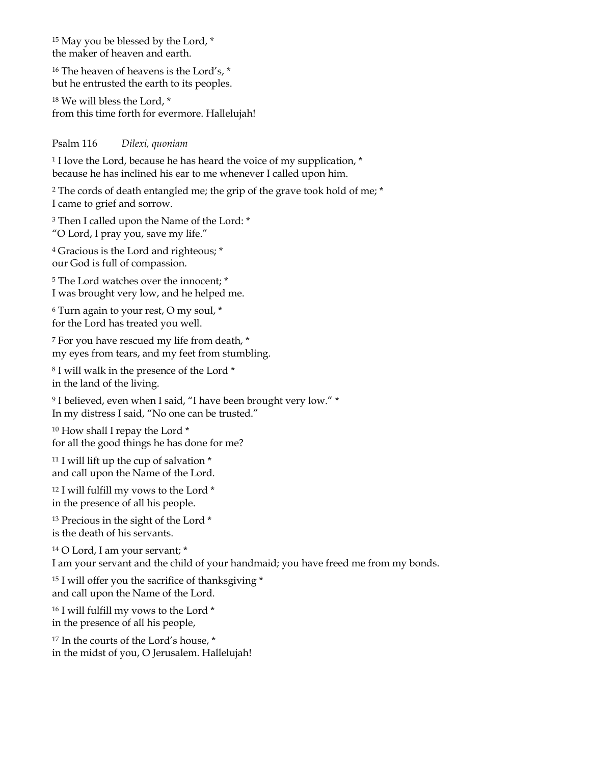<sup>15</sup> May you be blessed by the Lord,  $*$ the maker of heaven and earth.

<sup>16</sup> The heaven of heavens is the Lord's, \* but he entrusted the earth to its peoples.

<sup>18</sup> We will bless the Lord, \* from this time forth for evermore. Hallelujah!

Psalm 116 *Dilexi, quoniam*

<sup>1</sup> I love the Lord, because he has heard the voice of my supplication, \* because he has inclined his ear to me whenever I called upon him.

<sup>2</sup> The cords of death entangled me; the grip of the grave took hold of me; \* I came to grief and sorrow.

<sup>3</sup> Then I called upon the Name of the Lord: \* "O Lord, I pray you, save my life."

<sup>4</sup> Gracious is the Lord and righteous; \* our God is full of compassion.

<sup>5</sup> The Lord watches over the innocent; \* I was brought very low, and he helped me.

<sup>6</sup> Turn again to your rest, O my soul, \* for the Lord has treated you well.

<sup>7</sup> For you have rescued my life from death, \* my eyes from tears, and my feet from stumbling.

<sup>8</sup> I will walk in the presence of the Lord \* in the land of the living.

<sup>9</sup> I believed, even when I said, "I have been brought very low." \* In my distress I said, "No one can be trusted."

<sup>10</sup> How shall I repay the Lord \* for all the good things he has done for me?

<sup>11</sup> I will lift up the cup of salvation  $*$ and call upon the Name of the Lord.

<sup>12</sup> I will fulfill my vows to the Lord \* in the presence of all his people.

<sup>13</sup> Precious in the sight of the Lord \* is the death of his servants.

<sup>14</sup> O Lord, I am your servant; \* I am your servant and the child of your handmaid; you have freed me from my bonds.

<sup>15</sup> I will offer you the sacrifice of thanksgiving \* and call upon the Name of the Lord.

<sup>16</sup> I will fulfill my vows to the Lord \* in the presence of all his people,

<sup>17</sup> In the courts of the Lord's house, \* in the midst of you, O Jerusalem. Hallelujah!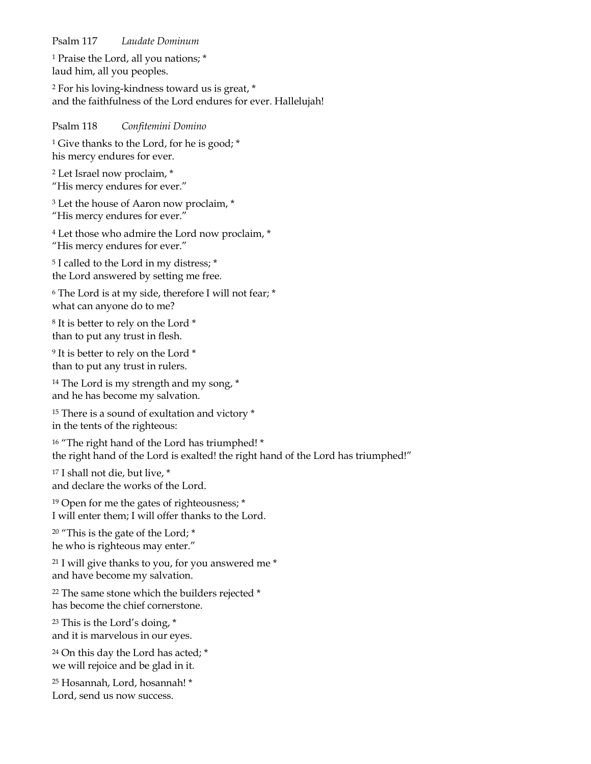#### Psalm 117 *Laudate Dominum*

<sup>1</sup> Praise the Lord, all you nations; \* laud him, all you peoples.

<sup>2</sup> For his loving-kindness toward us is great, \* and the faithfulness of the Lord endures for ever. Hallelujah!

Psalm 118 *Confitemini Domino*

<sup>1</sup> Give thanks to the Lord, for he is good; \* his mercy endures for ever.

<sup>2</sup> Let Israel now proclaim, \* "His mercy endures for ever."

<sup>3</sup> Let the house of Aaron now proclaim, \* "His mercy endures for ever."

<sup>4</sup> Let those who admire the Lord now proclaim, \* "His mercy endures for ever."

<sup>5</sup> I called to the Lord in my distress; \* the Lord answered by setting me free.

<sup>6</sup> The Lord is at my side, therefore I will not fear; \* what can anyone do to me?

<sup>8</sup> It is better to rely on the Lord \* than to put any trust in flesh.

<sup>9</sup> It is better to rely on the Lord \* than to put any trust in rulers.

<sup>14</sup> The Lord is my strength and my song,  $*$ and he has become my salvation.

<sup>15</sup> There is a sound of exultation and victory \* in the tents of the righteous:

<sup>16</sup> "The right hand of the Lord has triumphed! \* the right hand of the Lord is exalted! the right hand of the Lord has triumphed!"

<sup>17</sup> I shall not die, but live, \* and declare the works of the Lord.

<sup>19</sup> Open for me the gates of righteousness; \* I will enter them; I will offer thanks to the Lord.

<sup>20</sup> "This is the gate of the Lord; \* he who is righteous may enter."

<sup>21</sup> I will give thanks to you, for you answered me \* and have become my salvation.

<sup>22</sup> The same stone which the builders rejected \* has become the chief cornerstone.

<sup>23</sup> This is the Lord's doing,  $*$ and it is marvelous in our eyes.

<sup>24</sup> On this day the Lord has acted; \* we will rejoice and be glad in it.

<sup>25</sup> Hosannah, Lord, hosannah! \* Lord, send us now success.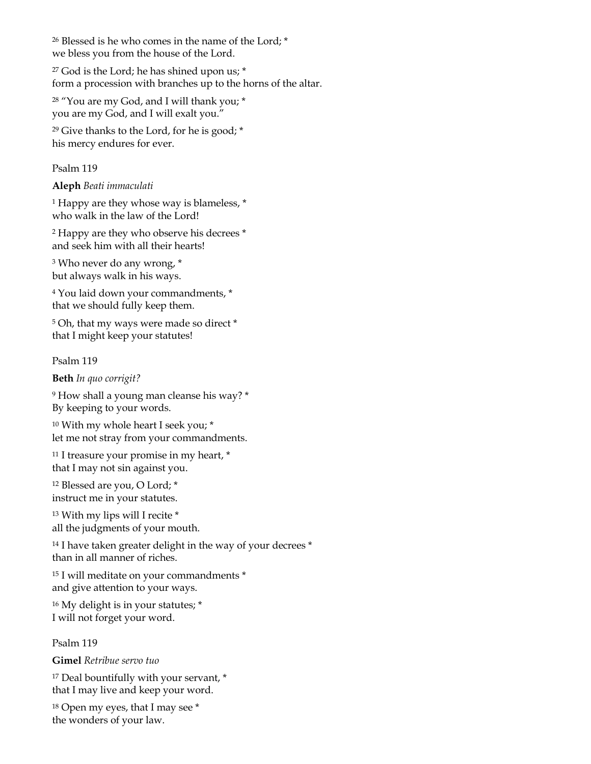<sup>26</sup> Blessed is he who comes in the name of the Lord; \* we bless you from the house of the Lord.

<sup>27</sup> God is the Lord; he has shined upon us;  $*$ form a procession with branches up to the horns of the altar.

<sup>28</sup> "You are my God, and I will thank you; \* you are my God, and I will exalt you."

<sup>29</sup> Give thanks to the Lord, for he is good;  $*$ his mercy endures for ever.

# Psalm 119

**Aleph** *Beati immaculati*

<sup>1</sup> Happy are they whose way is blameless,  $*$ who walk in the law of the Lord!

<sup>2</sup> Happy are they who observe his decrees \* and seek him with all their hearts!

<sup>3</sup> Who never do any wrong, \* but always walk in his ways.

<sup>4</sup> You laid down your commandments, \* that we should fully keep them.

<sup>5</sup> Oh, that my ways were made so direct \* that I might keep your statutes!

Psalm 119

**Beth** *In quo corrigit?*

<sup>9</sup> How shall a young man cleanse his way? \* By keeping to your words.

<sup>10</sup> With my whole heart I seek you; \* let me not stray from your commandments.

<sup>11</sup> I treasure your promise in my heart, \* that I may not sin against you.

<sup>12</sup> Blessed are you, O Lord; \* instruct me in your statutes.

<sup>13</sup> With my lips will I recite \* all the judgments of your mouth.

<sup>14</sup> I have taken greater delight in the way of your decrees \* than in all manner of riches.

<sup>15</sup> I will meditate on your commandments \* and give attention to your ways.

<sup>16</sup> My delight is in your statutes; \* I will not forget your word.

Psalm 119

**Gimel** *Retribue servo tuo*

<sup>17</sup> Deal bountifully with your servant,  $*$ that I may live and keep your word.

<sup>18</sup> Open my eyes, that I may see \* the wonders of your law.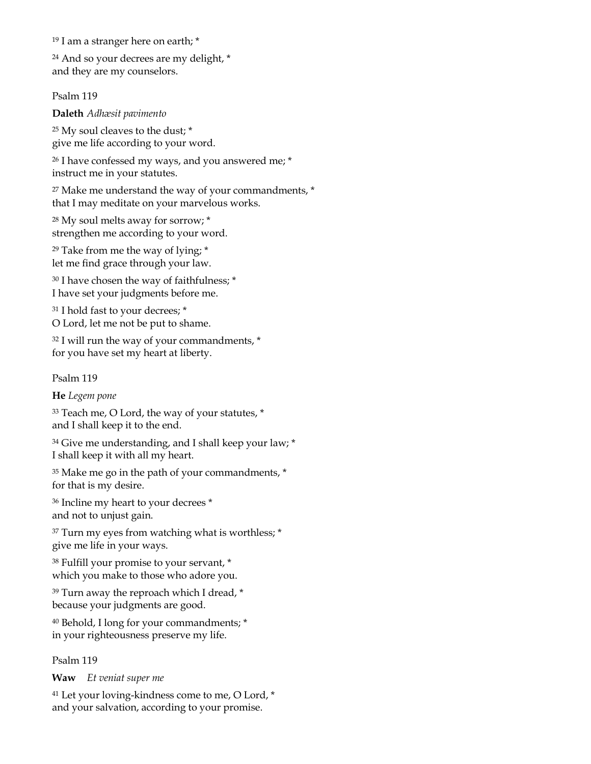<sup>19</sup> I am a stranger here on earth; \*

<sup>24</sup> And so your decrees are my delight, \* and they are my counselors.

Psalm 119

**Daleth** *Adhæsit pavimento*

<sup>25</sup> My soul cleaves to the dust; \* give me life according to your word.

<sup>26</sup> I have confessed my ways, and you answered me; \* instruct me in your statutes.

<sup>27</sup> Make me understand the way of your commandments, \* that I may meditate on your marvelous works.

<sup>28</sup> My soul melts away for sorrow; \* strengthen me according to your word.

<sup>29</sup> Take from me the way of lying; \* let me find grace through your law.

<sup>30</sup> I have chosen the way of faithfulness; \* I have set your judgments before me.

<sup>31</sup> I hold fast to your decrees; \* O Lord, let me not be put to shame.

<sup>32</sup> I will run the way of your commandments, \* for you have set my heart at liberty.

Psalm 119

**He** *Legem pone*

<sup>33</sup> Teach me, O Lord, the way of your statutes, \* and I shall keep it to the end.

<sup>34</sup> Give me understanding, and I shall keep your law; \* I shall keep it with all my heart.

<sup>35</sup> Make me go in the path of your commandments, \* for that is my desire.

<sup>36</sup> Incline my heart to your decrees \* and not to unjust gain.

<sup>37</sup> Turn my eyes from watching what is worthless; \* give me life in your ways.

<sup>38</sup> Fulfill your promise to your servant, \* which you make to those who adore you.

<sup>39</sup> Turn away the reproach which I dread, \* because your judgments are good.

<sup>40</sup> Behold, I long for your commandments; \* in your righteousness preserve my life.

Psalm 119

**Waw** *Et veniat super me*

<sup>41</sup> Let your loving-kindness come to me, O Lord, \* and your salvation, according to your promise.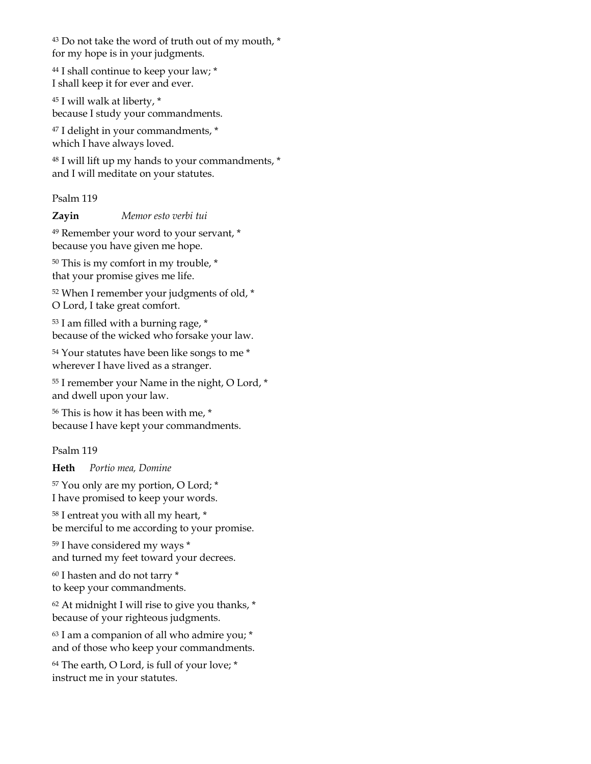<sup>43</sup> Do not take the word of truth out of my mouth, \* for my hope is in your judgments.

<sup>44</sup> I shall continue to keep your law; \* I shall keep it for ever and ever.

<sup>45</sup> I will walk at liberty, \* because I study your commandments.

<sup>47</sup> I delight in your commandments, \* which I have always loved.

<sup>48</sup> I will lift up my hands to your commandments, \* and I will meditate on your statutes.

Psalm 119

### **Zayin** *Memor esto verbi tui*

<sup>49</sup> Remember your word to your servant, \* because you have given me hope.

<sup>50</sup> This is my comfort in my trouble, \* that your promise gives me life.

<sup>52</sup> When I remember your judgments of old, \* O Lord, I take great comfort.

<sup>53</sup> I am filled with a burning rage, \* because of the wicked who forsake your law.

<sup>54</sup> Your statutes have been like songs to me \* wherever I have lived as a stranger.

<sup>55</sup> I remember your Name in the night, O Lord, \* and dwell upon your law.

<sup>56</sup> This is how it has been with me, \* because I have kept your commandments.

Psalm 119

**Heth** *Portio mea, Domine*

<sup>57</sup> You only are my portion, O Lord; \* I have promised to keep your words.

<sup>58</sup> I entreat you with all my heart, \* be merciful to me according to your promise.

<sup>59</sup> I have considered my ways \* and turned my feet toward your decrees.

<sup>60</sup> I hasten and do not tarry \* to keep your commandments.

 $62$  At midnight I will rise to give you thanks,  $*$ because of your righteous judgments.

<sup>63</sup> I am a companion of all who admire you; \* and of those who keep your commandments.

<sup>64</sup> The earth, O Lord, is full of your love; \* instruct me in your statutes.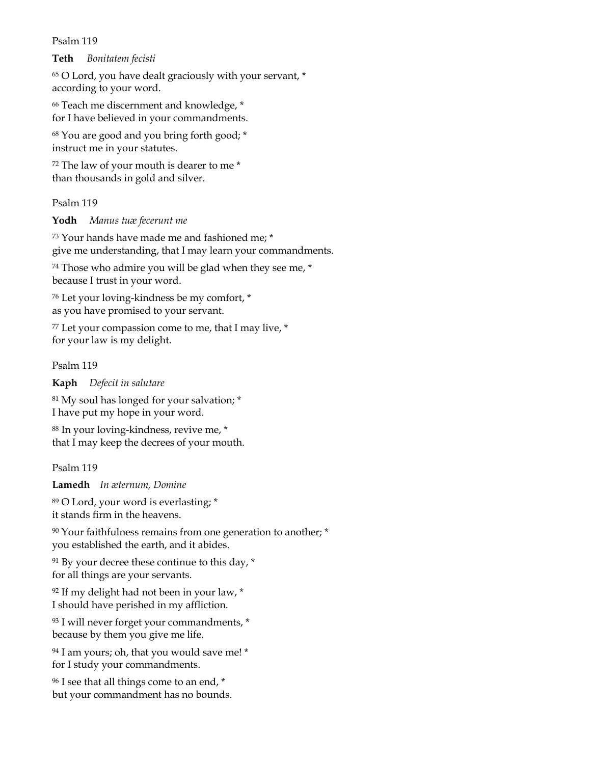#### Psalm 119

**Teth** *Bonitatem fecisti*

<sup>65</sup> O Lord, you have dealt graciously with your servant, \* according to your word.

<sup>66</sup> Teach me discernment and knowledge, \* for I have believed in your commandments.

<sup>68</sup> You are good and you bring forth good; \* instruct me in your statutes.

<sup>72</sup> The law of your mouth is dearer to me \* than thousands in gold and silver.

Psalm 119

**Yodh** *Manus tuæ fecerunt me*

<sup>73</sup> Your hands have made me and fashioned me; \* give me understanding, that I may learn your commandments.

<sup>74</sup> Those who admire you will be glad when they see me,  $*$ because I trust in your word.

<sup>76</sup> Let your loving-kindness be my comfort, \* as you have promised to your servant.

 $77$  Let your compassion come to me, that I may live,  $*$ for your law is my delight.

Psalm 119

**Kaph** *Defecit in salutare*

<sup>81</sup> My soul has longed for your salvation; \* I have put my hope in your word.

<sup>88</sup> In your loving-kindness, revive me, \* that I may keep the decrees of your mouth.

Psalm 119

**Lamedh** *In æternum, Domine*

<sup>89</sup> O Lord, your word is everlasting; \* it stands firm in the heavens.

<sup>90</sup> Your faithfulness remains from one generation to another; \* you established the earth, and it abides.

 $91$  By your decree these continue to this day,  $*$ for all things are your servants.

 $92$  If my delight had not been in your law,  $*$ I should have perished in my affliction.

<sup>93</sup> I will never forget your commandments, \* because by them you give me life.

<sup>94</sup> I am yours; oh, that you would save me! \* for I study your commandments.

<sup>96</sup> I see that all things come to an end, \* but your commandment has no bounds.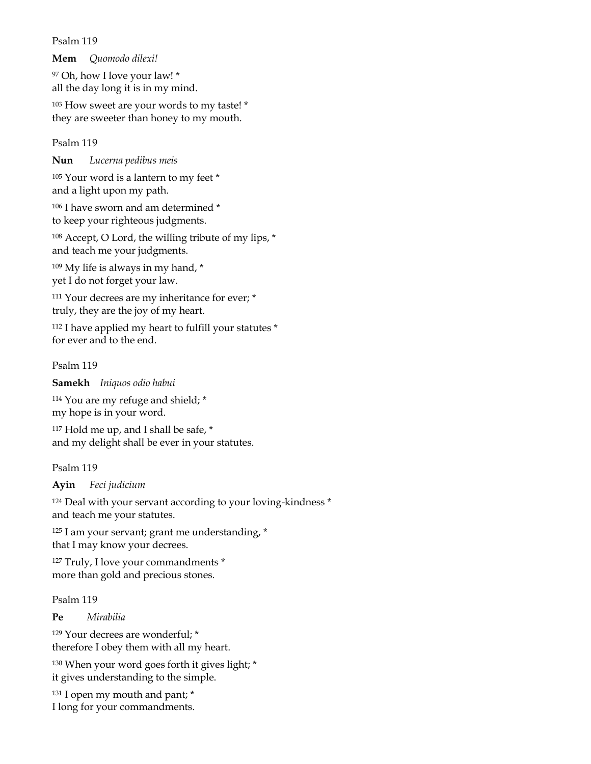#### Psalm 119

**Mem** *Quomodo dilexi!*

<sup>97</sup> Oh, how I love your law! \* all the day long it is in my mind.

103 How sweet are your words to my taste! \* they are sweeter than honey to my mouth.

### Psalm 119

**Nun** *Lucerna pedibus meis*

<sup>105</sup> Your word is a lantern to my feet \* and a light upon my path.

106 I have sworn and am determined \* to keep your righteous judgments.

<sup>108</sup> Accept, O Lord, the willing tribute of my lips, \* and teach me your judgments.

 $109$  My life is always in my hand,  $*$ yet I do not forget your law.

<sup>111</sup> Your decrees are my inheritance for ever; \* truly, they are the joy of my heart.

<sup>112</sup> I have applied my heart to fulfill your statutes \* for ever and to the end.

Psalm 119

**Samekh** *Iniquos odio habui*

<sup>114</sup> You are my refuge and shield; \* my hope is in your word.

117 Hold me up, and I shall be safe,  $*$ and my delight shall be ever in your statutes.

Psalm 119

**Ayin** *Feci judicium*

<sup>124</sup> Deal with your servant according to your loving-kindness \* and teach me your statutes.

 $125$  I am your servant; grant me understanding,  $*$ that I may know your decrees.

<sup>127</sup> Truly, I love your commandments \* more than gold and precious stones.

# Psalm 119

**Pe** *Mirabilia*

<sup>129</sup> Your decrees are wonderful; \* therefore I obey them with all my heart.

<sup>130</sup> When your word goes forth it gives light; \* it gives understanding to the simple.

131 I open my mouth and pant; \* I long for your commandments.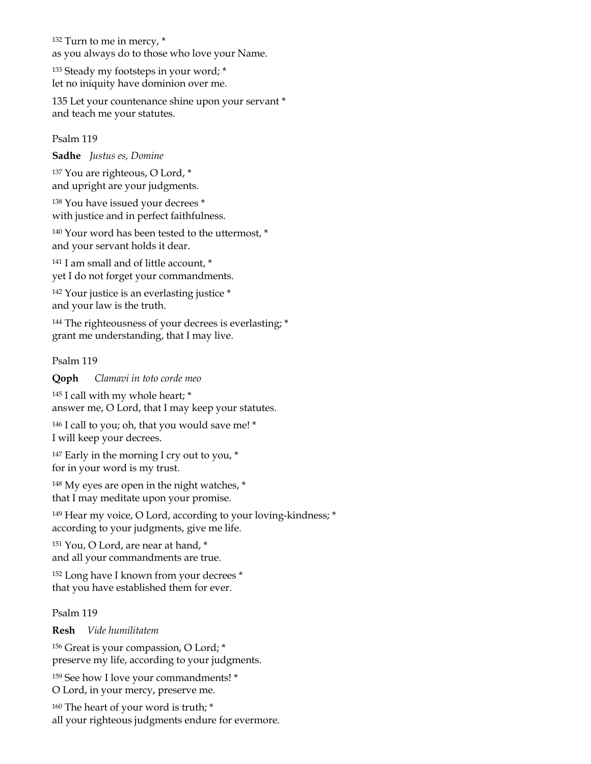<sup>132</sup> Turn to me in mercy, \* as you always do to those who love your Name.

<sup>133</sup> Steady my footsteps in your word; \* let no iniquity have dominion over me.

135 Let your countenance shine upon your servant \* and teach me your statutes.

Psalm 119

**Sadhe** *Justus es, Domine*

<sup>137</sup> You are righteous, O Lord, \* and upright are your judgments.

<sup>138</sup> You have issued your decrees \* with justice and in perfect faithfulness.

<sup>140</sup> Your word has been tested to the uttermost, \* and your servant holds it dear.

<sup>141</sup> I am small and of little account, \* yet I do not forget your commandments.

<sup>142</sup> Your justice is an everlasting justice \* and your law is the truth.

<sup>144</sup> The righteousness of your decrees is everlasting; \* grant me understanding, that I may live.

Psalm 119

**Qoph** *Clamavi in toto corde meo*

<sup>145</sup> I call with my whole heart; \* answer me, O Lord, that I may keep your statutes.

146 I call to you; oh, that you would save me! \* I will keep your decrees.

<sup>147</sup> Early in the morning I cry out to you, \* for in your word is my trust.

<sup>148</sup> My eyes are open in the night watches, \* that I may meditate upon your promise.

<sup>149</sup> Hear my voice, O Lord, according to your loving-kindness; \* according to your judgments, give me life.

<sup>151</sup> You, O Lord, are near at hand, \* and all your commandments are true.

<sup>152</sup> Long have I known from your decrees \* that you have established them for ever.

Psalm 119

**Resh** *Vide humilitatem*

<sup>156</sup> Great is your compassion, O Lord; \* preserve my life, according to your judgments.

<sup>159</sup> See how I love your commandments! \* O Lord, in your mercy, preserve me.

<sup>160</sup> The heart of your word is truth; \* all your righteous judgments endure for evermore.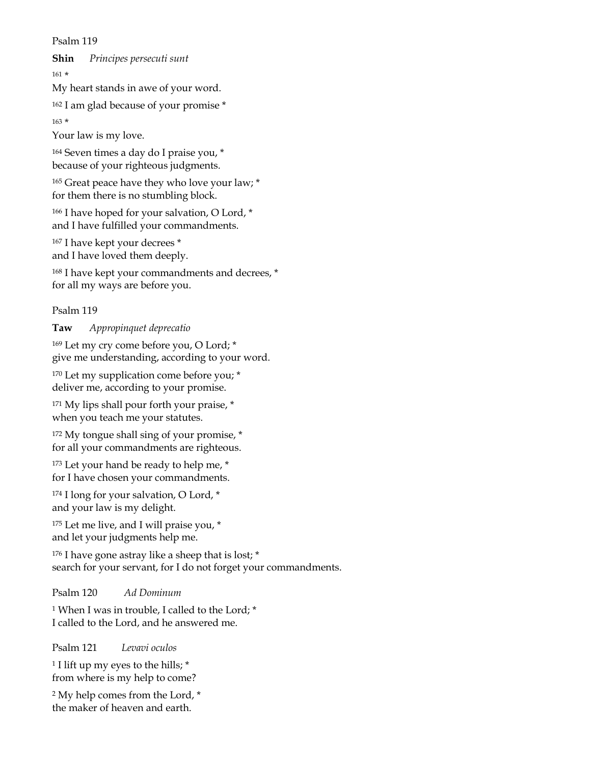Psalm 119

**Shin** *Principes persecuti sunt*

<sup>161</sup> \*

My heart stands in awe of your word.

<sup>162</sup> I am glad because of your promise \*

<sup>163</sup> \*

Your law is my love.

<sup>164</sup> Seven times a day do I praise you, \* because of your righteous judgments.

<sup>165</sup> Great peace have they who love your law; \* for them there is no stumbling block.

 $166$  I have hoped for your salvation, O Lord,  $*$ and I have fulfilled your commandments.

<sup>167</sup> I have kept your decrees \* and I have loved them deeply.

<sup>168</sup> I have kept your commandments and decrees, \* for all my ways are before you.

# Psalm 119

# **Taw** *Appropinquet deprecatio*

<sup>169</sup> Let my cry come before you, O Lord; \* give me understanding, according to your word.

<sup>170</sup> Let my supplication come before you; \* deliver me, according to your promise.

<sup>171</sup> My lips shall pour forth your praise,  $*$ when you teach me your statutes.

172 My tongue shall sing of your promise, \* for all your commandments are righteous.

 $173$  Let your hand be ready to help me,  $*$ for I have chosen your commandments.

174 I long for your salvation, O Lord, \* and your law is my delight.

175 Let me live, and I will praise you,  $*$ and let your judgments help me.

<sup>176</sup> I have gone astray like a sheep that is lost; \* search for your servant, for I do not forget your commandments.

Psalm 120 *Ad Dominum*

<sup>1</sup> When I was in trouble, I called to the Lord; \* I called to the Lord, and he answered me.

Psalm 121 *Levavi oculos*

<sup>1</sup> I lift up my eyes to the hills; \* from where is my help to come?

<sup>2</sup> My help comes from the Lord, \* the maker of heaven and earth.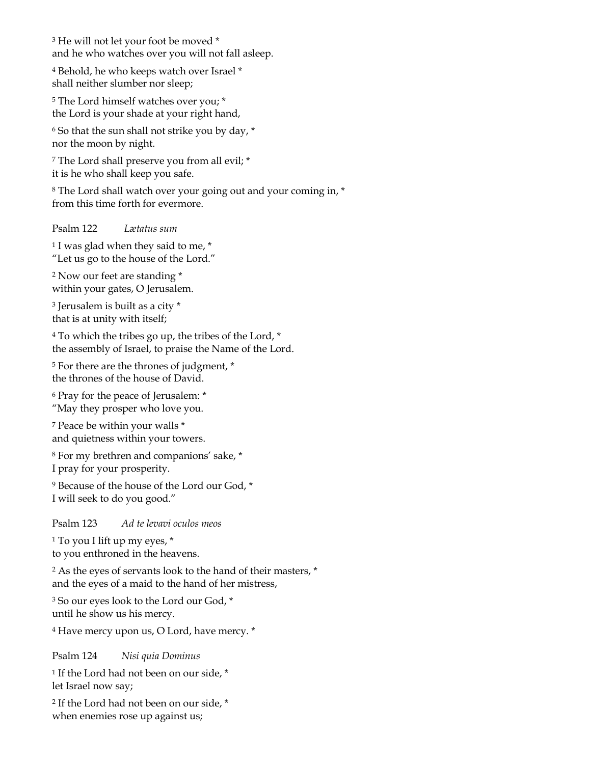<sup>3</sup> He will not let your foot be moved \* and he who watches over you will not fall asleep.

<sup>4</sup> Behold, he who keeps watch over Israel \* shall neither slumber nor sleep;

<sup>5</sup> The Lord himself watches over you; \* the Lord is your shade at your right hand,

<sup>6</sup> So that the sun shall not strike you by day, \* nor the moon by night.

<sup>7</sup> The Lord shall preserve you from all evil; \* it is he who shall keep you safe.

<sup>8</sup> The Lord shall watch over your going out and your coming in, \* from this time forth for evermore.

### Psalm 122 *Lætatus sum*

<sup>1</sup> I was glad when they said to me,  $*$ "Let us go to the house of the Lord."

<sup>2</sup> Now our feet are standing \* within your gates, O Jerusalem.

<sup>3</sup> Jerusalem is built as a city \* that is at unity with itself;

<sup>4</sup> To which the tribes go up, the tribes of the Lord, \* the assembly of Israel, to praise the Name of the Lord.

<sup>5</sup> For there are the thrones of judgment,  $*$ the thrones of the house of David.

<sup>6</sup> Pray for the peace of Jerusalem: \* "May they prosper who love you.

<sup>7</sup> Peace be within your walls \* and quietness within your towers.

<sup>8</sup> For my brethren and companions' sake, \* I pray for your prosperity.

<sup>9</sup> Because of the house of the Lord our God, \* I will seek to do you good."

Psalm 123 *Ad te levavi oculos meos*

<sup>1</sup> To you I lift up my eyes, \* to you enthroned in the heavens.

<sup>2</sup> As the eyes of servants look to the hand of their masters, \* and the eyes of a maid to the hand of her mistress,

<sup>3</sup> So our eyes look to the Lord our God, \* until he show us his mercy.

<sup>4</sup> Have mercy upon us, O Lord, have mercy. \*

Psalm 124 *Nisi quia Dominus*

<sup>1</sup> If the Lord had not been on our side, \* let Israel now say;

<sup>2</sup> If the Lord had not been on our side, \* when enemies rose up against us;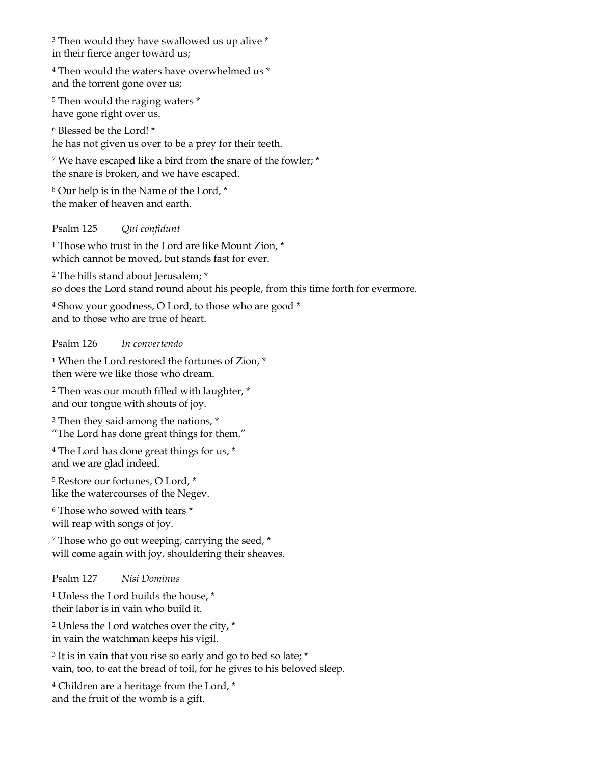<sup>3</sup> Then would they have swallowed us up alive \* in their fierce anger toward us;

<sup>4</sup> Then would the waters have overwhelmed us \* and the torrent gone over us;

<sup>5</sup> Then would the raging waters \* have gone right over us.

<sup>6</sup> Blessed be the Lord! \* he has not given us over to be a prey for their teeth.

<sup>7</sup> We have escaped like a bird from the snare of the fowler; \* the snare is broken, and we have escaped.

<sup>8</sup> Our help is in the Name of the Lord, \* the maker of heaven and earth.

# Psalm 125 *Qui confidunt*

<sup>1</sup> Those who trust in the Lord are like Mount Zion,  $*$ which cannot be moved, but stands fast for ever.

<sup>2</sup> The hills stand about Jerusalem; \* so does the Lord stand round about his people, from this time forth for evermore.

<sup>4</sup> Show your goodness, O Lord, to those who are good \* and to those who are true of heart.

Psalm 126 *In convertendo*

<sup>1</sup> When the Lord restored the fortunes of Zion, \* then were we like those who dream.

<sup>2</sup> Then was our mouth filled with laughter, \* and our tongue with shouts of joy.

<sup>3</sup> Then they said among the nations,  $*$ "The Lord has done great things for them."

<sup>4</sup> The Lord has done great things for us, \* and we are glad indeed.

<sup>5</sup> Restore our fortunes, O Lord, \* like the watercourses of the Negev.

<sup>6</sup> Those who sowed with tears \* will reap with songs of joy.

<sup>7</sup> Those who go out weeping, carrying the seed, \* will come again with joy, shouldering their sheaves.

# Psalm 127 *Nisi Dominus*

<sup>1</sup> Unless the Lord builds the house, \* their labor is in vain who build it.

<sup>2</sup> Unless the Lord watches over the city, \* in vain the watchman keeps his vigil.

<sup>3</sup> It is in vain that you rise so early and go to bed so late; \* vain, too, to eat the bread of toil, for he gives to his beloved sleep.

<sup>4</sup> Children are a heritage from the Lord, \* and the fruit of the womb is a gift.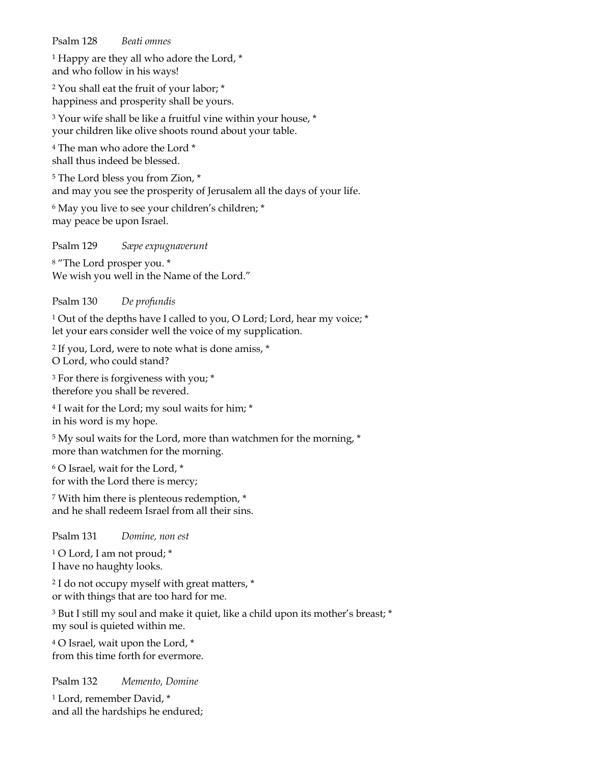Psalm 128 *Beati omnes*

<sup>1</sup> Happy are they all who adore the Lord,  $*$ and who follow in his ways!

<sup>2</sup> You shall eat the fruit of your labor; \* happiness and prosperity shall be yours.

<sup>3</sup> Your wife shall be like a fruitful vine within your house, \* your children like olive shoots round about your table.

<sup>4</sup> The man who adore the Lord \* shall thus indeed be blessed.

<sup>5</sup> The Lord bless you from Zion, \* and may you see the prosperity of Jerusalem all the days of your life.

<sup>6</sup> May you live to see your children's children; \* may peace be upon Israel.

Psalm 129 *Sæpe expugnaverunt*

<sup>8</sup> "The Lord prosper you. \* We wish you well in the Name of the Lord."

Psalm 130 *De profundis*

<sup>1</sup> Out of the depths have I called to you, O Lord; Lord, hear my voice; \* let your ears consider well the voice of my supplication.

<sup>2</sup> If you, Lord, were to note what is done amiss, \* O Lord, who could stand?

<sup>3</sup> For there is forgiveness with you; \* therefore you shall be revered.

<sup>4</sup> I wait for the Lord; my soul waits for him; \* in his word is my hope.

<sup>5</sup> My soul waits for the Lord, more than watchmen for the morning, \* more than watchmen for the morning.

<sup>6</sup> O Israel, wait for the Lord, \* for with the Lord there is mercy;

<sup>7</sup> With him there is plenteous redemption, \* and he shall redeem Israel from all their sins.

Psalm 131 *Domine, non est*

<sup>1</sup> O Lord, I am not proud; \* I have no haughty looks.

<sup>2</sup> I do not occupy myself with great matters, \* or with things that are too hard for me.

<sup>3</sup> But I still my soul and make it quiet, like a child upon its mother's breast; \* my soul is quieted within me.

<sup>4</sup> O Israel, wait upon the Lord, \* from this time forth for evermore.

Psalm 132 *Memento, Domine*

<sup>1</sup> Lord, remember David, \* and all the hardships he endured;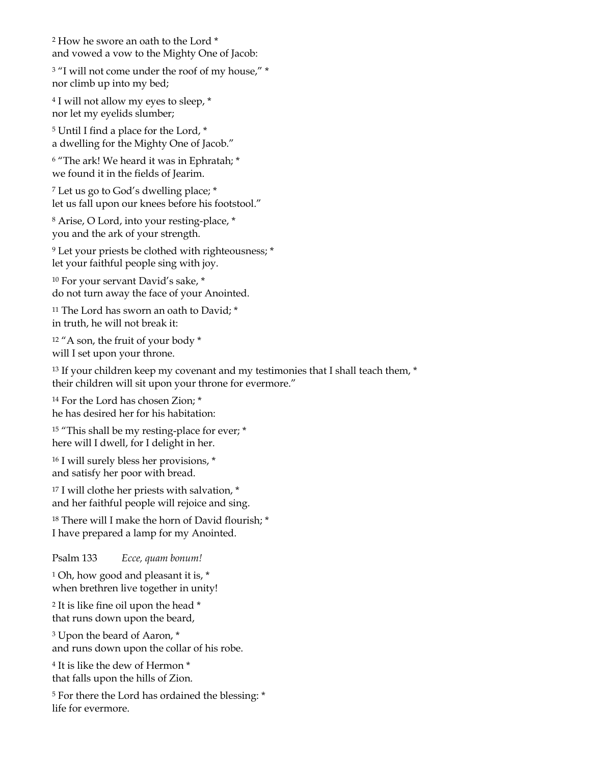<sup>2</sup> How he swore an oath to the Lord \* and vowed a vow to the Mighty One of Jacob:

<sup>3</sup> "I will not come under the roof of my house," \* nor climb up into my bed;

<sup>4</sup> I will not allow my eyes to sleep, \* nor let my eyelids slumber;

<sup>5</sup> Until I find a place for the Lord, \* a dwelling for the Mighty One of Jacob."

<sup>6</sup> "The ark! We heard it was in Ephratah; \* we found it in the fields of Jearim.

<sup>7</sup> Let us go to God's dwelling place; \* let us fall upon our knees before his footstool."

<sup>8</sup> Arise, O Lord, into your resting-place, \* you and the ark of your strength.

<sup>9</sup> Let your priests be clothed with righteousness; \* let your faithful people sing with joy.

<sup>10</sup> For your servant David's sake, \* do not turn away the face of your Anointed.

<sup>11</sup> The Lord has sworn an oath to David; \* in truth, he will not break it:

<sup>12</sup> "A son, the fruit of your body \* will I set upon your throne.

<sup>13</sup> If your children keep my covenant and my testimonies that I shall teach them, \* their children will sit upon your throne for evermore."

<sup>14</sup> For the Lord has chosen Zion; \* he has desired her for his habitation:

<sup>15</sup> "This shall be my resting-place for ever; \* here will I dwell, for I delight in her.

<sup>16</sup> I will surely bless her provisions, \* and satisfy her poor with bread.

<sup>17</sup> I will clothe her priests with salvation,  $*$ and her faithful people will rejoice and sing.

<sup>18</sup> There will I make the horn of David flourish; \* I have prepared a lamp for my Anointed.

Psalm 133 *Ecce, quam bonum!*

<sup>1</sup> Oh, how good and pleasant it is,  $*$ when brethren live together in unity!

<sup>2</sup> It is like fine oil upon the head \* that runs down upon the beard,

<sup>3</sup> Upon the beard of Aaron, \* and runs down upon the collar of his robe.

<sup>4</sup> It is like the dew of Hermon \* that falls upon the hills of Zion.

<sup>5</sup> For there the Lord has ordained the blessing: \* life for evermore.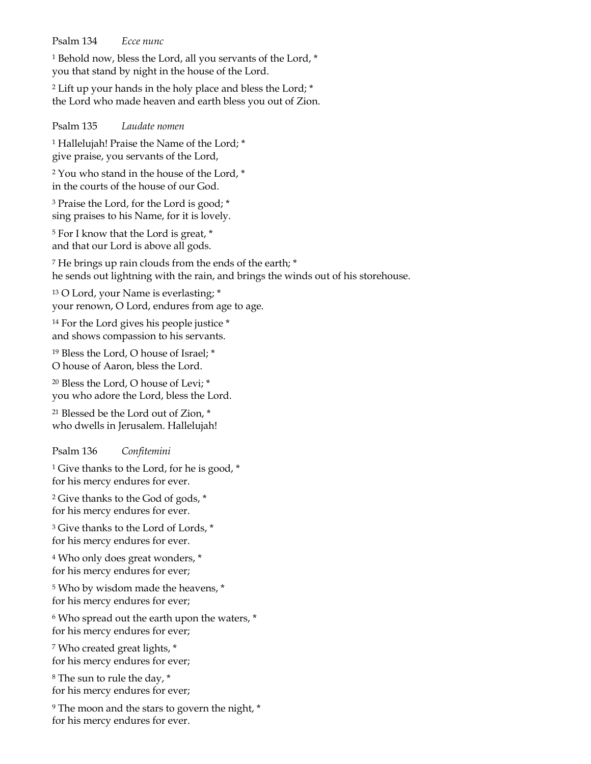Psalm 134 *Ecce nunc*

<sup>1</sup> Behold now, bless the Lord, all you servants of the Lord, \* you that stand by night in the house of the Lord.

<sup>2</sup> Lift up your hands in the holy place and bless the Lord; \* the Lord who made heaven and earth bless you out of Zion.

Psalm 135 *Laudate nomen*

<sup>1</sup> Hallelujah! Praise the Name of the Lord; \* give praise, you servants of the Lord,

<sup>2</sup> You who stand in the house of the Lord, \* in the courts of the house of our God.

<sup>3</sup> Praise the Lord, for the Lord is good; \* sing praises to his Name, for it is lovely.

<sup>5</sup> For I know that the Lord is great, \* and that our Lord is above all gods.

<sup>7</sup> He brings up rain clouds from the ends of the earth; \* he sends out lightning with the rain, and brings the winds out of his storehouse.

<sup>13</sup> O Lord, your Name is everlasting; \* your renown, O Lord, endures from age to age.

<sup>14</sup> For the Lord gives his people justice \* and shows compassion to his servants.

<sup>19</sup> Bless the Lord, O house of Israel; \* O house of Aaron, bless the Lord.

<sup>20</sup> Bless the Lord, O house of Levi; \* you who adore the Lord, bless the Lord.

<sup>21</sup> Blessed be the Lord out of Zion, \* who dwells in Jerusalem. Hallelujah!

Psalm 136 *Confitemini*

<sup>1</sup> Give thanks to the Lord, for he is good,  $*$ for his mercy endures for ever.

<sup>2</sup> Give thanks to the God of gods, \* for his mercy endures for ever.

<sup>3</sup> Give thanks to the Lord of Lords, \* for his mercy endures for ever.

<sup>4</sup> Who only does great wonders, \* for his mercy endures for ever;

<sup>5</sup> Who by wisdom made the heavens, \* for his mercy endures for ever;

<sup>6</sup> Who spread out the earth upon the waters, \* for his mercy endures for ever;

<sup>7</sup> Who created great lights, \* for his mercy endures for ever;

<sup>8</sup> The sun to rule the day, \* for his mercy endures for ever;

<sup>9</sup> The moon and the stars to govern the night, \* for his mercy endures for ever.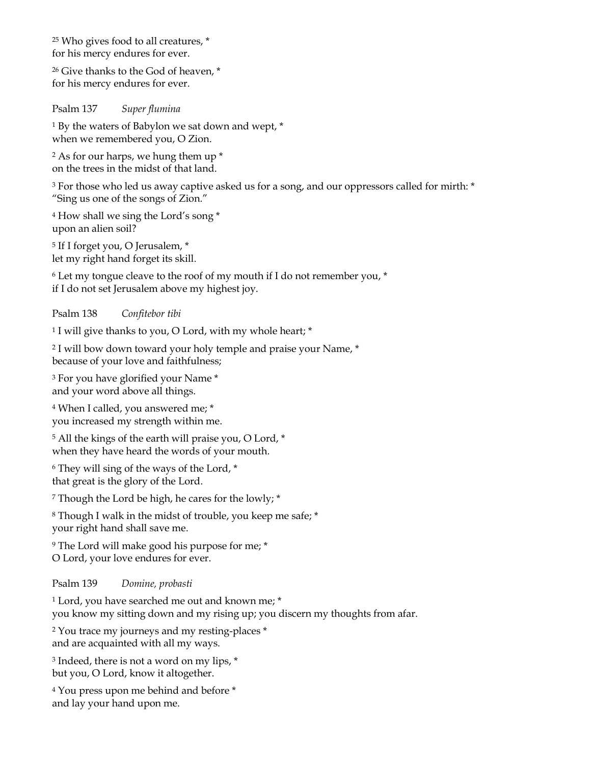<sup>25</sup> Who gives food to all creatures, \* for his mercy endures for ever.

<sup>26</sup> Give thanks to the God of heaven, \* for his mercy endures for ever.

Psalm 137 *Super flumina*

<sup>1</sup> By the waters of Babylon we sat down and wept, \* when we remembered you, O Zion.

<sup>2</sup> As for our harps, we hung them up \* on the trees in the midst of that land.

<sup>3</sup> For those who led us away captive asked us for a song, and our oppressors called for mirth: \* "Sing us one of the songs of Zion."

<sup>4</sup> How shall we sing the Lord's song \* upon an alien soil?

<sup>5</sup> If I forget you, O Jerusalem, \* let my right hand forget its skill.

<sup>6</sup> Let my tongue cleave to the roof of my mouth if I do not remember you, \* if I do not set Jerusalem above my highest joy.

Psalm 138 *Confitebor tibi*

<sup>1</sup> I will give thanks to you, O Lord, with my whole heart; \*

<sup>2</sup> I will bow down toward your holy temple and praise your Name, \* because of your love and faithfulness;

<sup>3</sup> For you have glorified your Name \* and your word above all things.

<sup>4</sup> When I called, you answered me; \* you increased my strength within me.

<sup>5</sup> All the kings of the earth will praise you, O Lord, \* when they have heard the words of your mouth.

<sup>6</sup> They will sing of the ways of the Lord, \* that great is the glory of the Lord.

<sup>7</sup> Though the Lord be high, he cares for the lowly; \*

<sup>8</sup> Though I walk in the midst of trouble, you keep me safe; \* your right hand shall save me.

<sup>9</sup> The Lord will make good his purpose for me; \* O Lord, your love endures for ever.

# Psalm 139 *Domine, probasti*

<sup>1</sup> Lord, you have searched me out and known me; \* you know my sitting down and my rising up; you discern my thoughts from afar.

<sup>2</sup> You trace my journeys and my resting-places \* and are acquainted with all my ways.

<sup>3</sup> Indeed, there is not a word on my lips,  $*$ but you, O Lord, know it altogether.

<sup>4</sup> You press upon me behind and before \* and lay your hand upon me.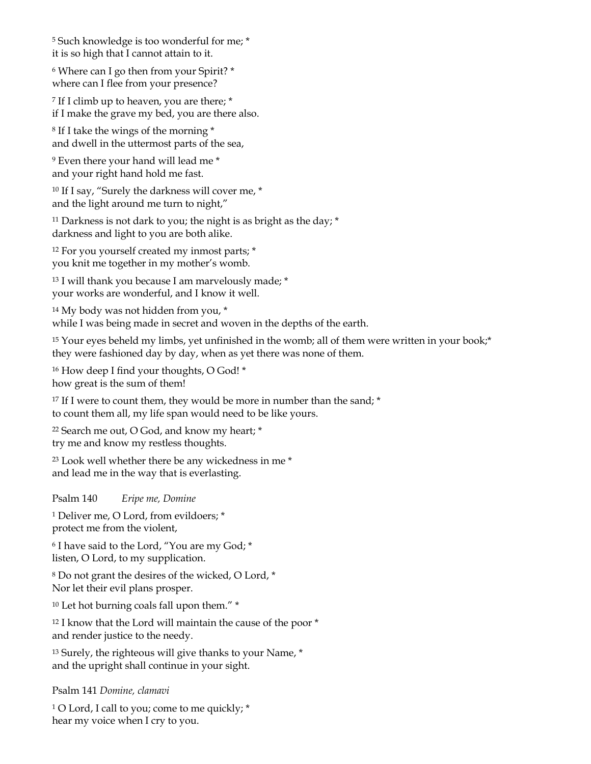<sup>5</sup> Such knowledge is too wonderful for me; \* it is so high that I cannot attain to it.

<sup>6</sup> Where can I go then from your Spirit? \* where can I flee from your presence?

<sup>7</sup> If I climb up to heaven, you are there; \* if I make the grave my bed, you are there also.

<sup>8</sup> If I take the wings of the morning \* and dwell in the uttermost parts of the sea,

<sup>9</sup> Even there your hand will lead me \* and your right hand hold me fast.

<sup>10</sup> If I say, "Surely the darkness will cover me, \* and the light around me turn to night,"

<sup>11</sup> Darkness is not dark to you; the night is as bright as the day;  $*$ darkness and light to you are both alike.

<sup>12</sup> For you yourself created my inmost parts; \* you knit me together in my mother's womb.

<sup>13</sup> I will thank you because I am marvelously made; \* your works are wonderful, and I know it well.

<sup>14</sup> My body was not hidden from you, \* while I was being made in secret and woven in the depths of the earth.

<sup>15</sup> Your eyes beheld my limbs, yet unfinished in the womb; all of them were written in your book;\* they were fashioned day by day, when as yet there was none of them.

<sup>16</sup> How deep I find your thoughts, O God! \* how great is the sum of them!

 $17$  If I were to count them, they would be more in number than the sand;  $*$ to count them all, my life span would need to be like yours.

<sup>22</sup> Search me out, O God, and know my heart; \* try me and know my restless thoughts.

<sup>23</sup> Look well whether there be any wickedness in me \* and lead me in the way that is everlasting.

Psalm 140 *Eripe me, Domine*

<sup>1</sup> Deliver me, O Lord, from evildoers; \* protect me from the violent,

<sup>6</sup> I have said to the Lord, "You are my God; \* listen, O Lord, to my supplication.

<sup>8</sup> Do not grant the desires of the wicked, O Lord, \* Nor let their evil plans prosper.

<sup>10</sup> Let hot burning coals fall upon them." \*

<sup>12</sup> I know that the Lord will maintain the cause of the poor  $*$ and render justice to the needy.

<sup>13</sup> Surely, the righteous will give thanks to your Name, \* and the upright shall continue in your sight.

Psalm 141 *Domine, clamavi*

<sup>1</sup> O Lord, I call to you; come to me quickly; \* hear my voice when I cry to you.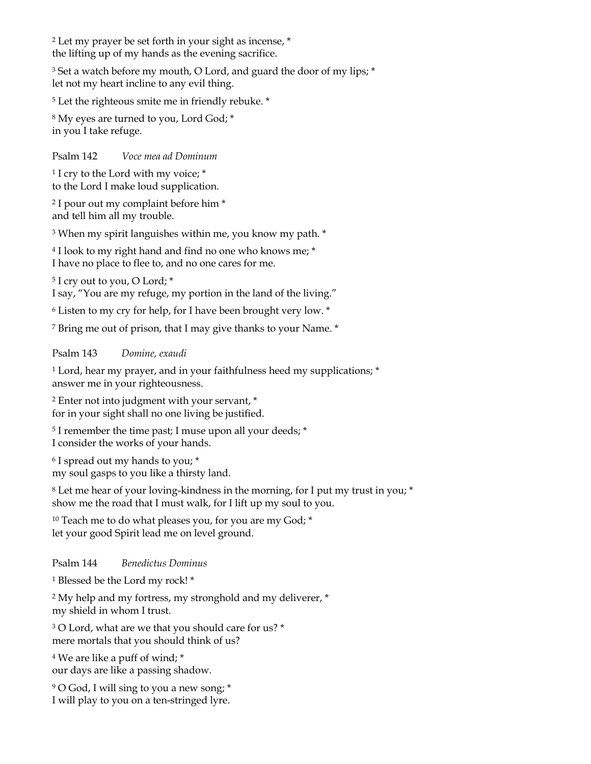<sup>2</sup> Let my prayer be set forth in your sight as incense, \* the lifting up of my hands as the evening sacrifice.

<sup>3</sup> Set a watch before my mouth, O Lord, and guard the door of my lips; \* let not my heart incline to any evil thing.

<sup>5</sup> Let the righteous smite me in friendly rebuke. \*

<sup>8</sup> My eyes are turned to you, Lord God; \* in you I take refuge.

Psalm 142 *Voce mea ad Dominum*

<sup>1</sup> I cry to the Lord with my voice; \* to the Lord I make loud supplication.

<sup>2</sup> I pour out my complaint before him \* and tell him all my trouble.

<sup>3</sup> When my spirit languishes within me, you know my path. \*

<sup>4</sup> I look to my right hand and find no one who knows me; \* I have no place to flee to, and no one cares for me.

<sup>5</sup> I cry out to you, O Lord; \*

I say, "You are my refuge, my portion in the land of the living."

<sup>6</sup> Listen to my cry for help, for I have been brought very low. \*

<sup>7</sup> Bring me out of prison, that I may give thanks to your Name. \*

# Psalm 143 *Domine, exaudi*

<sup>1</sup> Lord, hear my prayer, and in your faithfulness heed my supplications; \* answer me in your righteousness.

<sup>2</sup> Enter not into judgment with your servant, \* for in your sight shall no one living be justified.

<sup>5</sup> I remember the time past; I muse upon all your deeds; \* I consider the works of your hands.

<sup>6</sup> I spread out my hands to you; \* my soul gasps to you like a thirsty land.

<sup>8</sup> Let me hear of your loving-kindness in the morning, for I put my trust in you; \* show me the road that I must walk, for I lift up my soul to you.

<sup>10</sup> Teach me to do what pleases you, for you are my God; \* let your good Spirit lead me on level ground.

Psalm 144 *Benedictus Dominus*

<sup>1</sup> Blessed be the Lord my rock! \*

<sup>2</sup> My help and my fortress, my stronghold and my deliverer, \* my shield in whom I trust.

<sup>3</sup> O Lord, what are we that you should care for us? \* mere mortals that you should think of us?

<sup>4</sup> We are like a puff of wind; \* our days are like a passing shadow.

<sup>9</sup> O God, I will sing to you a new song; \* I will play to you on a ten-stringed lyre.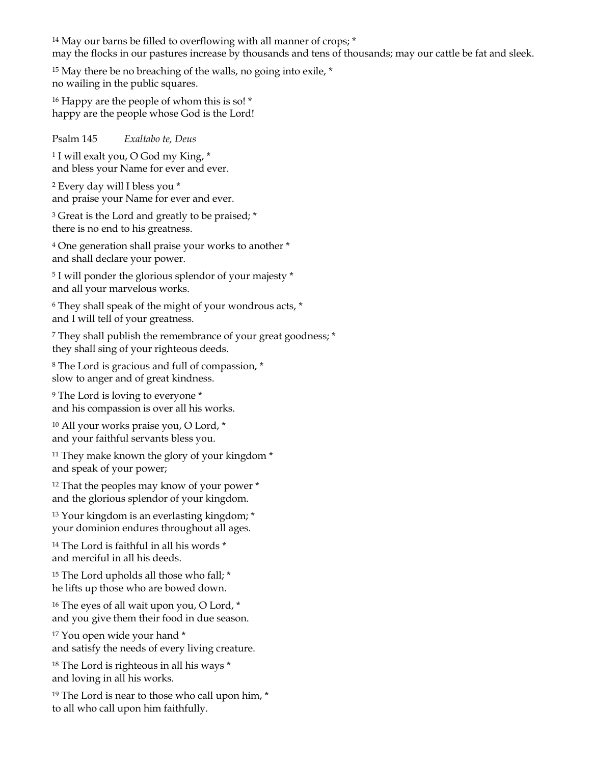<sup>14</sup> May our barns be filled to overflowing with all manner of crops; \* may the flocks in our pastures increase by thousands and tens of thousands; may our cattle be fat and sleek.

<sup>15</sup> May there be no breaching of the walls, no going into exile, \* no wailing in the public squares.

<sup>16</sup> Happy are the people of whom this is so! \* happy are the people whose God is the Lord!

# Psalm 145 *Exaltabo te, Deus*

<sup>1</sup> I will exalt you, O God my King, \* and bless your Name for ever and ever.

<sup>2</sup> Every day will I bless you \* and praise your Name for ever and ever.

<sup>3</sup> Great is the Lord and greatly to be praised; \* there is no end to his greatness.

<sup>4</sup> One generation shall praise your works to another \* and shall declare your power.

<sup>5</sup> I will ponder the glorious splendor of your majesty \* and all your marvelous works.

<sup>6</sup> They shall speak of the might of your wondrous acts, \* and I will tell of your greatness.

<sup>7</sup> They shall publish the remembrance of your great goodness; \* they shall sing of your righteous deeds.

<sup>8</sup> The Lord is gracious and full of compassion, \* slow to anger and of great kindness.

<sup>9</sup> The Lord is loving to everyone \* and his compassion is over all his works.

<sup>10</sup> All your works praise you, O Lord, \* and your faithful servants bless you.

<sup>11</sup> They make known the glory of your kingdom \* and speak of your power;

<sup>12</sup> That the peoples may know of your power \* and the glorious splendor of your kingdom.

<sup>13</sup> Your kingdom is an everlasting kingdom; \* your dominion endures throughout all ages.

<sup>14</sup> The Lord is faithful in all his words \* and merciful in all his deeds.

<sup>15</sup> The Lord upholds all those who fall; \* he lifts up those who are bowed down.

<sup>16</sup> The eyes of all wait upon you, O Lord, \* and you give them their food in due season.

<sup>17</sup> You open wide your hand \* and satisfy the needs of every living creature.

<sup>18</sup> The Lord is righteous in all his ways \* and loving in all his works.

<sup>19</sup> The Lord is near to those who call upon him, \* to all who call upon him faithfully.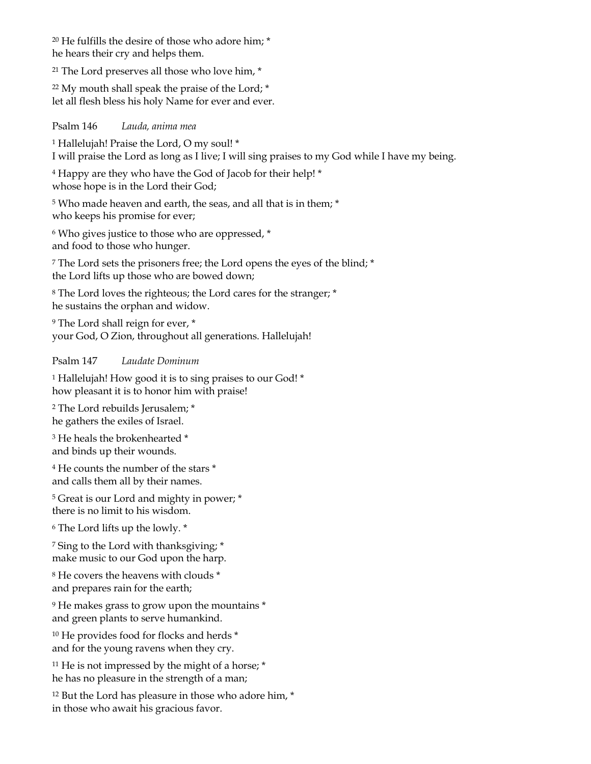<sup>20</sup> He fulfills the desire of those who adore him; \* he hears their cry and helps them.

<sup>21</sup> The Lord preserves all those who love him, \*

<sup>22</sup> My mouth shall speak the praise of the Lord;  $*$ let all flesh bless his holy Name for ever and ever.

Psalm 146 *Lauda, anima mea*

<sup>1</sup> Hallelujah! Praise the Lord, O my soul! \* I will praise the Lord as long as I live; I will sing praises to my God while I have my being.

<sup>4</sup> Happy are they who have the God of Jacob for their help! \* whose hope is in the Lord their God;

<sup>5</sup> Who made heaven and earth, the seas, and all that is in them; \* who keeps his promise for ever;

<sup>6</sup> Who gives justice to those who are oppressed, \* and food to those who hunger.

<sup>7</sup> The Lord sets the prisoners free; the Lord opens the eyes of the blind; \* the Lord lifts up those who are bowed down;

<sup>8</sup> The Lord loves the righteous; the Lord cares for the stranger; \* he sustains the orphan and widow.

<sup>9</sup> The Lord shall reign for ever, \* your God, O Zion, throughout all generations. Hallelujah!

# Psalm 147 *Laudate Dominum*

<sup>1</sup> Hallelujah! How good it is to sing praises to our God! \* how pleasant it is to honor him with praise!

<sup>2</sup> The Lord rebuilds Jerusalem; \* he gathers the exiles of Israel.

<sup>3</sup> He heals the brokenhearted \* and binds up their wounds.

<sup>4</sup> He counts the number of the stars \* and calls them all by their names.

<sup>5</sup> Great is our Lord and mighty in power; \* there is no limit to his wisdom.

<sup>6</sup> The Lord lifts up the lowly. \*

<sup>7</sup> Sing to the Lord with thanksgiving; \* make music to our God upon the harp.

<sup>8</sup> He covers the heavens with clouds \* and prepares rain for the earth;

<sup>9</sup> He makes grass to grow upon the mountains \* and green plants to serve humankind.

<sup>10</sup> He provides food for flocks and herds \* and for the young ravens when they cry.

 $11$  He is not impressed by the might of a horse;  $*$ he has no pleasure in the strength of a man;

<sup>12</sup> But the Lord has pleasure in those who adore him,  $*$ in those who await his gracious favor.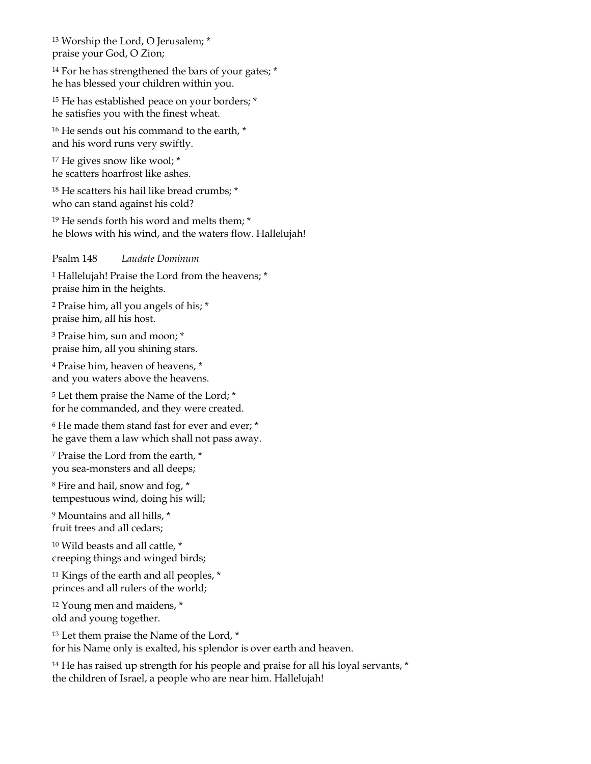<sup>13</sup> Worship the Lord, O Jerusalem; \* praise your God, O Zion;

<sup>14</sup> For he has strengthened the bars of your gates; \* he has blessed your children within you.

<sup>15</sup> He has established peace on your borders; \* he satisfies you with the finest wheat.

<sup>16</sup> He sends out his command to the earth,  $*$ and his word runs very swiftly.

<sup>17</sup> He gives snow like wool; \* he scatters hoarfrost like ashes.

<sup>18</sup> He scatters his hail like bread crumbs; \* who can stand against his cold?

<sup>19</sup> He sends forth his word and melts them; \* he blows with his wind, and the waters flow. Hallelujah!

Psalm 148 *Laudate Dominum*

<sup>1</sup> Hallelujah! Praise the Lord from the heavens; \* praise him in the heights.

<sup>2</sup> Praise him, all you angels of his; \* praise him, all his host.

<sup>3</sup> Praise him, sun and moon; \* praise him, all you shining stars.

<sup>4</sup> Praise him, heaven of heavens, \* and you waters above the heavens.

<sup>5</sup> Let them praise the Name of the Lord; \* for he commanded, and they were created.

<sup>6</sup> He made them stand fast for ever and ever; \* he gave them a law which shall not pass away.

<sup>7</sup> Praise the Lord from the earth, \* you sea-monsters and all deeps;

<sup>8</sup> Fire and hail, snow and fog, \* tempestuous wind, doing his will;

<sup>9</sup> Mountains and all hills, \* fruit trees and all cedars;

<sup>10</sup> Wild beasts and all cattle, \* creeping things and winged birds;

<sup>11</sup> Kings of the earth and all peoples, \* princes and all rulers of the world;

<sup>12</sup> Young men and maidens, \* old and young together.

<sup>13</sup> Let them praise the Name of the Lord, \*

for his Name only is exalted, his splendor is over earth and heaven.

<sup>14</sup> He has raised up strength for his people and praise for all his loyal servants, \* the children of Israel, a people who are near him. Hallelujah!